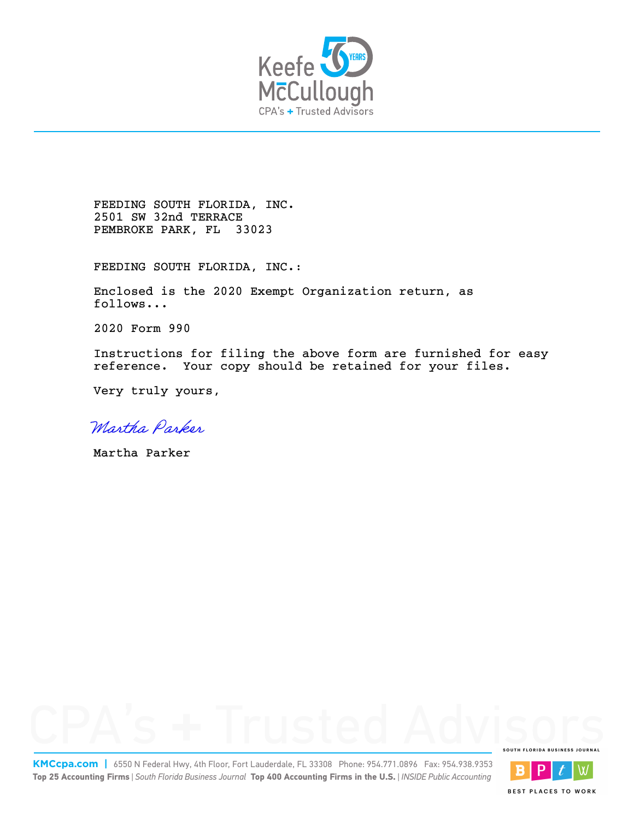

FEEDING SOUTH FLORIDA, INC. 2501 SW 32nd TERRACE PEMBROKE PARK, FL 33023

FEEDING SOUTH FLORIDA, INC.:

Enclosed is the 2020 Exempt Organization return, as follows...

2020 Form 990

Instructions for filing the above form are furnished for easy reference. Your copy should be retained for your files.

Very truly yours,

Martha Parker

Martha Parker



**KMCcpa.com |** 6550 N Federal Hwy, 4th Floor, Fort Lauderdale, FL 33308 Phone: 954.771.0896 Fax: 954.938.9353 **Top 25 Accounting Firms** | *South Florida Business Journal* **Top 400 Accounting Firms in the U.S.** | *INSIDE Public Accounting*



**BEST PLACES TO WORK**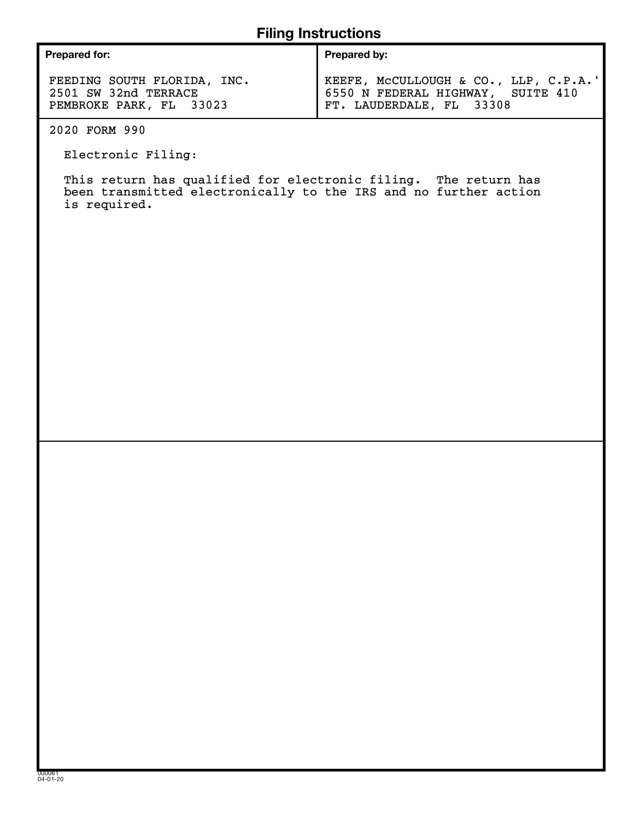## **Filing Instructions**

| <b>Prepared for:</b>        | <b>Prepared by:</b>                   |  |  |  |  |  |  |
|-----------------------------|---------------------------------------|--|--|--|--|--|--|
| FEEDING SOUTH FLORIDA, INC. | KEEFE, MCCULLOUGH & CO., LLP, C.P.A.' |  |  |  |  |  |  |
| 2501 SW 32nd TERRACE        | 6550 N FEDERAL HIGHWAY, SUITE 410     |  |  |  |  |  |  |
| PEMBROKE PARK, FL 33023     | FT. LAUDERDALE, FL 33308              |  |  |  |  |  |  |

2020 FORM 990

Electronic Filing:

This return has qualified for electronic filing. The return has been transmitted electronically to the IRS and no further action is required.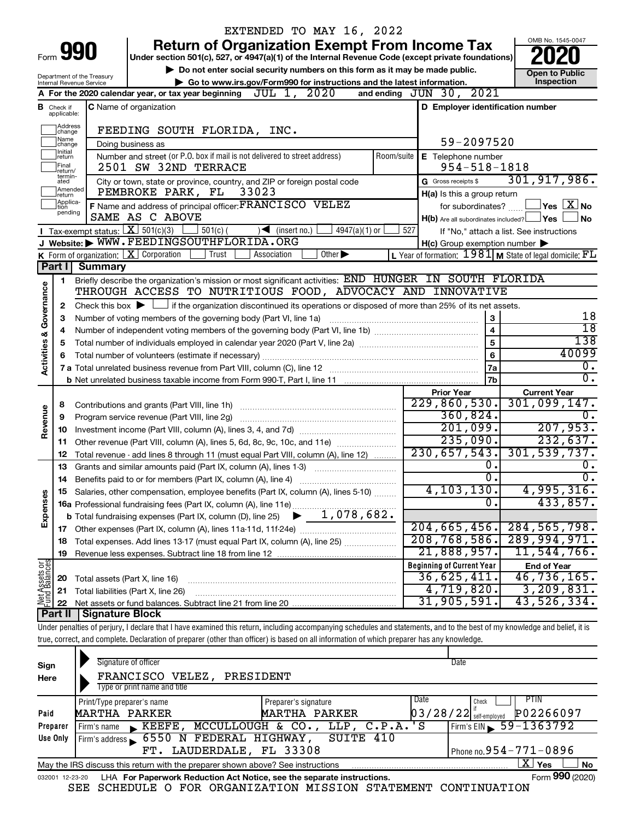|                         |                            |                                                                           | EXTENDED TO MAY 16, 2022                                                                                                                                                   |                |                                                     |                                                             |  |  |  |
|-------------------------|----------------------------|---------------------------------------------------------------------------|----------------------------------------------------------------------------------------------------------------------------------------------------------------------------|----------------|-----------------------------------------------------|-------------------------------------------------------------|--|--|--|
|                         |                            |                                                                           | <b>Return of Organization Exempt From Income Tax</b>                                                                                                                       |                |                                                     | OMB No. 1545-0047                                           |  |  |  |
|                         |                            | Form 990                                                                  | Under section 501(c), 527, or 4947(a)(1) of the Internal Revenue Code (except private foundations)                                                                         |                |                                                     |                                                             |  |  |  |
|                         |                            |                                                                           | Do not enter social security numbers on this form as it may be made public.                                                                                                |                |                                                     | <b>Open to Public</b>                                       |  |  |  |
|                         |                            | Department of the Treasury<br>Internal Revenue Service                    | Go to www.irs.gov/Form990 for instructions and the latest information.                                                                                                     |                |                                                     | Inspection                                                  |  |  |  |
|                         |                            |                                                                           | JUL 1, 2020<br>A For the 2020 calendar year, or tax year beginning                                                                                                         |                | and ending JUN 30, 2021                             |                                                             |  |  |  |
| в                       | Check if                   | C Name of organization<br>D Employer identification number<br>applicable: |                                                                                                                                                                            |                |                                                     |                                                             |  |  |  |
|                         | Address<br>change          |                                                                           | FEEDING SOUTH FLORIDA, INC.                                                                                                                                                |                |                                                     |                                                             |  |  |  |
|                         | Name<br>change             |                                                                           | Doing business as                                                                                                                                                          |                | 59-2097520                                          |                                                             |  |  |  |
|                         | Initial<br>return<br>Final |                                                                           | Number and street (or P.O. box if mail is not delivered to street address)<br>2501 SW 32ND TERRACE                                                                         | Room/suite     | E Telephone number<br>$954 - 518 - 1818$            |                                                             |  |  |  |
|                         | return/<br>termin-         |                                                                           | City or town, state or province, country, and ZIP or foreign postal code                                                                                                   |                | G Gross receipts \$                                 | 301, 917, 986.                                              |  |  |  |
|                         | ated<br>Amended            |                                                                           | 33023<br>PEMBROKE PARK, FL                                                                                                                                                 |                | H(a) Is this a group return                         |                                                             |  |  |  |
|                         | return<br>Applica-         |                                                                           | F Name and address of principal officer: FRANCISCO VELEZ                                                                                                                   |                | for subordinates?                                   | $\,$ Yes $\,$ $\,$ $\rm X$ $\,$ No $\,$                     |  |  |  |
|                         | tion<br>pending            |                                                                           | SAME AS C ABOVE                                                                                                                                                            |                | $H(b)$ Are all subordinates included? $\Box$ Yes    | l No                                                        |  |  |  |
|                         |                            |                                                                           | Tax-exempt status: $X \over 301(c)(3)$<br>$501(c)$ (<br>$\sqrt{\frac{1}{1}}$ (insert no.)<br>$4947(a)(1)$ or                                                               | 527            |                                                     | If "No," attach a list. See instructions                    |  |  |  |
|                         |                            |                                                                           | J Website: WWW.FEEDINGSOUTHFLORIDA.ORG                                                                                                                                     |                | $H(c)$ Group exemption number $\blacktriangleright$ |                                                             |  |  |  |
|                         |                            |                                                                           | K Form of organization:   X Corporation<br>Trust<br>Other $\blacktriangleright$<br>Association                                                                             |                |                                                     | L Year of formation: $1981$ M State of legal domicile: $FL$ |  |  |  |
|                         |                            | Part I Summary                                                            |                                                                                                                                                                            |                |                                                     |                                                             |  |  |  |
|                         | 1                          |                                                                           | Briefly describe the organization's mission or most significant activities: END HUNGER IN SOUTH FLORIDA                                                                    |                |                                                     |                                                             |  |  |  |
|                         |                            |                                                                           | THROUGH ACCESS TO NUTRITIOUS FOOD, ADVOCACY AND INNOVATIVE                                                                                                                 |                |                                                     |                                                             |  |  |  |
|                         | 2                          |                                                                           | Check this box $\blacktriangleright$ $\Box$ if the organization discontinued its operations or disposed of more than 25% of its net assets.                                |                |                                                     |                                                             |  |  |  |
|                         | З                          |                                                                           | Number of voting members of the governing body (Part VI, line 1a)                                                                                                          |                | 3                                                   | 18                                                          |  |  |  |
|                         | 4                          |                                                                           | $\overline{18}$                                                                                                                                                            |                |                                                     |                                                             |  |  |  |
|                         | 5                          |                                                                           |                                                                                                                                                                            |                | $\overline{5}$                                      | 138                                                         |  |  |  |
| Activities & Governance |                            |                                                                           |                                                                                                                                                                            | $6\phantom{a}$ | 40099                                               |                                                             |  |  |  |
|                         |                            |                                                                           |                                                                                                                                                                            |                | <b>7a</b>                                           | о.                                                          |  |  |  |
|                         |                            |                                                                           |                                                                                                                                                                            |                | 7b                                                  | σ.                                                          |  |  |  |
|                         |                            |                                                                           |                                                                                                                                                                            |                | <b>Prior Year</b>                                   | <b>Current Year</b>                                         |  |  |  |
|                         | 8                          |                                                                           | Contributions and grants (Part VIII, line 1h)                                                                                                                              |                | 229,860,530.                                        | 301,099,147.                                                |  |  |  |
| Revenue                 | 9                          |                                                                           | Program service revenue (Part VIII, line 2g)                                                                                                                               |                | 360,824.                                            | Ω.                                                          |  |  |  |
|                         | 10                         |                                                                           |                                                                                                                                                                            |                | 201,099.                                            | 207,953.                                                    |  |  |  |
|                         | 11                         |                                                                           | Other revenue (Part VIII, column (A), lines 5, 6d, 8c, 9c, 10c, and 11e)                                                                                                   |                | 235,090.<br>230,657,543.                            | 232,637.<br>301, 539, 737.                                  |  |  |  |
|                         | 12                         |                                                                           | Total revenue - add lines 8 through 11 (must equal Part VIII, column (A), line 12)                                                                                         |                |                                                     |                                                             |  |  |  |
|                         | 13                         |                                                                           | Grants and similar amounts paid (Part IX, column (A), lines 1-3) <i>manoronononononon</i>                                                                                  |                | 0.<br>0.                                            | Ο.<br>σ.                                                    |  |  |  |
|                         | 14                         |                                                                           | Salaries, other compensation, employee benefits (Part IX, column (A), lines 5-10)                                                                                          |                | 4, 103, 130.                                        | 4,995,316.                                                  |  |  |  |
| Expenses                |                            |                                                                           |                                                                                                                                                                            |                | 0                                                   | 433,857.                                                    |  |  |  |
|                         |                            |                                                                           |                                                                                                                                                                            |                |                                                     |                                                             |  |  |  |
|                         |                            |                                                                           |                                                                                                                                                                            |                | 204, 665, 456.                                      | 284, 565, 798.                                              |  |  |  |
|                         | 18                         |                                                                           | Total expenses. Add lines 13-17 (must equal Part IX, column (A), line 25)                                                                                                  |                | 208, 768, 586.                                      | 289,994,971.                                                |  |  |  |
|                         | 19                         |                                                                           |                                                                                                                                                                            |                | 21,888,957.                                         | 11,544,766.                                                 |  |  |  |
|                         |                            |                                                                           |                                                                                                                                                                            |                | <b>Beginning of Current Year</b>                    | <b>End of Year</b>                                          |  |  |  |
|                         | 20                         | Total assets (Part X, line 16)                                            |                                                                                                                                                                            |                | 36,625,411.                                         | 46,736,165.                                                 |  |  |  |
|                         | 21                         |                                                                           | Total liabilities (Part X, line 26)                                                                                                                                        |                | $\overline{4,719},820$ .                            | 3,209,831.                                                  |  |  |  |
| Net Assets or           | 22                         |                                                                           |                                                                                                                                                                            |                | 31, 905, 591.                                       | 43,526,334.                                                 |  |  |  |
|                         | <b>Part II</b>             | Signature Block                                                           |                                                                                                                                                                            |                |                                                     |                                                             |  |  |  |
|                         |                            |                                                                           | Under penalties of perjury, I declare that I have examined this return, including accompanying schedules and statements, and to the best of my knowledge and belief, it is |                |                                                     |                                                             |  |  |  |
|                         |                            |                                                                           | true, correct, and complete. Declaration of preparer (other than officer) is based on all information of which preparer has any knowledge.                                 |                |                                                     |                                                             |  |  |  |
|                         |                            |                                                                           |                                                                                                                                                                            |                |                                                     |                                                             |  |  |  |
| Sign                    |                            |                                                                           | Signature of officer                                                                                                                                                       |                | Date                                                |                                                             |  |  |  |

| Sign            | Signature of officer                                                            | Date                            |                                       |
|-----------------|---------------------------------------------------------------------------------|---------------------------------|---------------------------------------|
| Here            | FRANCISCO VELEZ,<br>PRESIDENT                                                   |                                 |                                       |
|                 | Type or print name and title                                                    |                                 |                                       |
|                 | Print/Type preparer's name                                                      | Preparer's signature            | PTIN.<br>Date<br>Check                |
| Paid            | MARTHA PARKER                                                                   | MARTHA PARKER                   | P02266097<br>$03/28/22$ self-employed |
| Preparer        | KEEFE.<br>Firm's name                                                           | MCCULLOUGH & CO., LLP, C.P.A.'S | $Firm's EIN \ 59 - 1363792$           |
| Use Only        | 6550 N FEDERAL HIGHWAY,<br>Firm's address                                       | 410<br>SUITE                    |                                       |
|                 | LAUDERDALE, FL 33308<br>FT.                                                     |                                 | Phone no. $954 - 771 - 0896$          |
|                 | May the IRS discuss this return with the preparer shown above? See instructions |                                 | ΧI<br>No<br>Yes                       |
| 032001 12-23-20 | LHA For Paperwork Reduction Act Notice, see the separate instructions.          |                                 | Form 990 (2020)                       |

SEE SCHEDULE O FOR ORGANIZATION MISSION STATEMENT CONTINUATION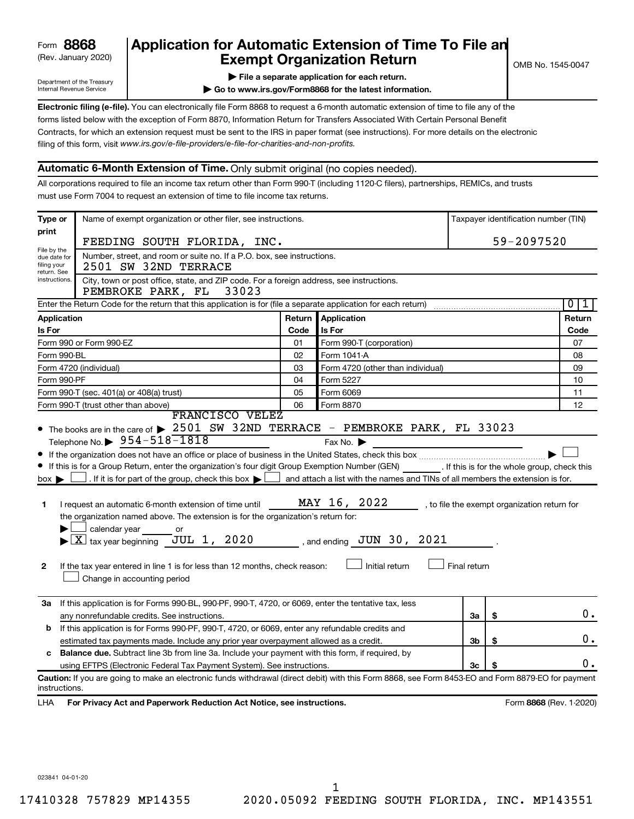| 8868<br>Form |  |
|--------------|--|
|--------------|--|

## (Rev. January 2020) **Cxempt Organization Return** Manuary 2020) and the settern **Canadian Exempt Organization Return Form 8868 Application for Automatic Extension of Time To File an**<br>**Exempt Organization Beturn**

Department of the Treasury Internal Revenue Service

|  |  |  |  | File a separate application for each return. |  |
|--|--|--|--|----------------------------------------------|--|
|  |  |  |  |                                              |  |

**| Go to www.irs.gov/Form8868 for the latest information.**

**Electronic filing (e-file).** You can electronically file Form 8868 to request a 6-month automatic extension of time to file any of the filing of this form, visit www.irs.gov/e-file-providers/e-file-for-charities-and-non-profits. forms listed below with the exception of Form 8870, Information Return for Transfers Associated With Certain Personal Benefit Contracts, for which an extension request must be sent to the IRS in paper format (see instructions). For more details on the electronic

### **Automatic 6-Month Extension of Time.** Only submit original (no copies needed).

All corporations required to file an income tax return other than Form 990-T (including 1120-C filers), partnerships, REMICs, and trusts must use Form 7004 to request an extension of time to file income tax returns.

| Type or                                                                                                                                                | Name of exempt organization or other filer, see instructions.<br>Taxpayer identification number (TIN)                                                                                                                                                                                                                                                                                                                                                                                                                                                                                                              |        |                                                                                                                                                                                  |              |    |                                              |  |  |
|--------------------------------------------------------------------------------------------------------------------------------------------------------|--------------------------------------------------------------------------------------------------------------------------------------------------------------------------------------------------------------------------------------------------------------------------------------------------------------------------------------------------------------------------------------------------------------------------------------------------------------------------------------------------------------------------------------------------------------------------------------------------------------------|--------|----------------------------------------------------------------------------------------------------------------------------------------------------------------------------------|--------------|----|----------------------------------------------|--|--|
| print                                                                                                                                                  | 59-2097520<br>FEEDING SOUTH FLORIDA, INC.                                                                                                                                                                                                                                                                                                                                                                                                                                                                                                                                                                          |        |                                                                                                                                                                                  |              |    |                                              |  |  |
| File by the<br>due date for<br>filing your                                                                                                             | Number, street, and room or suite no. If a P.O. box, see instructions.<br>2501 SW 32ND TERRACE                                                                                                                                                                                                                                                                                                                                                                                                                                                                                                                     |        |                                                                                                                                                                                  |              |    |                                              |  |  |
| return. See<br>instructions.<br>City, town or post office, state, and ZIP code. For a foreign address, see instructions.<br>PEMBROKE PARK, FL<br>33023 |                                                                                                                                                                                                                                                                                                                                                                                                                                                                                                                                                                                                                    |        |                                                                                                                                                                                  |              |    |                                              |  |  |
|                                                                                                                                                        | Enter the Return Code for the return that this application is for (file a separate application for each return)                                                                                                                                                                                                                                                                                                                                                                                                                                                                                                    |        |                                                                                                                                                                                  |              |    | 0 <br>1                                      |  |  |
| Application                                                                                                                                            |                                                                                                                                                                                                                                                                                                                                                                                                                                                                                                                                                                                                                    | Return | Application                                                                                                                                                                      |              |    | Return                                       |  |  |
| <b>Is For</b>                                                                                                                                          |                                                                                                                                                                                                                                                                                                                                                                                                                                                                                                                                                                                                                    | Code   | Is For                                                                                                                                                                           |              |    | Code                                         |  |  |
|                                                                                                                                                        | Form 990 or Form 990-EZ                                                                                                                                                                                                                                                                                                                                                                                                                                                                                                                                                                                            | 01     | Form 990-T (corporation)                                                                                                                                                         |              |    | 07                                           |  |  |
| Form 990-BL                                                                                                                                            |                                                                                                                                                                                                                                                                                                                                                                                                                                                                                                                                                                                                                    | 02     | Form 1041-A                                                                                                                                                                      |              |    | 08                                           |  |  |
|                                                                                                                                                        | Form 4720 (individual)                                                                                                                                                                                                                                                                                                                                                                                                                                                                                                                                                                                             | 03     | Form 4720 (other than individual)                                                                                                                                                |              |    | 09                                           |  |  |
| Form 990-PF                                                                                                                                            |                                                                                                                                                                                                                                                                                                                                                                                                                                                                                                                                                                                                                    | 04     | Form 5227                                                                                                                                                                        |              |    | 10                                           |  |  |
|                                                                                                                                                        | Form 990-T (sec. 401(a) or 408(a) trust)                                                                                                                                                                                                                                                                                                                                                                                                                                                                                                                                                                           | 05     | Form 6069                                                                                                                                                                        |              |    | 11                                           |  |  |
|                                                                                                                                                        | Form 990-T (trust other than above)                                                                                                                                                                                                                                                                                                                                                                                                                                                                                                                                                                                | 06     | Form 8870                                                                                                                                                                        |              |    | 12                                           |  |  |
|                                                                                                                                                        | FRANCISCO VELEZ<br>• The books are in the care of > 2501 SW 32ND TERRACE - PEMBROKE PARK, FL 33023                                                                                                                                                                                                                                                                                                                                                                                                                                                                                                                 |        |                                                                                                                                                                                  |              |    |                                              |  |  |
| $box \blacktriangleright$<br>1<br>$\mathbf{2}$                                                                                                         | Telephone No. 354-518-1818<br>If this is for a Group Return, enter the organization's four digit Group Exemption Number (GEN) [If this is for the whole group, check this<br>. If it is for part of the group, check this box $\blacktriangleright$<br>I request an automatic 6-month extension of time until<br>the organization named above. The extension is for the organization's return for:<br>calendar year<br>or<br>$\blacktriangleright$ $\boxed{\text{X}}$ tax year beginning JUL 1, 2020<br>If the tax year entered in line 1 is for less than 12 months, check reason:<br>Change in accounting period |        | Fax No. $\blacktriangleright$<br>and attach a list with the names and TINs of all members the extension is for.<br>MAY 16, 2022<br>, and ending $JUN$ 30, 2021<br>Initial return | Final return |    | , to file the exempt organization return for |  |  |
| За                                                                                                                                                     | If this application is for Forms 990-BL, 990-PF, 990-T, 4720, or 6069, enter the tentative tax, less                                                                                                                                                                                                                                                                                                                                                                                                                                                                                                               |        |                                                                                                                                                                                  |              | \$ | о.                                           |  |  |
| b                                                                                                                                                      | any nonrefundable credits. See instructions.<br>If this application is for Forms 990-PF, 990-T, 4720, or 6069, enter any refundable credits and                                                                                                                                                                                                                                                                                                                                                                                                                                                                    |        |                                                                                                                                                                                  | За           |    |                                              |  |  |
|                                                                                                                                                        | estimated tax payments made. Include any prior year overpayment allowed as a credit.                                                                                                                                                                                                                                                                                                                                                                                                                                                                                                                               |        |                                                                                                                                                                                  | 3b           | \$ | Ο.                                           |  |  |
| c                                                                                                                                                      | <b>Balance due.</b> Subtract line 3b from line 3a. Include your payment with this form, if required, by                                                                                                                                                                                                                                                                                                                                                                                                                                                                                                            |        |                                                                                                                                                                                  |              |    |                                              |  |  |
| using EFTPS (Electronic Federal Tax Payment System). See instructions.                                                                                 |                                                                                                                                                                                                                                                                                                                                                                                                                                                                                                                                                                                                                    |        |                                                                                                                                                                                  | 3c           |    | 0.                                           |  |  |
| instructions.<br>LHA                                                                                                                                   | Caution: If you are going to make an electronic funds withdrawal (direct debit) with this Form 8868, see Form 8453-EO and Form 8879-EO for payment<br>For Privacy Act and Paperwork Reduction Act Notice, see instructions.                                                                                                                                                                                                                                                                                                                                                                                        |        |                                                                                                                                                                                  |              |    | Form 8868 (Rev. 1-2020)                      |  |  |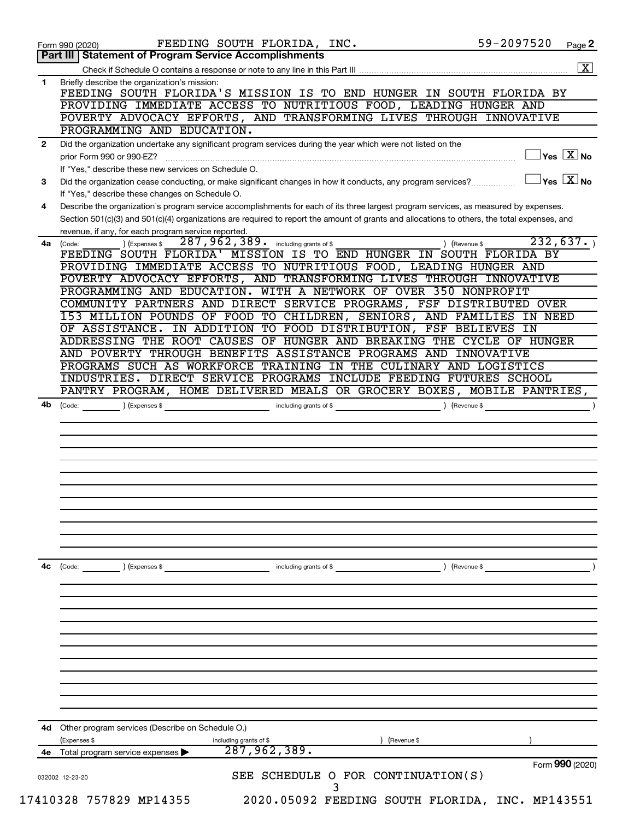|              | 59-2097520<br>FEEDING SOUTH FLORIDA, INC.<br>Page 2<br>Form 990 (2020)                                                                                                 |
|--------------|------------------------------------------------------------------------------------------------------------------------------------------------------------------------|
|              | Part III   Statement of Program Service Accomplishments                                                                                                                |
| 1            | Briefly describe the organization's mission:                                                                                                                           |
|              | FEEDING SOUTH FLORIDA'S MISSION IS TO END HUNGER IN SOUTH FLORIDA BY                                                                                                   |
|              | PROVIDING IMMEDIATE ACCESS TO NUTRITIOUS FOOD, LEADING HUNGER AND                                                                                                      |
|              | POVERTY ADVOCACY EFFORTS, AND TRANSFORMING LIVES THROUGH INNOVATIVE                                                                                                    |
|              | PROGRAMMING AND EDUCATION.                                                                                                                                             |
| $\mathbf{2}$ | Did the organization undertake any significant program services during the year which were not listed on the                                                           |
|              | $\sqrt{}$ Yes $\overline{\phantom{a}X}$ No<br>prior Form 990 or 990-EZ?                                                                                                |
|              | If "Yes," describe these new services on Schedule O.                                                                                                                   |
| 3            | $\vert$ Yes $\vert$ $\overline{\mathrm{X}}$ $\vert$ No<br>Did the organization cease conducting, or make significant changes in how it conducts, any program services? |
|              | If "Yes," describe these changes on Schedule O.                                                                                                                        |
| 4            | Describe the organization's program service accomplishments for each of its three largest program services, as measured by expenses.                                   |
|              | Section 501(c)(3) and 501(c)(4) organizations are required to report the amount of grants and allocations to others, the total expenses, and                           |
|              | revenue, if any, for each program service reported.                                                                                                                    |
| 4a           | 232,637.<br>287, 962, 389. including grants of \$<br>(Code:<br>) (Expenses \$<br>) (Revenue \$                                                                         |
|              | FEEDING SOUTH FLORIDA' MISSION IS TO END HUNGER IN SOUTH FLORIDA BY                                                                                                    |
|              | PROVIDING IMMEDIATE ACCESS TO NUTRITIOUS FOOD, LEADING HUNGER AND<br>POVERTY ADVOCACY EFFORTS, AND TRANSFORMING LIVES THROUGH INNOVATIVE                               |
|              | PROGRAMMING AND EDUCATION. WITH A NETWORK OF OVER 350 NONPROFIT                                                                                                        |
|              | COMMUNITY PARTNERS AND DIRECT SERVICE PROGRAMS, FSF DISTRIBUTED OVER                                                                                                   |
|              | 153 MILLION POUNDS OF FOOD TO CHILDREN, SENIORS, AND FAMILIES IN NEED                                                                                                  |
|              | IN ADDITION TO FOOD DISTRIBUTION, FSF BELIEVES IN<br>OF ASSISTANCE.                                                                                                    |
|              | ADDRESSING THE ROOT CAUSES OF HUNGER AND BREAKING THE CYCLE OF HUNGER                                                                                                  |
|              | AND POVERTY THROUGH BENEFITS ASSISTANCE PROGRAMS AND INNOVATIVE                                                                                                        |
|              | PROGRAMS SUCH AS WORKFORCE TRAINING IN THE CULINARY AND LOGISTICS                                                                                                      |
|              | INDUSTRIES. DIRECT SERVICE PROGRAMS INCLUDE FEEDING FUTURES SCHOOL                                                                                                     |
|              | PANTRY PROGRAM, HOME DELIVERED MEALS OR GROCERY BOXES, MOBILE PANTRIES,                                                                                                |
|              |                                                                                                                                                                        |
|              |                                                                                                                                                                        |
|              |                                                                                                                                                                        |
|              |                                                                                                                                                                        |
|              |                                                                                                                                                                        |
|              |                                                                                                                                                                        |
|              |                                                                                                                                                                        |
|              |                                                                                                                                                                        |
|              |                                                                                                                                                                        |
|              |                                                                                                                                                                        |
|              |                                                                                                                                                                        |
|              | including grants of \$<br>) (Revenue \$<br>(Code:<br>) (Expenses \$                                                                                                    |
|              |                                                                                                                                                                        |
|              |                                                                                                                                                                        |
|              |                                                                                                                                                                        |
|              |                                                                                                                                                                        |
|              |                                                                                                                                                                        |
|              |                                                                                                                                                                        |
|              |                                                                                                                                                                        |
|              |                                                                                                                                                                        |
|              |                                                                                                                                                                        |
|              |                                                                                                                                                                        |
|              |                                                                                                                                                                        |
|              |                                                                                                                                                                        |
|              | Other program services (Describe on Schedule O.)                                                                                                                       |
| 4с<br>4d     | (Expenses \$<br>including grants of \$<br>) (Revenue \$                                                                                                                |
| 4e           | 287,962,389.<br>Total program service expenses                                                                                                                         |
|              | Form 990 (2020)<br>SEE SCHEDULE O FOR CONTINUATION(S)<br>032002 12-23-20                                                                                               |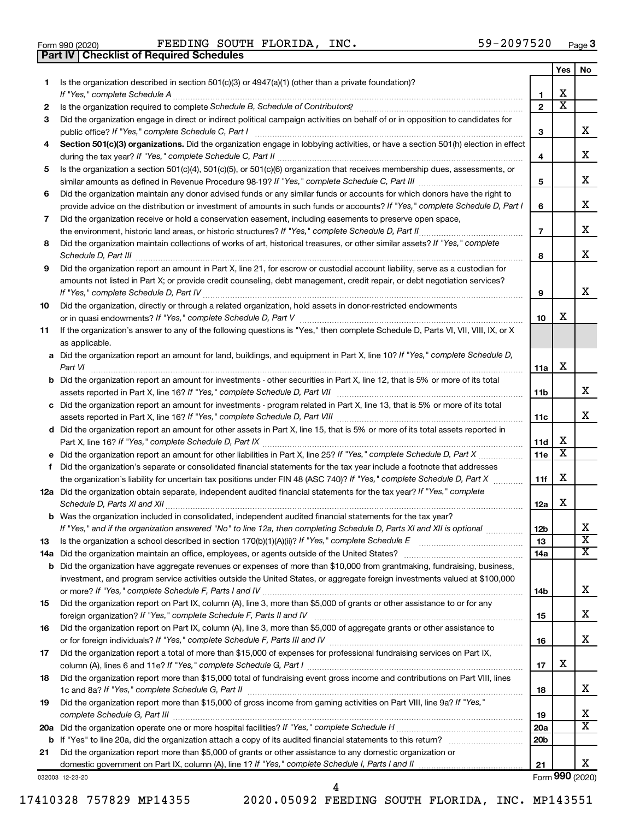|  | Form 990 (2020) |
|--|-----------------|

**Part IV Checklist of Required Schedules**

Form 990 (2020) FEEDING SOUTH FLORIDA, INC.  $59-2097520$  Page

|     |                                                                                                                                                                       |                 | Yes | No                      |
|-----|-----------------------------------------------------------------------------------------------------------------------------------------------------------------------|-----------------|-----|-------------------------|
| 1   | Is the organization described in section 501(c)(3) or 4947(a)(1) (other than a private foundation)?                                                                   |                 |     |                         |
|     |                                                                                                                                                                       | 1               | х   |                         |
| 2   | Is the organization required to complete Schedule B, Schedule of Contributors? [111] [12] the organization required to complete Schedule B, Schedule of Contributors? | $\overline{2}$  | x   |                         |
| 3   | Did the organization engage in direct or indirect political campaign activities on behalf of or in opposition to candidates for                                       | 3               |     | x                       |
| 4   | Section 501(c)(3) organizations. Did the organization engage in lobbying activities, or have a section 501(h) election in effect                                      |                 |     |                         |
|     |                                                                                                                                                                       | 4               |     | х                       |
| 5   | Is the organization a section 501(c)(4), 501(c)(5), or 501(c)(6) organization that receives membership dues, assessments, or                                          |                 |     |                         |
|     |                                                                                                                                                                       | 5               |     | x                       |
| 6   | Did the organization maintain any donor advised funds or any similar funds or accounts for which donors have the right to                                             |                 |     |                         |
|     | provide advice on the distribution or investment of amounts in such funds or accounts? If "Yes," complete Schedule D, Part I                                          | 6               |     | x                       |
| 7   | Did the organization receive or hold a conservation easement, including easements to preserve open space,                                                             |                 |     |                         |
|     |                                                                                                                                                                       | $\overline{7}$  |     | x                       |
| 8   | Did the organization maintain collections of works of art, historical treasures, or other similar assets? If "Yes," complete                                          |                 |     |                         |
|     |                                                                                                                                                                       | 8               |     | x                       |
|     |                                                                                                                                                                       |                 |     |                         |
| 9   | Did the organization report an amount in Part X, line 21, for escrow or custodial account liability, serve as a custodian for                                         |                 |     |                         |
|     | amounts not listed in Part X; or provide credit counseling, debt management, credit repair, or debt negotiation services?                                             |                 |     | х                       |
|     |                                                                                                                                                                       | 9               |     |                         |
| 10  | Did the organization, directly or through a related organization, hold assets in donor-restricted endowments                                                          |                 | х   |                         |
|     |                                                                                                                                                                       | 10              |     |                         |
| 11  | If the organization's answer to any of the following questions is "Yes," then complete Schedule D, Parts VI, VII, VIII, IX, or X                                      |                 |     |                         |
|     | as applicable.                                                                                                                                                        |                 |     |                         |
|     | a Did the organization report an amount for land, buildings, and equipment in Part X, line 10? If "Yes," complete Schedule D,                                         |                 | X   |                         |
|     |                                                                                                                                                                       | 11a             |     |                         |
|     | <b>b</b> Did the organization report an amount for investments - other securities in Part X, line 12, that is 5% or more of its total                                 |                 |     | x                       |
|     |                                                                                                                                                                       | 11b             |     |                         |
|     | c Did the organization report an amount for investments - program related in Part X, line 13, that is 5% or more of its total                                         |                 |     | х                       |
|     |                                                                                                                                                                       | 11c             |     |                         |
|     | d Did the organization report an amount for other assets in Part X, line 15, that is 5% or more of its total assets reported in                                       |                 | х   |                         |
|     |                                                                                                                                                                       | 11d             | x   |                         |
|     |                                                                                                                                                                       | 11e             |     |                         |
|     | f Did the organization's separate or consolidated financial statements for the tax year include a footnote that addresses                                             |                 | X   |                         |
|     | the organization's liability for uncertain tax positions under FIN 48 (ASC 740)? If "Yes," complete Schedule D, Part X                                                | 11f             |     |                         |
|     | 12a Did the organization obtain separate, independent audited financial statements for the tax year? If "Yes," complete                                               |                 | X   |                         |
|     |                                                                                                                                                                       | 12a             |     |                         |
|     | <b>b</b> Was the organization included in consolidated, independent audited financial statements for the tax year?                                                    |                 |     | х                       |
|     | If "Yes," and if the organization answered "No" to line 12a, then completing Schedule D, Parts XI and XII is optional                                                 | 12 <sub>b</sub> |     | $\overline{\textbf{x}}$ |
| 13  |                                                                                                                                                                       | 13              |     | x                       |
| 14a |                                                                                                                                                                       | 14a             |     |                         |
| b   | Did the organization have aggregate revenues or expenses of more than \$10,000 from grantmaking, fundraising, business,                                               |                 |     |                         |
|     | investment, and program service activities outside the United States, or aggregate foreign investments valued at \$100,000                                            |                 |     | х                       |
|     | Did the organization report on Part IX, column (A), line 3, more than \$5,000 of grants or other assistance to or for any                                             | 14b             |     |                         |
| 15  |                                                                                                                                                                       | 15              |     | х                       |
| 16  | Did the organization report on Part IX, column (A), line 3, more than \$5,000 of aggregate grants or other assistance to                                              |                 |     |                         |
|     |                                                                                                                                                                       |                 |     | x                       |
| 17  | Did the organization report a total of more than \$15,000 of expenses for professional fundraising services on Part IX,                                               | 16              |     |                         |
|     |                                                                                                                                                                       | 17              | х   |                         |
| 18  | Did the organization report more than \$15,000 total of fundraising event gross income and contributions on Part VIII, lines                                          |                 |     |                         |
|     |                                                                                                                                                                       | 18              |     | х                       |
| 19  | Did the organization report more than \$15,000 of gross income from gaming activities on Part VIII, line 9a? If "Yes,"                                                |                 |     |                         |
|     |                                                                                                                                                                       | 19              |     | х                       |
| 20a |                                                                                                                                                                       | 20a             |     | x                       |
| b   |                                                                                                                                                                       | 20 <sub>b</sub> |     |                         |
| 21  | Did the organization report more than \$5,000 of grants or other assistance to any domestic organization or                                                           |                 |     |                         |
|     |                                                                                                                                                                       | 21              |     | х                       |
|     | 032003 12-23-20                                                                                                                                                       |                 |     | Form 990 (2020)         |
|     |                                                                                                                                                                       |                 |     |                         |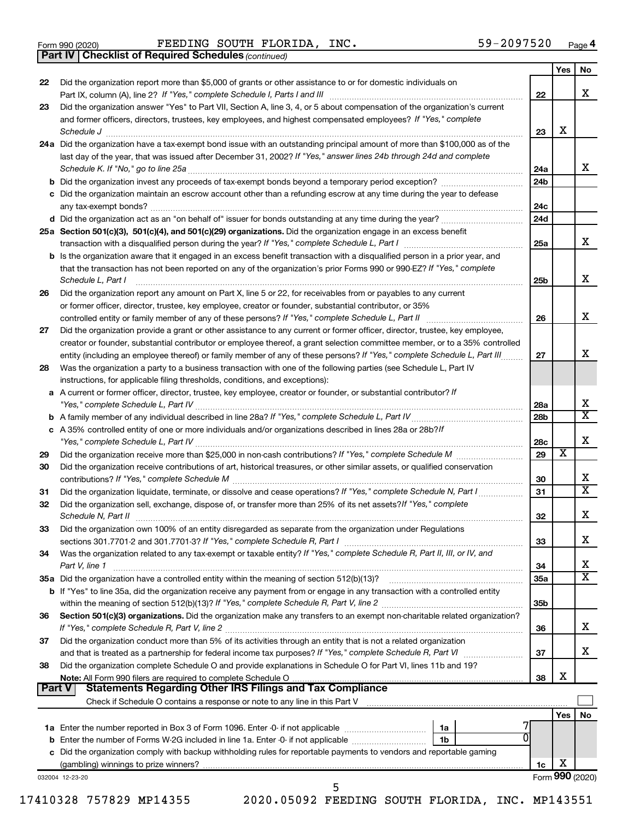|  | Form 990 (2020) |
|--|-----------------|
|  |                 |

Form 990 (2020) FEEDING SOUTH FLORIDA, INC.  $59-2097520$  Page

*(continued)* **Part IV Checklist of Required Schedules**

|               |                                                                                                                                                                 |                 | Yes                     | No                      |
|---------------|-----------------------------------------------------------------------------------------------------------------------------------------------------------------|-----------------|-------------------------|-------------------------|
| 22            | Did the organization report more than \$5,000 of grants or other assistance to or for domestic individuals on                                                   |                 |                         |                         |
|               |                                                                                                                                                                 | 22              |                         | x                       |
| 23            | Did the organization answer "Yes" to Part VII, Section A, line 3, 4, or 5 about compensation of the organization's current                                      |                 |                         |                         |
|               | and former officers, directors, trustees, key employees, and highest compensated employees? If "Yes," complete                                                  |                 |                         |                         |
|               | Schedule J                                                                                                                                                      | 23              | х                       |                         |
|               | 24a Did the organization have a tax-exempt bond issue with an outstanding principal amount of more than \$100,000 as of the                                     |                 |                         |                         |
|               | last day of the year, that was issued after December 31, 2002? If "Yes," answer lines 24b through 24d and complete                                              |                 |                         |                         |
|               |                                                                                                                                                                 | 24a             |                         | x                       |
|               |                                                                                                                                                                 | 24 <sub>b</sub> |                         |                         |
|               | c Did the organization maintain an escrow account other than a refunding escrow at any time during the year to defease                                          |                 |                         |                         |
|               |                                                                                                                                                                 | 24c             |                         |                         |
|               |                                                                                                                                                                 | 24d             |                         |                         |
|               | 25a Section 501(c)(3), 501(c)(4), and 501(c)(29) organizations. Did the organization engage in an excess benefit                                                |                 |                         |                         |
|               |                                                                                                                                                                 | 25a             |                         | x                       |
|               | b Is the organization aware that it engaged in an excess benefit transaction with a disqualified person in a prior year, and                                    |                 |                         |                         |
|               | that the transaction has not been reported on any of the organization's prior Forms 990 or 990-EZ? If "Yes," complete                                           |                 |                         |                         |
|               | Schedule L, Part I                                                                                                                                              | 25b             |                         | х                       |
| 26            | Did the organization report any amount on Part X, line 5 or 22, for receivables from or payables to any current                                                 |                 |                         |                         |
|               | or former officer, director, trustee, key employee, creator or founder, substantial contributor, or 35%                                                         |                 |                         |                         |
|               | controlled entity or family member of any of these persons? If "Yes," complete Schedule L, Part II                                                              | 26              |                         | х                       |
| 27            | Did the organization provide a grant or other assistance to any current or former officer, director, trustee, key employee,                                     |                 |                         |                         |
|               | creator or founder, substantial contributor or employee thereof, a grant selection committee member, or to a 35% controlled                                     |                 |                         |                         |
|               | entity (including an employee thereof) or family member of any of these persons? If "Yes," complete Schedule L, Part III                                        | 27              |                         | х                       |
| 28            | Was the organization a party to a business transaction with one of the following parties (see Schedule L, Part IV                                               |                 |                         |                         |
|               | instructions, for applicable filing thresholds, conditions, and exceptions):                                                                                    |                 |                         |                         |
| a             | A current or former officer, director, trustee, key employee, creator or founder, or substantial contributor? If                                                |                 |                         |                         |
|               | "Yes," complete Schedule L, Part IV                                                                                                                             | 28a             |                         | x                       |
| b             |                                                                                                                                                                 | 28 <sub>b</sub> |                         | $\overline{\textbf{X}}$ |
|               | c A 35% controlled entity of one or more individuals and/or organizations described in lines 28a or 28b?/f                                                      |                 |                         |                         |
|               |                                                                                                                                                                 | 28c             |                         | х                       |
| 29            |                                                                                                                                                                 | 29              | $\overline{\textbf{x}}$ |                         |
| 30            | Did the organization receive contributions of art, historical treasures, or other similar assets, or qualified conservation                                     |                 |                         |                         |
|               |                                                                                                                                                                 | 30              |                         | х                       |
| 31            | Did the organization liquidate, terminate, or dissolve and cease operations? If "Yes," complete Schedule N, Part I                                              | 31              |                         | $\overline{\textbf{X}}$ |
| 32            | Did the organization sell, exchange, dispose of, or transfer more than 25% of its net assets? If "Yes," complete                                                |                 |                         |                         |
|               | Schedule N, Part II                                                                                                                                             | 32              |                         | х                       |
| 33            | Did the organization own 100% of an entity disregarded as separate from the organization under Regulations                                                      |                 |                         |                         |
|               | sections 301.7701-2 and 301.7701-3? If "Yes," complete Schedule R, Part I                                                                                       | 33              |                         | х                       |
| 34            | Was the organization related to any tax-exempt or taxable entity? If "Yes," complete Schedule R, Part II, III, or IV, and                                       |                 |                         |                         |
|               | Part V, line 1                                                                                                                                                  | 34              |                         | х                       |
|               | 35a Did the organization have a controlled entity within the meaning of section 512(b)(13)?                                                                     | 35a             |                         | $\overline{\textbf{X}}$ |
|               | <b>b</b> If "Yes" to line 35a, did the organization receive any payment from or engage in any transaction with a controlled entity                              |                 |                         |                         |
|               |                                                                                                                                                                 | 35 <sub>b</sub> |                         |                         |
| 36            | Section 501(c)(3) organizations. Did the organization make any transfers to an exempt non-charitable related organization?                                      |                 |                         |                         |
|               | If "Yes," complete Schedule R, Part V, line 2                                                                                                                   | 36              |                         | х                       |
| 37            | Did the organization conduct more than 5% of its activities through an entity that is not a related organization                                                |                 |                         |                         |
|               | and that is treated as a partnership for federal income tax purposes? If "Yes," complete Schedule R, Part VI                                                    | 37              |                         | x                       |
| 38            | Did the organization complete Schedule O and provide explanations in Schedule O for Part VI, lines 11b and 19?                                                  |                 |                         |                         |
|               | Note: All Form 990 filers are required to complete Schedule O                                                                                                   | 38              | х                       |                         |
| <b>Part V</b> | <b>Statements Regarding Other IRS Filings and Tax Compliance</b>                                                                                                |                 |                         |                         |
|               | Check if Schedule O contains a response or note to any line in this Part V [11] [12] Check if Schedule O contains a response or note to any line in this Part V |                 |                         |                         |
|               |                                                                                                                                                                 |                 | Yes                     | No                      |
|               | 1a Enter the number reported in Box 3 of Form 1096. Enter -0- if not applicable<br>1a                                                                           |                 |                         |                         |
| b             | Enter the number of Forms W-2G included in line 1a. Enter -0- if not applicable<br>1 <sub>b</sub>                                                               |                 |                         |                         |
|               | c Did the organization comply with backup withholding rules for reportable payments to vendors and reportable gaming                                            |                 |                         |                         |
|               |                                                                                                                                                                 | 1c              | х                       |                         |
|               | 032004 12-23-20<br>5                                                                                                                                            |                 |                         | Form 990 (2020)         |
|               |                                                                                                                                                                 |                 |                         |                         |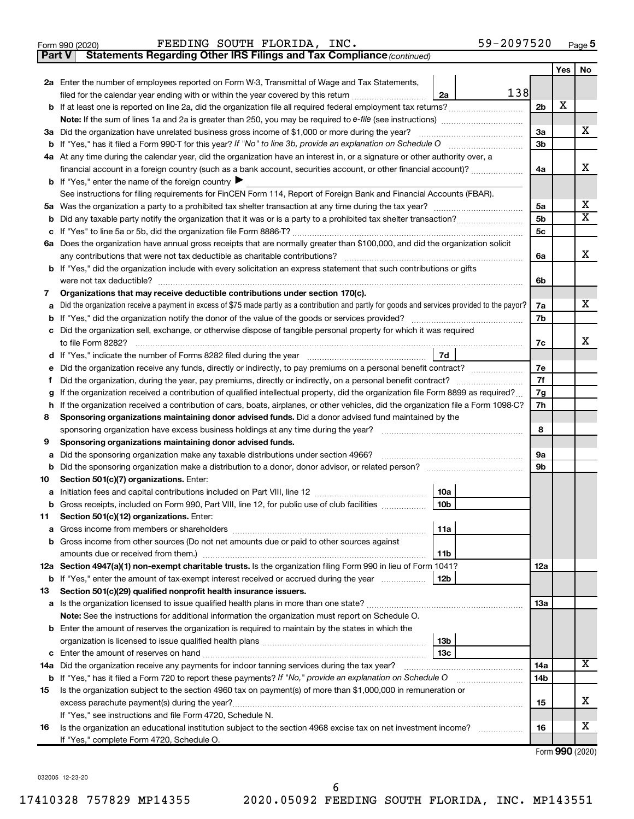|  | Form 990 (2020) |
|--|-----------------|
|  |                 |

**Part V** Statements Regarding Other IRS Filings and Tax Compliance (continued)

|                                                                                                                     |                                                                                                                                                                                                                                                                             |                | Yes | No |  |  |  |  |  |
|---------------------------------------------------------------------------------------------------------------------|-----------------------------------------------------------------------------------------------------------------------------------------------------------------------------------------------------------------------------------------------------------------------------|----------------|-----|----|--|--|--|--|--|
|                                                                                                                     | 2a Enter the number of employees reported on Form W-3, Transmittal of Wage and Tax Statements,                                                                                                                                                                              |                |     |    |  |  |  |  |  |
|                                                                                                                     | 138<br>filed for the calendar year ending with or within the year covered by this return<br>2a                                                                                                                                                                              |                |     |    |  |  |  |  |  |
| b                                                                                                                   |                                                                                                                                                                                                                                                                             | 2 <sub>b</sub> | х   |    |  |  |  |  |  |
|                                                                                                                     |                                                                                                                                                                                                                                                                             |                |     |    |  |  |  |  |  |
|                                                                                                                     | 3a Did the organization have unrelated business gross income of \$1,000 or more during the year?                                                                                                                                                                            | 3a             |     | х  |  |  |  |  |  |
|                                                                                                                     |                                                                                                                                                                                                                                                                             | 3b             |     |    |  |  |  |  |  |
|                                                                                                                     | 4a At any time during the calendar year, did the organization have an interest in, or a signature or other authority over, a                                                                                                                                                |                |     |    |  |  |  |  |  |
|                                                                                                                     | financial account in a foreign country (such as a bank account, securities account, or other financial account)?                                                                                                                                                            | 4a             |     | x  |  |  |  |  |  |
|                                                                                                                     | <b>b</b> If "Yes," enter the name of the foreign country $\blacktriangleright$                                                                                                                                                                                              |                |     |    |  |  |  |  |  |
|                                                                                                                     | See instructions for filing requirements for FinCEN Form 114, Report of Foreign Bank and Financial Accounts (FBAR).                                                                                                                                                         |                |     | x  |  |  |  |  |  |
|                                                                                                                     |                                                                                                                                                                                                                                                                             |                |     |    |  |  |  |  |  |
| b                                                                                                                   |                                                                                                                                                                                                                                                                             |                |     |    |  |  |  |  |  |
| с                                                                                                                   |                                                                                                                                                                                                                                                                             | 5с             |     |    |  |  |  |  |  |
|                                                                                                                     | 6a Does the organization have annual gross receipts that are normally greater than \$100,000, and did the organization solicit                                                                                                                                              |                |     |    |  |  |  |  |  |
|                                                                                                                     |                                                                                                                                                                                                                                                                             | 6a             |     | x  |  |  |  |  |  |
|                                                                                                                     | <b>b</b> If "Yes," did the organization include with every solicitation an express statement that such contributions or gifts                                                                                                                                               |                |     |    |  |  |  |  |  |
|                                                                                                                     |                                                                                                                                                                                                                                                                             |                |     |    |  |  |  |  |  |
| 7                                                                                                                   | Organizations that may receive deductible contributions under section 170(c).                                                                                                                                                                                               |                |     |    |  |  |  |  |  |
| a                                                                                                                   | Did the organization receive a payment in excess of \$75 made partly as a contribution and partly for goods and services provided to the payor?                                                                                                                             |                |     |    |  |  |  |  |  |
| b                                                                                                                   |                                                                                                                                                                                                                                                                             |                |     |    |  |  |  |  |  |
| с                                                                                                                   | Did the organization sell, exchange, or otherwise dispose of tangible personal property for which it was required                                                                                                                                                           |                |     |    |  |  |  |  |  |
|                                                                                                                     |                                                                                                                                                                                                                                                                             | 7c             |     | x  |  |  |  |  |  |
| d                                                                                                                   | 7d                                                                                                                                                                                                                                                                          |                |     |    |  |  |  |  |  |
| е                                                                                                                   | Did the organization receive any funds, directly or indirectly, to pay premiums on a personal benefit contract?                                                                                                                                                             | 7e             |     |    |  |  |  |  |  |
| f.                                                                                                                  |                                                                                                                                                                                                                                                                             | 7f<br>7g       |     |    |  |  |  |  |  |
| g                                                                                                                   | If the organization received a contribution of qualified intellectual property, did the organization file Form 8899 as required?<br>If the organization received a contribution of cars, boats, airplanes, or other vehicles, did the organization file a Form 1098-C?<br>h |                |     |    |  |  |  |  |  |
|                                                                                                                     | Sponsoring organizations maintaining donor advised funds. Did a donor advised fund maintained by the<br>8                                                                                                                                                                   |                |     |    |  |  |  |  |  |
|                                                                                                                     | sponsoring organization have excess business holdings at any time during the year?                                                                                                                                                                                          |                |     |    |  |  |  |  |  |
|                                                                                                                     | Sponsoring organizations maintaining donor advised funds.<br>9                                                                                                                                                                                                              |                |     |    |  |  |  |  |  |
|                                                                                                                     | Did the sponsoring organization make any taxable distributions under section 4966?<br>а                                                                                                                                                                                     |                |     |    |  |  |  |  |  |
| b                                                                                                                   |                                                                                                                                                                                                                                                                             |                |     |    |  |  |  |  |  |
| 10                                                                                                                  | Section 501(c)(7) organizations. Enter:                                                                                                                                                                                                                                     | 9b             |     |    |  |  |  |  |  |
| а                                                                                                                   | 10a                                                                                                                                                                                                                                                                         |                |     |    |  |  |  |  |  |
|                                                                                                                     | 10 <sub>b</sub><br>b Gross receipts, included on Form 990, Part VIII, line 12, for public use of club facilities                                                                                                                                                            |                |     |    |  |  |  |  |  |
| 11                                                                                                                  | Section 501(c)(12) organizations. Enter:                                                                                                                                                                                                                                    |                |     |    |  |  |  |  |  |
|                                                                                                                     | 11a                                                                                                                                                                                                                                                                         |                |     |    |  |  |  |  |  |
|                                                                                                                     | <b>b</b> Gross income from other sources (Do not net amounts due or paid to other sources against                                                                                                                                                                           |                |     |    |  |  |  |  |  |
|                                                                                                                     | 11b                                                                                                                                                                                                                                                                         |                |     |    |  |  |  |  |  |
|                                                                                                                     | 12a Section 4947(a)(1) non-exempt charitable trusts. Is the organization filing Form 990 in lieu of Form 1041?                                                                                                                                                              | 12a            |     |    |  |  |  |  |  |
|                                                                                                                     | <b>b</b> If "Yes," enter the amount of tax-exempt interest received or accrued during the year<br>12b                                                                                                                                                                       |                |     |    |  |  |  |  |  |
| 13                                                                                                                  | Section 501(c)(29) qualified nonprofit health insurance issuers.                                                                                                                                                                                                            |                |     |    |  |  |  |  |  |
|                                                                                                                     |                                                                                                                                                                                                                                                                             | 1За            |     |    |  |  |  |  |  |
|                                                                                                                     | Note: See the instructions for additional information the organization must report on Schedule O.                                                                                                                                                                           |                |     |    |  |  |  |  |  |
|                                                                                                                     | <b>b</b> Enter the amount of reserves the organization is required to maintain by the states in which the                                                                                                                                                                   |                |     |    |  |  |  |  |  |
|                                                                                                                     | 13 <sub>b</sub>                                                                                                                                                                                                                                                             |                |     |    |  |  |  |  |  |
|                                                                                                                     | 13с                                                                                                                                                                                                                                                                         |                |     |    |  |  |  |  |  |
| 14a Did the organization receive any payments for indoor tanning services during the tax year?                      |                                                                                                                                                                                                                                                                             |                |     |    |  |  |  |  |  |
| <b>b</b> If "Yes," has it filed a Form 720 to report these payments? If "No," provide an explanation on Schedule O  |                                                                                                                                                                                                                                                                             |                |     |    |  |  |  |  |  |
| Is the organization subject to the section 4960 tax on payment(s) of more than \$1,000,000 in remuneration or<br>15 |                                                                                                                                                                                                                                                                             |                |     |    |  |  |  |  |  |
|                                                                                                                     | excess parachute payment(s) during the year?                                                                                                                                                                                                                                | 15             |     | х  |  |  |  |  |  |
| If "Yes," see instructions and file Form 4720, Schedule N.                                                          |                                                                                                                                                                                                                                                                             |                |     |    |  |  |  |  |  |
| 16                                                                                                                  | Is the organization an educational institution subject to the section 4968 excise tax on net investment income?                                                                                                                                                             | 16             |     | x  |  |  |  |  |  |
|                                                                                                                     | If "Yes," complete Form 4720, Schedule O.                                                                                                                                                                                                                                   |                |     |    |  |  |  |  |  |

Form (2020) **990**

032005 12-23-20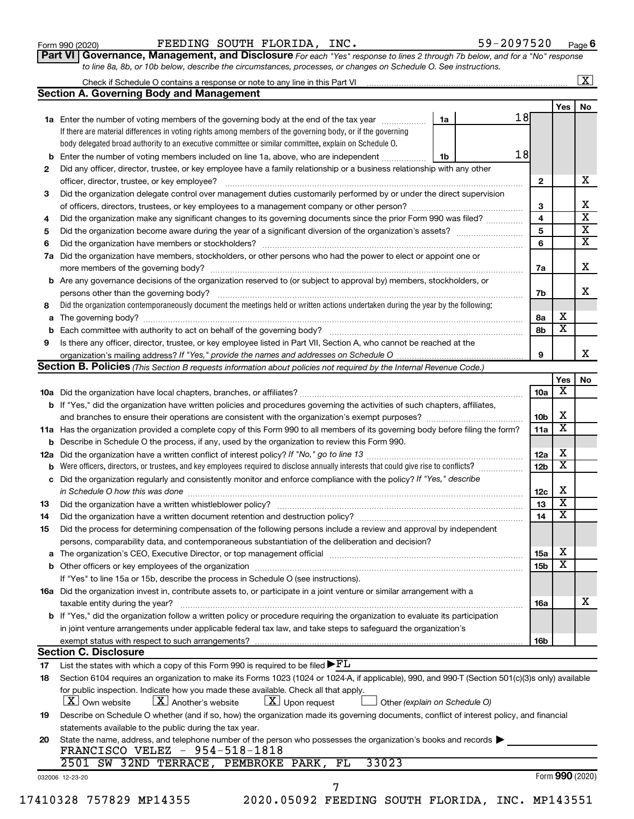| Form 990 (2020) |
|-----------------|
|-----------------|

Form 990 (2020) FEEDING SOUTH FLORIDA, INC.  $59-2097520$  Page

**Part VI** Governance, Management, and Disclosure For each "Yes" response to lines 2 through 7b below, and for a "No" response *to line 8a, 8b, or 10b below, describe the circumstances, processes, or changes on Schedule O. See instructions.*

|     | <b>Section A. Governing Body and Management</b>                                                                                                  |    |    |                 |                         | No |
|-----|--------------------------------------------------------------------------------------------------------------------------------------------------|----|----|-----------------|-------------------------|----|
|     |                                                                                                                                                  |    |    |                 | Yes                     |    |
|     | 1a Enter the number of voting members of the governing body at the end of the tax year                                                           | 1a | 18 |                 |                         |    |
|     | If there are material differences in voting rights among members of the governing body, or if the governing                                      |    |    |                 |                         |    |
|     | body delegated broad authority to an executive committee or similar committee, explain on Schedule O.                                            |    |    |                 |                         |    |
|     | Enter the number of voting members included on line 1a, above, who are independent                                                               | 1b | 18 |                 |                         |    |
| 2   | Did any officer, director, trustee, or key employee have a family relationship or a business relationship with any other                         |    |    |                 |                         |    |
|     | officer, director, trustee, or key employee?                                                                                                     |    |    | 2               |                         |    |
| 3   | Did the organization delegate control over management duties customarily performed by or under the direct supervision                            |    |    |                 |                         |    |
|     |                                                                                                                                                  |    |    | 3               |                         |    |
| 4   | Did the organization make any significant changes to its governing documents since the prior Form 990 was filed?                                 |    |    | 4               |                         |    |
| 5   |                                                                                                                                                  |    |    | 5               |                         |    |
| 6   |                                                                                                                                                  |    |    | 6               |                         |    |
|     |                                                                                                                                                  |    |    |                 |                         |    |
| 7a  | Did the organization have members, stockholders, or other persons who had the power to elect or appoint one or                                   |    |    |                 |                         |    |
|     |                                                                                                                                                  |    |    | 7a              |                         |    |
|     | <b>b</b> Are any governance decisions of the organization reserved to (or subject to approval by) members, stockholders, or                      |    |    |                 |                         |    |
|     |                                                                                                                                                  |    |    | 7b              |                         |    |
| 8   | Did the organization contemporaneously document the meetings held or written actions undertaken during the year by the following:                |    |    |                 |                         |    |
| a   |                                                                                                                                                  |    |    | 8а              | х                       |    |
|     |                                                                                                                                                  |    |    | 8b              | $\overline{\textbf{x}}$ |    |
| 9   | Is there any officer, director, trustee, or key employee listed in Part VII, Section A, who cannot be reached at the                             |    |    |                 |                         |    |
|     |                                                                                                                                                  |    |    | 9               |                         |    |
|     | <b>Section B. Policies</b> (This Section B requests information about policies not required by the Internal Revenue Code.)                       |    |    |                 |                         |    |
|     |                                                                                                                                                  |    |    |                 | Yes                     |    |
|     |                                                                                                                                                  |    |    | 10a             | х                       |    |
|     | b If "Yes," did the organization have written policies and procedures governing the activities of such chapters, affiliates,                     |    |    |                 |                         |    |
|     |                                                                                                                                                  |    |    | 10b             | х                       |    |
|     |                                                                                                                                                  |    |    |                 | $\overline{\textbf{x}}$ |    |
|     | 11a Has the organization provided a complete copy of this Form 990 to all members of its governing body before filing the form?                  |    |    | 11a             |                         |    |
|     | <b>b</b> Describe in Schedule O the process, if any, used by the organization to review this Form 990.                                           |    |    |                 |                         |    |
| 12a |                                                                                                                                                  |    |    | 12a             | х                       |    |
|     | Were officers, directors, or trustees, and key employees required to disclose annually interests that could give rise to conflicts?              |    |    | 12 <sub>b</sub> | $\overline{\textbf{x}}$ |    |
| с   | Did the organization regularly and consistently monitor and enforce compliance with the policy? If "Yes," describe                               |    |    |                 |                         |    |
|     | in Schedule O how this was done <i>manufacture contract to the set of the set of the set of the set of the set of t</i>                          |    |    | 12c             | х                       |    |
| 13  |                                                                                                                                                  |    |    | 13              | $\overline{\text{X}}$   |    |
| 14  |                                                                                                                                                  |    |    | 14              | $\overline{\textbf{x}}$ |    |
| 15  | Did the process for determining compensation of the following persons include a review and approval by independent                               |    |    |                 |                         |    |
|     | persons, comparability data, and contemporaneous substantiation of the deliberation and decision?                                                |    |    |                 |                         |    |
|     |                                                                                                                                                  |    |    | 15a             | х                       |    |
|     |                                                                                                                                                  |    |    | 15b             | $\overline{\text{X}}$   |    |
|     | If "Yes" to line 15a or 15b, describe the process in Schedule O (see instructions).                                                              |    |    |                 |                         |    |
|     |                                                                                                                                                  |    |    |                 |                         |    |
|     | 16a Did the organization invest in, contribute assets to, or participate in a joint venture or similar arrangement with a                        |    |    |                 |                         |    |
|     | taxable entity during the year?                                                                                                                  |    |    | 16a             |                         |    |
|     | b If "Yes," did the organization follow a written policy or procedure requiring the organization to evaluate its participation                   |    |    |                 |                         |    |
|     | in joint venture arrangements under applicable federal tax law, and take steps to safequard the organization's                                   |    |    |                 |                         |    |
|     | exempt status with respect to such arrangements?                                                                                                 |    |    | 16b             |                         |    |
|     | <b>Section C. Disclosure</b>                                                                                                                     |    |    |                 |                         |    |
| 17  | List the states with which a copy of this Form 990 is required to be filed $\blacktriangleright$ FL                                              |    |    |                 |                         |    |
| 18  | Section 6104 requires an organization to make its Forms 1023 (1024 or 1024-A, if applicable), 990, and 990-T (Section 501(c)(3)s only) available |    |    |                 |                         |    |
|     | for public inspection. Indicate how you made these available. Check all that apply.                                                              |    |    |                 |                         |    |
|     | $\lfloor x \rfloor$ Another's website<br>$\lfloor x \rfloor$ Upon request<br>  X   Own website<br>Other (explain on Schedule O)                  |    |    |                 |                         |    |
| 19  | Describe on Schedule O whether (and if so, how) the organization made its governing documents, conflict of interest policy, and financial        |    |    |                 |                         |    |
|     | statements available to the public during the tax year.                                                                                          |    |    |                 |                         |    |
| 20  | State the name, address, and telephone number of the person who possesses the organization's books and records                                   |    |    |                 |                         |    |
|     | FRANCISCO VELEZ - 954-518-1818                                                                                                                   |    |    |                 |                         |    |
|     | 33023<br>2501 SW 32ND TERRACE, PEMBROKE PARK,<br>FL                                                                                              |    |    |                 |                         |    |
|     |                                                                                                                                                  |    |    |                 |                         |    |
|     | 032006 12-23-20                                                                                                                                  |    |    |                 | Form 990 (2020)         |    |
|     | 7<br>2020.05092 FEEDING SOUTH FLORIDA, INC. MP143551<br>17410328 757829 MP14355                                                                  |    |    |                 |                         |    |
|     |                                                                                                                                                  |    |    |                 |                         |    |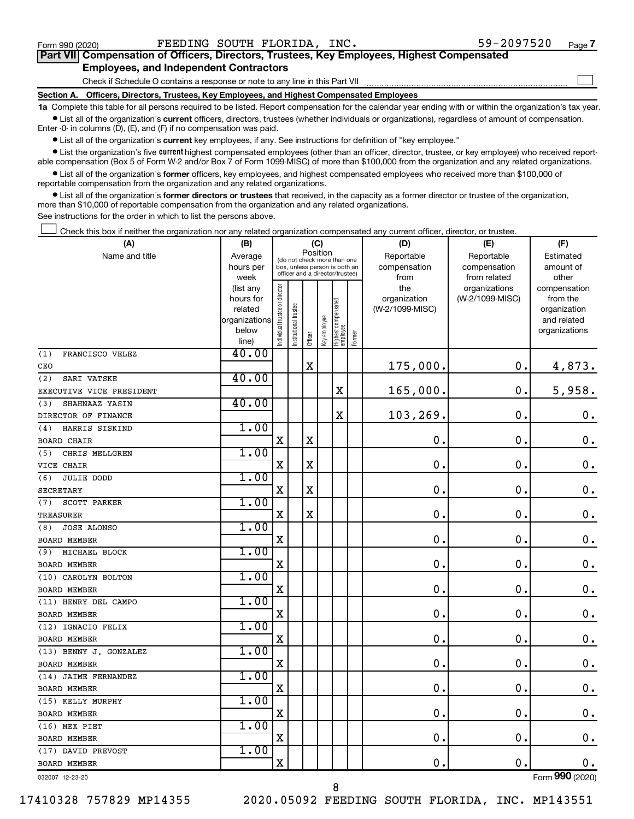$\Box$ 

| Part VII Compensation of Officers, Directors, Trustees, Key Employees, Highest Compensated |  |  |
|--------------------------------------------------------------------------------------------|--|--|
| <b>Employees, and Independent Contractors</b>                                              |  |  |

Check if Schedule O contains a response or note to any line in this Part VII

**Section A. Officers, Directors, Trustees, Key Employees, and Highest Compensated Employees**

**1a**  Complete this table for all persons required to be listed. Report compensation for the calendar year ending with or within the organization's tax year.  $\bullet$  List all of the organization's current officers, directors, trustees (whether individuals or organizations), regardless of amount of compensation.

Enter -0- in columns (D), (E), and (F) if no compensation was paid.

**•** List all of the organization's current key employees, if any. See instructions for definition of "key employee."

• List the organization's five *current* highest compensated employees (other than an officer, director, trustee, or key employee) who received reportable compensation (Box 5 of Form W-2 and/or Box 7 of Form 1099-MISC) of more than \$100,000 from the organization and any related organizations.

 $\bullet$  List all of the organization's former officers, key employees, and highest compensated employees who received more than \$100,000 of reportable compensation from the organization and any related organizations.

**•** List all of the organization's former directors or trustees that received, in the capacity as a former director or trustee of the organization, more than \$10,000 of reportable compensation from the organization and any related organizations.

See instructions for the order in which to list the persons above.

Check this box if neither the organization nor any related organization compensated any current officer, director, or trustee.  $\Box$ 

| (A)                       | (B)                    |                                |                                                                                                 | (C)         |              |                                   |        | (D)             | (E)             | (F)                |
|---------------------------|------------------------|--------------------------------|-------------------------------------------------------------------------------------------------|-------------|--------------|-----------------------------------|--------|-----------------|-----------------|--------------------|
| Name and title            | Average                |                                |                                                                                                 | Position    |              |                                   |        | Reportable      | Reportable      | Estimated          |
|                           | hours per              |                                | (do not check more than one<br>box, unless person is both an<br>officer and a director/trustee) |             |              |                                   |        | compensation    | compensation    | amount of          |
|                           | week                   |                                |                                                                                                 |             |              |                                   |        | from            | from related    | other              |
|                           | (list any              |                                |                                                                                                 |             |              |                                   |        | the             | organizations   | compensation       |
|                           | hours for              |                                |                                                                                                 |             |              |                                   |        | organization    | (W-2/1099-MISC) | from the           |
|                           | related                |                                |                                                                                                 |             |              |                                   |        | (W-2/1099-MISC) |                 | organization       |
|                           | organizations<br>below |                                |                                                                                                 |             |              |                                   |        |                 |                 | and related        |
|                           | line)                  | Individual trustee or director | Institutional trustee                                                                           | Officer     | Key employee | Highest compensated<br>  employee | Former |                 |                 | organizations      |
| (1)<br>FRANCISCO VELEZ    | 40.00                  |                                |                                                                                                 |             |              |                                   |        |                 |                 |                    |
| CEO                       |                        |                                |                                                                                                 | $\mathbf X$ |              |                                   |        | 175,000.        | $\mathbf 0$ .   | 4,873.             |
| SARI VATSKE<br>(2)        | 40.00                  |                                |                                                                                                 |             |              |                                   |        |                 |                 |                    |
| EXECUTIVE VICE PRESIDENT  |                        |                                |                                                                                                 |             |              | $\mathbf X$                       |        | 165,000.        | $\mathbf 0$ .   | 5,958.             |
| SHAHNAAZ YASIN<br>(3)     | 40.00                  |                                |                                                                                                 |             |              |                                   |        |                 |                 |                    |
| DIRECTOR OF FINANCE       |                        |                                |                                                                                                 |             |              | $\rm X$                           |        | 103,269.        | $\mathbf 0$ .   | $\boldsymbol{0}$ . |
| HARRIS SISKIND<br>(4)     | 1.00                   |                                |                                                                                                 |             |              |                                   |        |                 |                 |                    |
| <b>BOARD CHAIR</b>        |                        | $\mathbf X$                    |                                                                                                 | X           |              |                                   |        | $\mathbf 0$     | $\mathbf 0$     | $\mathbf 0$ .      |
| (5)<br>CHRIS MELLGREN     | 1.00                   |                                |                                                                                                 |             |              |                                   |        |                 |                 |                    |
| VICE CHAIR                |                        | $\mathbf X$                    |                                                                                                 | X           |              |                                   |        | $\mathbf 0$ .   | $\mathbf 0$ .   | $\mathbf 0$ .      |
| <b>JULIE DODD</b><br>(6)  | 1.00                   |                                |                                                                                                 |             |              |                                   |        |                 |                 |                    |
| <b>SECRETARY</b>          |                        | X                              |                                                                                                 | X           |              |                                   |        | $\mathbf 0$ .   | $\mathbf 0$ .   | $\mathbf 0$ .      |
| (7)<br>SCOTT PARKER       | 1.00                   |                                |                                                                                                 |             |              |                                   |        |                 |                 |                    |
| <b>TREASURER</b>          |                        | $\mathbf X$                    |                                                                                                 | $\mathbf X$ |              |                                   |        | $\mathbf 0$ .   | $\mathbf 0$ .   | $\mathbf 0$ .      |
| <b>JOSE ALONSO</b><br>(8) | 1.00                   |                                |                                                                                                 |             |              |                                   |        |                 |                 |                    |
| <b>BOARD MEMBER</b>       |                        | $\mathbf X$                    |                                                                                                 |             |              |                                   |        | $\mathbf 0$ .   | $\mathbf 0$ .   | $\mathbf 0$ .      |
| MICHAEL BLOCK<br>(9)      | 1.00                   |                                |                                                                                                 |             |              |                                   |        |                 |                 |                    |
| <b>BOARD MEMBER</b>       |                        | $\mathbf X$                    |                                                                                                 |             |              |                                   |        | $\mathbf 0$ .   | $\mathbf 0$ .   | $\mathbf 0$ .      |
| (10) CAROLYN BOLTON       | 1.00                   |                                |                                                                                                 |             |              |                                   |        |                 |                 |                    |
| <b>BOARD MEMBER</b>       |                        | X                              |                                                                                                 |             |              |                                   |        | $\mathbf 0$ .   | $\mathbf 0$ .   | $\mathbf 0$ .      |
| (11) HENRY DEL CAMPO      | 1.00                   |                                |                                                                                                 |             |              |                                   |        |                 |                 |                    |
| BOARD MEMBER              |                        | $\mathbf X$                    |                                                                                                 |             |              |                                   |        | 0.              | $\mathbf 0$ .   | $\mathbf 0$ .      |
| (12) IGNACIO FELIX        | 1.00                   |                                |                                                                                                 |             |              |                                   |        |                 |                 |                    |
| BOARD MEMBER              |                        | X                              |                                                                                                 |             |              |                                   |        | 0.              | $\mathbf 0$ .   | $\mathbf 0$ .      |
| (13) BENNY J. GONZALEZ    | 1.00                   |                                |                                                                                                 |             |              |                                   |        |                 |                 |                    |
| BOARD MEMBER              |                        | $\mathbf X$                    |                                                                                                 |             |              |                                   |        | 0.              | $\mathbf 0$     | $\mathbf 0$ .      |
| (14) JAIME FERNANDEZ      | 1.00                   |                                |                                                                                                 |             |              |                                   |        |                 |                 |                    |
| BOARD MEMBER              |                        | $\mathbf X$                    |                                                                                                 |             |              |                                   |        | $\mathbf 0$ .   | $\mathbf 0$ .   | $\mathbf 0$ .      |
| (15) KELLY MURPHY         | 1.00                   |                                |                                                                                                 |             |              |                                   |        |                 |                 |                    |
| BOARD MEMBER              |                        | X                              |                                                                                                 |             |              |                                   |        | 0.              | $\mathbf 0$ .   | $\mathbf 0$ .      |
| (16) MEX PIET             | 1.00                   |                                |                                                                                                 |             |              |                                   |        |                 |                 |                    |
| BOARD MEMBER              |                        | $\mathbf X$                    |                                                                                                 |             |              |                                   |        | 0.              | $\mathbf 0$ .   | $\mathbf 0$ .      |
| (17) DAVID PREVOST        | 1.00                   |                                |                                                                                                 |             |              |                                   |        |                 |                 |                    |
| <b>BOARD MEMBER</b>       |                        | $\mathbf X$                    |                                                                                                 |             |              |                                   |        | $\mathbf 0$ .   | $\mathbf 0$ .   | 0.                 |
| 032007 12-23-20           |                        |                                |                                                                                                 |             |              |                                   |        |                 |                 | Form 990 (2020)    |

17410328 757829 MP14355 2020.05092 FEEDING SOUTH FLORIDA, INC. MP143551

8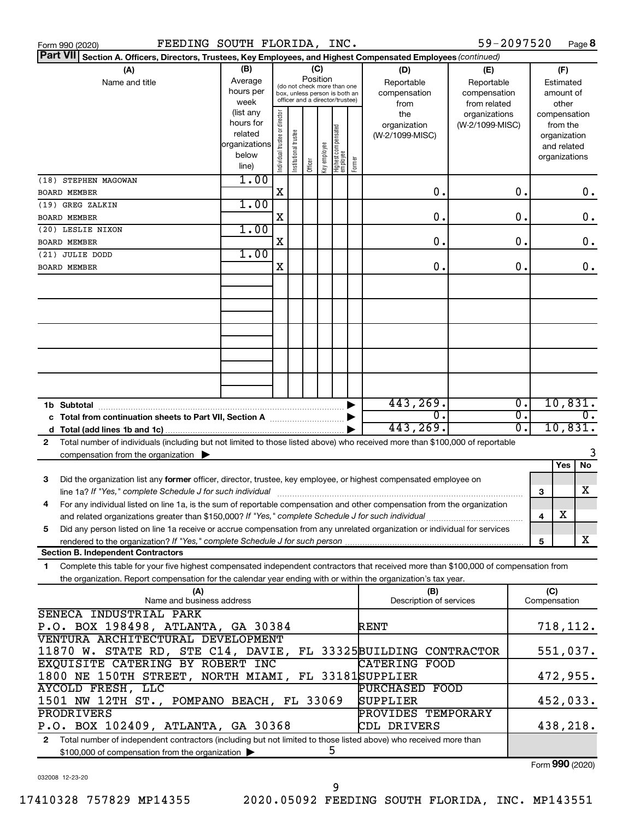| 59-2097520<br>FEEDING SOUTH FLORIDA, INC.<br>Page 8<br>Form 990 (2020)                                                                                                                        |                                                                                                        |                                                                                                                    |                      |         |              |                                 |        |                                           |                                                   |          |                             |                                                          |    |
|-----------------------------------------------------------------------------------------------------------------------------------------------------------------------------------------------|--------------------------------------------------------------------------------------------------------|--------------------------------------------------------------------------------------------------------------------|----------------------|---------|--------------|---------------------------------|--------|-------------------------------------------|---------------------------------------------------|----------|-----------------------------|----------------------------------------------------------|----|
| <b>Part VII</b>                                                                                                                                                                               | Section A. Officers, Directors, Trustees, Key Employees, and Highest Compensated Employees (continued) |                                                                                                                    |                      |         |              |                                 |        |                                           |                                                   |          |                             |                                                          |    |
| (A)<br>Name and title                                                                                                                                                                         | (B)<br>Average<br>hours per<br>week                                                                    | (C)<br>Position<br>(do not check more than one<br>box, unless person is both an<br>officer and a director/trustee) |                      |         |              |                                 |        | (D)<br>Reportable<br>compensation<br>from | (E)<br>Reportable<br>compensation<br>from related |          |                             | (F)<br>Estimated<br>amount of<br>other                   |    |
|                                                                                                                                                                                               | (list any<br>hours for<br>related<br>organizations<br>below<br>line)                                   | Individual trustee or director                                                                                     | nstitutional trustee | Officer | key employee | Highest compensated<br>employee | Former | the<br>organization<br>(W-2/1099-MISC)    | organizations<br>(W-2/1099-MISC)                  |          | compensation                | from the<br>organization<br>and related<br>organizations |    |
| (18) STEPHEN MAGOWAN                                                                                                                                                                          | 1.00                                                                                                   |                                                                                                                    |                      |         |              |                                 |        |                                           |                                                   |          |                             |                                                          |    |
| BOARD MEMBER                                                                                                                                                                                  |                                                                                                        | Χ                                                                                                                  |                      |         |              |                                 |        | 0.                                        |                                                   | о.       |                             |                                                          | 0. |
| (19) GREG ZALKIN                                                                                                                                                                              | 1.00                                                                                                   |                                                                                                                    |                      |         |              |                                 |        |                                           |                                                   |          |                             |                                                          |    |
| <b>BOARD MEMBER</b>                                                                                                                                                                           |                                                                                                        | Χ                                                                                                                  |                      |         |              |                                 |        | о.                                        |                                                   | О.       |                             |                                                          | 0. |
| (20) LESLIE NIXON<br>BOARD MEMBER                                                                                                                                                             | 1.00                                                                                                   | Χ                                                                                                                  |                      |         |              |                                 |        | 0.                                        |                                                   | о.       |                             |                                                          | 0. |
| (21) JULIE DODD                                                                                                                                                                               | 1.00                                                                                                   |                                                                                                                    |                      |         |              |                                 |        |                                           |                                                   |          |                             |                                                          |    |
| <b>BOARD MEMBER</b>                                                                                                                                                                           |                                                                                                        | Χ                                                                                                                  |                      |         |              |                                 |        | о.                                        |                                                   | о.       |                             |                                                          | 0. |
|                                                                                                                                                                                               |                                                                                                        |                                                                                                                    |                      |         |              |                                 |        |                                           |                                                   |          |                             |                                                          |    |
|                                                                                                                                                                                               |                                                                                                        |                                                                                                                    |                      |         |              |                                 |        |                                           |                                                   |          |                             |                                                          |    |
|                                                                                                                                                                                               |                                                                                                        |                                                                                                                    |                      |         |              |                                 |        |                                           |                                                   |          |                             |                                                          |    |
| 443,269.<br>$\overline{0}$ .<br>1b Subtotal                                                                                                                                                   |                                                                                                        |                                                                                                                    |                      |         |              |                                 |        |                                           |                                                   | 10,831.  |                             |                                                          |    |
| σ.<br>0.<br>443, 269.<br>d                                                                                                                                                                    |                                                                                                        |                                                                                                                    |                      |         |              |                                 |        | σ.                                        | 10,831.                                           |          |                             |                                                          |    |
| Total number of individuals (including but not limited to those listed above) who received more than \$100,000 of reportable<br>2<br>compensation from the organization $\blacktriangleright$ |                                                                                                        |                                                                                                                    |                      |         |              |                                 |        |                                           |                                                   |          |                             |                                                          |    |
|                                                                                                                                                                                               |                                                                                                        |                                                                                                                    |                      |         |              |                                 |        |                                           |                                                   |          |                             | Yes                                                      | No |
| Did the organization list any former officer, director, trustee, key employee, or highest compensated employee on<br>з<br>line 1a? If "Yes," complete Schedule J for such individual          |                                                                                                        |                                                                                                                    |                      |         |              |                                 |        |                                           |                                                   |          | 3                           |                                                          | x  |
| For any individual listed on line 1a, is the sum of reportable compensation and other compensation from the organization<br>4                                                                 |                                                                                                        |                                                                                                                    |                      |         |              |                                 |        |                                           |                                                   |          |                             |                                                          |    |
|                                                                                                                                                                                               |                                                                                                        |                                                                                                                    |                      |         |              |                                 |        |                                           |                                                   |          | 4                           | х                                                        |    |
| Did any person listed on line 1a receive or accrue compensation from any unrelated organization or individual for services<br>5                                                               |                                                                                                        |                                                                                                                    |                      |         |              |                                 |        |                                           |                                                   |          |                             |                                                          |    |
| <b>Section B. Independent Contractors</b>                                                                                                                                                     |                                                                                                        |                                                                                                                    |                      |         |              |                                 |        |                                           |                                                   |          | 5                           |                                                          | x  |
| Complete this table for your five highest compensated independent contractors that received more than \$100,000 of compensation from<br>1                                                     |                                                                                                        |                                                                                                                    |                      |         |              |                                 |        |                                           |                                                   |          |                             |                                                          |    |
| the organization. Report compensation for the calendar year ending with or within the organization's tax year.                                                                                |                                                                                                        |                                                                                                                    |                      |         |              |                                 |        |                                           |                                                   |          |                             |                                                          |    |
| (A)<br>Name and business address                                                                                                                                                              |                                                                                                        |                                                                                                                    |                      |         |              |                                 |        | (B)<br>Description of services            |                                                   |          | (C)<br>Compensation         |                                                          |    |
| SENECA INDUSTRIAL PARK                                                                                                                                                                        |                                                                                                        |                                                                                                                    |                      |         |              |                                 |        |                                           |                                                   |          |                             |                                                          |    |
| P.O. BOX 198498, ATLANTA, GA 30384                                                                                                                                                            |                                                                                                        |                                                                                                                    |                      |         |              |                                 |        | RENT                                      |                                                   |          | 718,112.                    |                                                          |    |
| VENTURA ARCHITECTURAL DEVELOPMENT                                                                                                                                                             |                                                                                                        |                                                                                                                    |                      |         |              |                                 |        |                                           |                                                   |          |                             |                                                          |    |
| 11870 W. STATE RD, STE C14, DAVIE, FL 33325BUILDING CONTRACTOR<br>EXQUISITE CATERING BY ROBERT INC                                                                                            |                                                                                                        |                                                                                                                    |                      |         |              |                                 |        | <b>CATERING FOOD</b>                      |                                                   |          | 551,037.                    |                                                          |    |
| 1800 NE 150TH STREET, NORTH MIAMI, FL 33181SUPPLIER                                                                                                                                           |                                                                                                        |                                                                                                                    |                      |         |              |                                 |        |                                           |                                                   |          | 472,955.                    |                                                          |    |
| AYCOLD FRESH, LLC<br>PURCHASED FOOD                                                                                                                                                           |                                                                                                        |                                                                                                                    |                      |         |              |                                 |        |                                           |                                                   |          |                             |                                                          |    |
| 1501 NW 12TH ST., POMPANO BEACH, FL 33069<br>SUPPLIER                                                                                                                                         |                                                                                                        |                                                                                                                    |                      |         |              |                                 |        |                                           |                                                   | 452,033. |                             |                                                          |    |
| PRODRIVERS<br>PROVIDES TEMPORARY<br>P.O. BOX 102409, ATLANTA, GA 30368<br>CDL DRIVERS                                                                                                         |                                                                                                        |                                                                                                                    |                      |         |              |                                 |        |                                           |                                                   |          | 438,218.                    |                                                          |    |
| Total number of independent contractors (including but not limited to those listed above) who received more than<br>$\mathbf{2}$                                                              |                                                                                                        |                                                                                                                    |                      |         |              |                                 |        |                                           |                                                   |          |                             |                                                          |    |
| 5<br>\$100,000 of compensation from the organization                                                                                                                                          |                                                                                                        |                                                                                                                    |                      |         |              |                                 |        |                                           |                                                   |          | $F_{\text{arm}}$ 000 (2020) |                                                          |    |

032008 12-23-20

Form (2020) **990**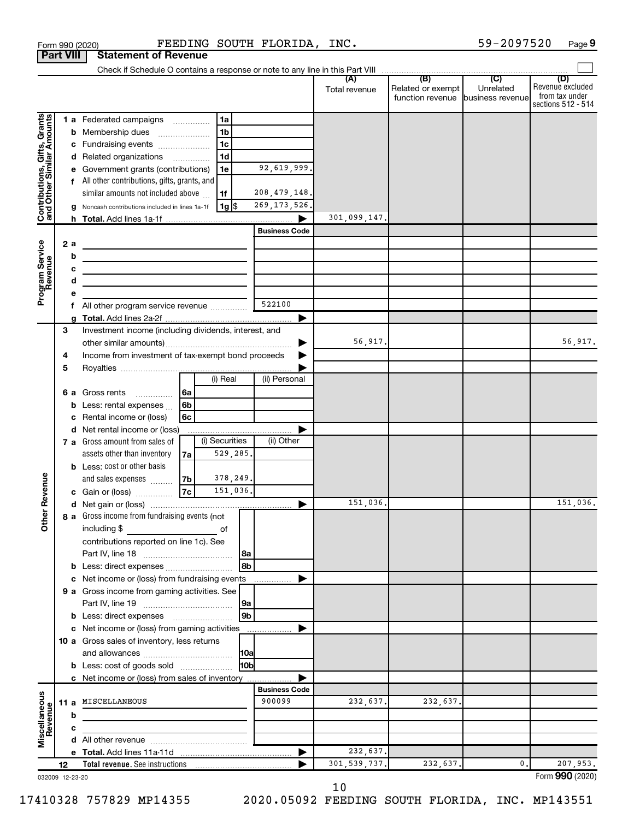|                                                           |                                                              |    | Form 990 (2020)                                                                            |    |                |                 | FEEDING SOUTH FLORIDA, INC. |                |                                                        | 59-2097520 | Page 9                                                          |
|-----------------------------------------------------------|--------------------------------------------------------------|----|--------------------------------------------------------------------------------------------|----|----------------|-----------------|-----------------------------|----------------|--------------------------------------------------------|------------|-----------------------------------------------------------------|
| <b>Part VIII</b>                                          |                                                              |    | <b>Statement of Revenue</b>                                                                |    |                |                 |                             |                |                                                        |            |                                                                 |
|                                                           |                                                              |    |                                                                                            |    |                |                 |                             |                |                                                        |            |                                                                 |
|                                                           |                                                              |    |                                                                                            |    |                |                 |                             | Total revenue  | Related or exempt<br>function revenue business revenue | Unrelated  | (D)<br>Revenue excluded<br>from tax under<br>sections 512 - 514 |
|                                                           |                                                              |    | 1 a Federated campaigns                                                                    |    | 1a             |                 |                             |                |                                                        |            |                                                                 |
| Contributions, Gifts, Grants<br>and Other Similar Amounts |                                                              |    | <b>b</b> Membership dues                                                                   |    | 1 <sub>b</sub> |                 |                             |                |                                                        |            |                                                                 |
|                                                           |                                                              |    | c Fundraising events                                                                       |    | 1 <sub>c</sub> |                 |                             |                |                                                        |            |                                                                 |
|                                                           |                                                              |    | d Related organizations                                                                    |    | 1 <sub>d</sub> |                 |                             |                |                                                        |            |                                                                 |
|                                                           |                                                              |    | Government grants (contributions)                                                          |    | 1e             |                 | 92,619,999.                 |                |                                                        |            |                                                                 |
|                                                           |                                                              |    | f All other contributions, gifts, grants, and                                              |    |                |                 |                             |                |                                                        |            |                                                                 |
|                                                           |                                                              |    | similar amounts not included above                                                         |    | 1f             |                 | 208, 479, 148.              |                |                                                        |            |                                                                 |
|                                                           |                                                              |    | Noncash contributions included in lines 1a-1f                                              |    | 1g  \$         |                 | 269, 173, 526.              | 301,099,147.   |                                                        |            |                                                                 |
|                                                           |                                                              |    |                                                                                            |    |                |                 | <b>Business Code</b>        |                |                                                        |            |                                                                 |
|                                                           |                                                              | 2a |                                                                                            |    |                |                 |                             |                |                                                        |            |                                                                 |
| Program Service<br>Revenue                                |                                                              | b  | the control of the control of the control of the control of the control of                 |    |                |                 |                             |                |                                                        |            |                                                                 |
|                                                           |                                                              | c  | the control of the control of the control of the control of the control of                 |    |                |                 |                             |                |                                                        |            |                                                                 |
|                                                           |                                                              | d  | the control of the control of the control of the control of the control of                 |    |                |                 |                             |                |                                                        |            |                                                                 |
|                                                           |                                                              | е  |                                                                                            |    |                |                 |                             |                |                                                        |            |                                                                 |
|                                                           |                                                              | f  | All other program service revenue                                                          |    |                |                 | 522100                      |                |                                                        |            |                                                                 |
|                                                           |                                                              | a  |                                                                                            |    |                |                 |                             |                |                                                        |            |                                                                 |
|                                                           | 3                                                            |    | Investment income (including dividends, interest, and                                      |    |                |                 |                             |                |                                                        |            |                                                                 |
|                                                           |                                                              |    |                                                                                            |    |                |                 |                             | 56,917.        |                                                        |            | 56,917.                                                         |
|                                                           | Income from investment of tax-exempt bond proceeds<br>4<br>5 |    |                                                                                            |    |                |                 |                             |                |                                                        |            |                                                                 |
|                                                           |                                                              |    |                                                                                            |    | (i) Real       |                 | (ii) Personal               |                |                                                        |            |                                                                 |
|                                                           |                                                              |    | 6 a Gross rents                                                                            | 6a |                |                 |                             |                |                                                        |            |                                                                 |
|                                                           |                                                              | b  | Less: rental expenses                                                                      | 6b |                |                 |                             |                |                                                        |            |                                                                 |
|                                                           |                                                              | с  | Rental income or (loss)                                                                    | 6c |                |                 |                             |                |                                                        |            |                                                                 |
|                                                           |                                                              |    | d Net rental income or (loss)                                                              |    |                |                 |                             |                |                                                        |            |                                                                 |
|                                                           |                                                              |    | <b>7 a</b> Gross amount from sales of                                                      |    | (i) Securities |                 | (ii) Other                  |                |                                                        |            |                                                                 |
|                                                           |                                                              |    | assets other than inventory                                                                | 7a | 529,285.       |                 |                             |                |                                                        |            |                                                                 |
|                                                           |                                                              |    | <b>b</b> Less: cost or other basis                                                         |    |                |                 |                             |                |                                                        |            |                                                                 |
| evenue                                                    |                                                              |    | and sales expenses                                                                         | 7b | 378,249.       |                 |                             |                |                                                        |            |                                                                 |
|                                                           |                                                              |    | c Gain or (loss)                                                                           | 7c | 151,036.       |                 |                             |                |                                                        |            |                                                                 |
|                                                           |                                                              |    |                                                                                            |    |                |                 |                             | 151,036.       |                                                        |            | 151,036.                                                        |
| Other <sub>R</sub>                                        |                                                              |    | 8 a Gross income from fundraising events (not<br>including \$                              |    |                |                 |                             |                |                                                        |            |                                                                 |
|                                                           |                                                              |    | contributions reported on line 1c). See                                                    |    | of             |                 |                             |                |                                                        |            |                                                                 |
|                                                           |                                                              |    |                                                                                            |    |                | 8a              |                             |                |                                                        |            |                                                                 |
|                                                           |                                                              | b  | Less: direct expenses                                                                      |    |                | 8b              |                             |                |                                                        |            |                                                                 |
|                                                           |                                                              | с  | Net income or (loss) from fundraising events                                               |    |                |                 |                             |                |                                                        |            |                                                                 |
|                                                           |                                                              |    | 9 a Gross income from gaming activities. See                                               |    |                |                 |                             |                |                                                        |            |                                                                 |
|                                                           |                                                              |    |                                                                                            |    |                | 9a              |                             |                |                                                        |            |                                                                 |
|                                                           |                                                              |    |                                                                                            |    |                | 9 <sub>b</sub>  |                             |                |                                                        |            |                                                                 |
|                                                           |                                                              |    | c Net income or (loss) from gaming activities                                              |    |                |                 |                             |                |                                                        |            |                                                                 |
|                                                           |                                                              |    | 10 a Gross sales of inventory, less returns                                                |    |                |                 |                             |                |                                                        |            |                                                                 |
|                                                           |                                                              |    |                                                                                            |    |                |                 |                             |                |                                                        |            |                                                                 |
|                                                           |                                                              |    | <b>b</b> Less: cost of goods sold<br><b>c</b> Net income or (loss) from sales of inventory |    |                | 10 <sub>b</sub> |                             |                |                                                        |            |                                                                 |
|                                                           |                                                              |    |                                                                                            |    |                |                 | <b>Business Code</b>        |                |                                                        |            |                                                                 |
| Miscellaneous<br>Revenue                                  |                                                              |    | 11 a MISCELLANEOUS                                                                         |    |                |                 | 900099                      | 232,637.       | 232,637.                                               |            |                                                                 |
|                                                           |                                                              | b  |                                                                                            |    |                |                 |                             |                |                                                        |            |                                                                 |
|                                                           |                                                              | c  |                                                                                            |    |                |                 |                             |                |                                                        |            |                                                                 |
|                                                           |                                                              |    |                                                                                            |    |                |                 |                             |                |                                                        |            |                                                                 |
|                                                           |                                                              |    |                                                                                            |    |                |                 |                             | 232,637.       |                                                        |            |                                                                 |
|                                                           | 12                                                           |    |                                                                                            |    |                |                 |                             | 301, 539, 737. | 232,637.                                               | 0.         | 207,953.                                                        |
| 032009 12-23-20                                           |                                                              |    |                                                                                            |    |                |                 |                             |                |                                                        |            | Form 990 (2020)                                                 |

10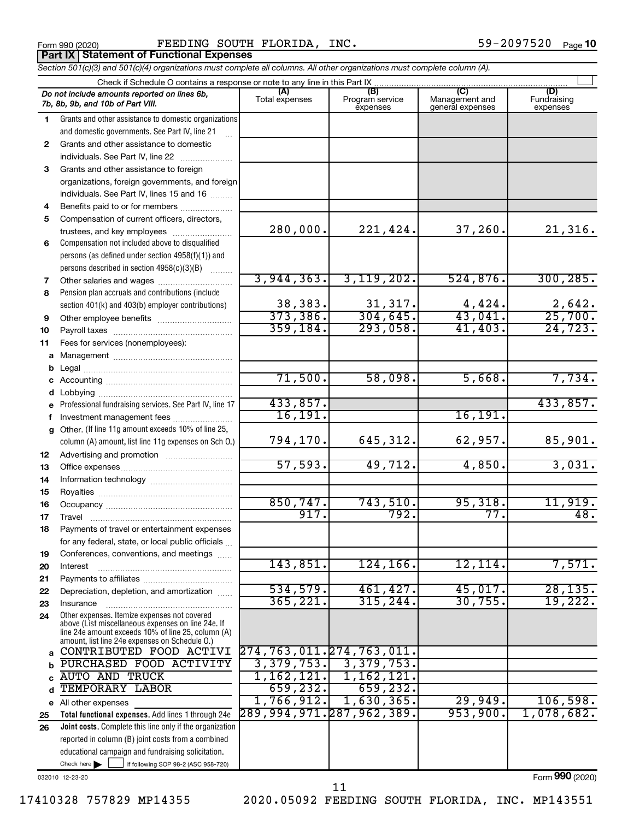Form 990 (2020) FEEDING SOUTH FLORIDA, INC.  $59-2097520$  Page **Part IX Statement of Functional Expenses**

*Section 501(c)(3) and 501(c)(4) organizations must complete all columns. All other organizations must complete column (A).*

|              | Do not include amounts reported on lines 6b,<br>7b, 8b, 9b, and 10b of Part VIII.                        | (A)<br>Total expenses    | (B)<br>Program service<br>expenses | Management and<br>general expenses | (D)<br>Fundraising<br>expenses |  |  |  |  |  |  |  |
|--------------|----------------------------------------------------------------------------------------------------------|--------------------------|------------------------------------|------------------------------------|--------------------------------|--|--|--|--|--|--|--|
| 1.           | Grants and other assistance to domestic organizations                                                    |                          |                                    |                                    |                                |  |  |  |  |  |  |  |
|              | and domestic governments. See Part IV, line 21                                                           |                          |                                    |                                    |                                |  |  |  |  |  |  |  |
| $\mathbf{2}$ | Grants and other assistance to domestic                                                                  |                          |                                    |                                    |                                |  |  |  |  |  |  |  |
|              | individuals. See Part IV, line 22                                                                        |                          |                                    |                                    |                                |  |  |  |  |  |  |  |
| 3            | Grants and other assistance to foreign                                                                   |                          |                                    |                                    |                                |  |  |  |  |  |  |  |
|              | organizations, foreign governments, and foreign                                                          |                          |                                    |                                    |                                |  |  |  |  |  |  |  |
|              | individuals. See Part IV, lines 15 and 16                                                                |                          |                                    |                                    |                                |  |  |  |  |  |  |  |
| 4            | Benefits paid to or for members                                                                          |                          |                                    |                                    |                                |  |  |  |  |  |  |  |
| 5            | Compensation of current officers, directors,                                                             |                          |                                    |                                    |                                |  |  |  |  |  |  |  |
|              | trustees, and key employees                                                                              | 280,000.                 | 221,424.                           | 37,260.                            | 21,316.                        |  |  |  |  |  |  |  |
| 6            | Compensation not included above to disqualified                                                          |                          |                                    |                                    |                                |  |  |  |  |  |  |  |
|              | persons (as defined under section 4958(f)(1)) and                                                        |                          |                                    |                                    |                                |  |  |  |  |  |  |  |
|              | persons described in section 4958(c)(3)(B)                                                               |                          |                                    |                                    |                                |  |  |  |  |  |  |  |
| 7            | Other salaries and wages                                                                                 | 3,944,363.               | 3, 119, 202.                       | 524,876.                           | 300, 285.                      |  |  |  |  |  |  |  |
| 8            | Pension plan accruals and contributions (include                                                         |                          |                                    |                                    |                                |  |  |  |  |  |  |  |
|              | section 401(k) and 403(b) employer contributions)                                                        | 38,383.<br>373,386.      | 31,317.<br>304, 645.               | $\frac{4,424}{43,041}$ .           | $\frac{2,642}{25,700}$         |  |  |  |  |  |  |  |
| 9            |                                                                                                          | 359, 184.                | 293,058.                           | 41,403.                            | 24, 723.                       |  |  |  |  |  |  |  |
| 10           | Fees for services (nonemployees):                                                                        |                          |                                    |                                    |                                |  |  |  |  |  |  |  |
| 11<br>a      |                                                                                                          |                          |                                    |                                    |                                |  |  |  |  |  |  |  |
|              |                                                                                                          |                          |                                    |                                    |                                |  |  |  |  |  |  |  |
|              |                                                                                                          | 71,500.                  | 58,098.                            | 5,668.                             | 7,734.                         |  |  |  |  |  |  |  |
|              | Lobbying                                                                                                 |                          |                                    |                                    |                                |  |  |  |  |  |  |  |
| е            | Professional fundraising services. See Part IV, line 17                                                  | 433,857.                 |                                    |                                    | 433,857.                       |  |  |  |  |  |  |  |
|              | Investment management fees                                                                               | 16, 191.                 |                                    | 16, 191.                           |                                |  |  |  |  |  |  |  |
| g            | Other. (If line 11g amount exceeds 10% of line 25,                                                       |                          |                                    |                                    |                                |  |  |  |  |  |  |  |
|              | column (A) amount, list line 11g expenses on Sch O.)                                                     | 794,170.                 | 645, 312.                          | 62,957.                            | 85,901.                        |  |  |  |  |  |  |  |
| 12           |                                                                                                          |                          |                                    |                                    |                                |  |  |  |  |  |  |  |
| 13           |                                                                                                          | 57,593.                  | 49,712.                            | 4,850.                             | 3,031.                         |  |  |  |  |  |  |  |
| 14           |                                                                                                          |                          |                                    |                                    |                                |  |  |  |  |  |  |  |
| 15           |                                                                                                          |                          |                                    |                                    |                                |  |  |  |  |  |  |  |
| 16           |                                                                                                          | 850, 747.                | 743,510.                           | 95,318.                            | 11,919.                        |  |  |  |  |  |  |  |
| 17           |                                                                                                          | 917.                     | 792.                               | 77.                                | 48.                            |  |  |  |  |  |  |  |
| 18           | Payments of travel or entertainment expenses                                                             |                          |                                    |                                    |                                |  |  |  |  |  |  |  |
|              | for any federal, state, or local public officials                                                        |                          |                                    |                                    |                                |  |  |  |  |  |  |  |
| 19           | Conferences, conventions, and meetings<br>Interest                                                       | 143,851.                 | 124, 166.                          | 12,114.                            | 7,571.                         |  |  |  |  |  |  |  |
| 20<br>21     |                                                                                                          |                          |                                    |                                    |                                |  |  |  |  |  |  |  |
| 22           | Depreciation, depletion, and amortization                                                                | 534,579.                 | 461,427.                           | 45,017.                            | 28, 135.                       |  |  |  |  |  |  |  |
| 23           | Insurance                                                                                                | 365, 221.                | 315, 244.                          | 30,755.                            | 19,222.                        |  |  |  |  |  |  |  |
| 24           | Other expenses. Itemize expenses not covered                                                             |                          |                                    |                                    |                                |  |  |  |  |  |  |  |
|              | above (List miscellaneous expenses on line 24e. If<br>line 24e amount exceeds 10% of line 25, column (A) |                          |                                    |                                    |                                |  |  |  |  |  |  |  |
|              | amount, list line 24e expenses on Schedule O.)                                                           |                          |                                    |                                    |                                |  |  |  |  |  |  |  |
| a            | CONTRIBUTED FOOD ACTIVI                                                                                  |                          | 274, 763, 011. 274, 763, 011.      |                                    |                                |  |  |  |  |  |  |  |
|              | PURCHASED FOOD ACTIVITY                                                                                  | 3,379,753.               | 3,379,753.                         |                                    |                                |  |  |  |  |  |  |  |
|              | <b>AUTO AND TRUCK</b>                                                                                    | 1,162,121.               | 1,162,121.                         |                                    |                                |  |  |  |  |  |  |  |
|              | TEMPORARY LABOR                                                                                          | 659, 232.                | 659, 232.                          |                                    |                                |  |  |  |  |  |  |  |
|              | e All other expenses                                                                                     | 1,766,912.               | 1,630,365.                         | 29,949.                            | 106,598.                       |  |  |  |  |  |  |  |
| 25           | Total functional expenses. Add lines 1 through 24e                                                       | 289,994,971.287,962,389. |                                    | 953,900.                           | 1,078,682.                     |  |  |  |  |  |  |  |
| 26           | Joint costs. Complete this line only if the organization                                                 |                          |                                    |                                    |                                |  |  |  |  |  |  |  |
|              | reported in column (B) joint costs from a combined                                                       |                          |                                    |                                    |                                |  |  |  |  |  |  |  |
|              | educational campaign and fundraising solicitation.                                                       |                          |                                    |                                    |                                |  |  |  |  |  |  |  |
|              | Check here $\blacktriangleright$<br>if following SOP 98-2 (ASC 958-720)                                  |                          |                                    |                                    |                                |  |  |  |  |  |  |  |

032010 12-23-20

Form (2020) **990**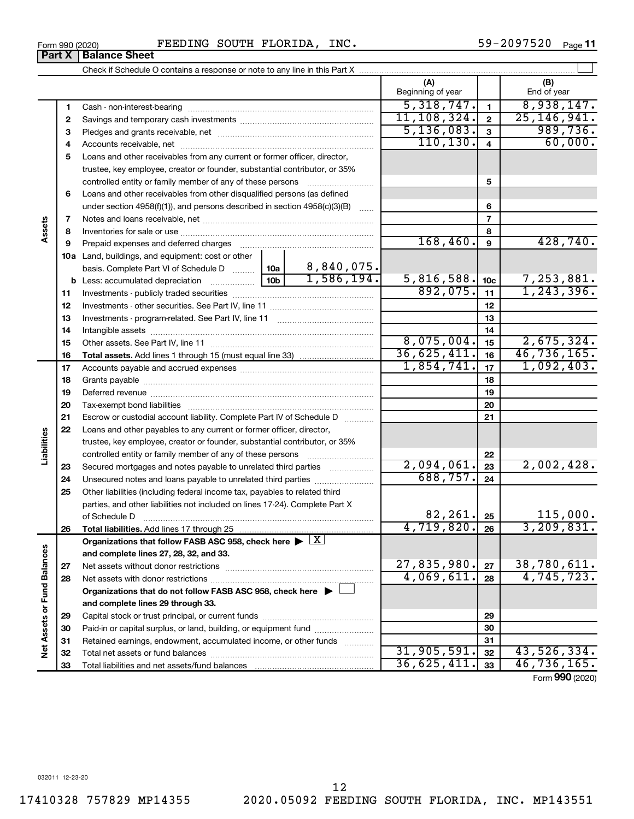$31,905,591.$   $32$   $43,526,334.$ 36,625,411. 46,736,165.

Form (2020) **990**

#### Form 990 (2020) FEEDING SOUTH FLORIDA, INC.  $59-2097520$  Page Check if Schedule O contains a response or note to any line in this Part X **Part X Balance Sheet**

Capital stock or trust principal, or current funds ~~~~~~~~~~~~~~~ Paid-in or capital surplus, or land, building, or equipment fund ....................... Retained earnings, endowment, accumulated income, or other funds ............ Total net assets or fund balances ~~~~~~~~~~~~~~~~~~~~~~

Total liabilities and net assets/fund balances

|              |                                                                                                                                                            |                 |            | (A)<br>Beginning of year |                         | (B)<br>End of year |
|--------------|------------------------------------------------------------------------------------------------------------------------------------------------------------|-----------------|------------|--------------------------|-------------------------|--------------------|
| 1            |                                                                                                                                                            |                 |            | 5,318,747.               | $\mathbf{1}$            | 8,938,147.         |
| $\mathbf{2}$ |                                                                                                                                                            |                 |            | 11,108,324.              | $\mathbf{2}$            | 25, 146, 941.      |
| 3            |                                                                                                                                                            |                 |            | 5,136,083.               | 3                       | 989,736.           |
| 4            |                                                                                                                                                            |                 |            | 110, 130.                | $\overline{\mathbf{4}}$ | 60,000.            |
| 5            | Loans and other receivables from any current or former officer, director,                                                                                  |                 |            |                          |                         |                    |
|              | trustee, key employee, creator or founder, substantial contributor, or 35%                                                                                 |                 |            |                          |                         |                    |
|              | controlled entity or family member of any of these persons                                                                                                 |                 |            |                          | 5                       |                    |
| 6            | Loans and other receivables from other disqualified persons (as defined                                                                                    |                 |            |                          |                         |                    |
|              | under section $4958(f)(1)$ , and persons described in section $4958(c)(3)(B)$                                                                              |                 | 6          |                          |                         |                    |
| 7            |                                                                                                                                                            |                 |            |                          | $\overline{7}$          |                    |
| 8            |                                                                                                                                                            |                 |            |                          | 8                       |                    |
| 9            |                                                                                                                                                            |                 |            | 168,460.                 | 9                       | 428,740.           |
|              | 10a Land, buildings, and equipment: cost or other                                                                                                          |                 |            |                          |                         |                    |
|              | basis. Complete Part VI of Schedule D  10a                                                                                                                 |                 | 8,840,075. |                          |                         |                    |
|              |                                                                                                                                                            | 10 <sub>b</sub> | 1,586,194. | 5,816,588.               | 10 <sub>c</sub>         | 7,253,881.         |
| 11           |                                                                                                                                                            |                 |            | 892,075.                 | 11                      | 1, 243, 396.       |
| 12           |                                                                                                                                                            |                 |            |                          | 12                      |                    |
| 13           |                                                                                                                                                            |                 | 13         |                          |                         |                    |
| 14           |                                                                                                                                                            |                 | 14         |                          |                         |                    |
| 15           |                                                                                                                                                            |                 |            | 8,075,004.               | 15                      | 2,675,324.         |
| 16           |                                                                                                                                                            |                 |            | 36,625,411.              | 16                      | 46,736,165.        |
| 17           |                                                                                                                                                            |                 |            | 1,854,741.               | 17                      | 1,092,403.         |
| 18           |                                                                                                                                                            |                 |            |                          | 18                      |                    |
| 19           |                                                                                                                                                            |                 |            |                          | 19                      |                    |
| 20           |                                                                                                                                                            |                 |            |                          | 20                      |                    |
| 21           | Escrow or custodial account liability. Complete Part IV of Schedule D                                                                                      |                 |            |                          | 21                      |                    |
| 22           | Loans and other payables to any current or former officer, director,                                                                                       |                 |            |                          |                         |                    |
|              | trustee, key employee, creator or founder, substantial contributor, or 35%                                                                                 |                 |            |                          |                         |                    |
|              | controlled entity or family member of any of these persons                                                                                                 |                 |            |                          | 22                      | 2,002,428.         |
| 23           | Secured mortgages and notes payable to unrelated third parties                                                                                             |                 |            | 2,094,061.<br>688,757.   | 23                      |                    |
| 24           | Unsecured notes and loans payable to unrelated third parties                                                                                               |                 |            |                          | 24                      |                    |
| 25           | Other liabilities (including federal income tax, payables to related third<br>parties, and other liabilities not included on lines 17-24). Complete Part X |                 |            |                          |                         |                    |
|              | of Schedule D                                                                                                                                              |                 |            | 82,261.                  | 25                      | 115,000.           |
| 26           | Total liabilities. Add lines 17 through 25                                                                                                                 |                 |            | 4,719,820.               | 26                      | 3, 209, 831.       |
|              | Organizations that follow FASB ASC 958, check here $\blacktriangleright \lfloor \underline{X} \rfloor$                                                     |                 |            |                          |                         |                    |
|              | and complete lines 27, 28, 32, and 33.                                                                                                                     |                 |            |                          |                         |                    |
| 27           |                                                                                                                                                            |                 |            | 27,835,980.              | 27                      | 38,780,611.        |
| 28           |                                                                                                                                                            |                 |            | 4,069,611.               | 28                      | 4,745,723.         |
|              | Organizations that do not follow FASB ASC 958, check here $\blacktriangleright$ [                                                                          |                 |            |                          |                         |                    |
|              | and complete lines 29 through 33.                                                                                                                          |                 |            |                          |                         |                    |
| 29           | Capital stock or trust principal, or current funds                                                                                                         |                 |            |                          | 29                      |                    |

 $\perp$ 

**Assets**

**23 24 25**

**Liabilities**

**26**

**27 28**

**Net Assets or Fund Balances**

Net Assets or Fund Balances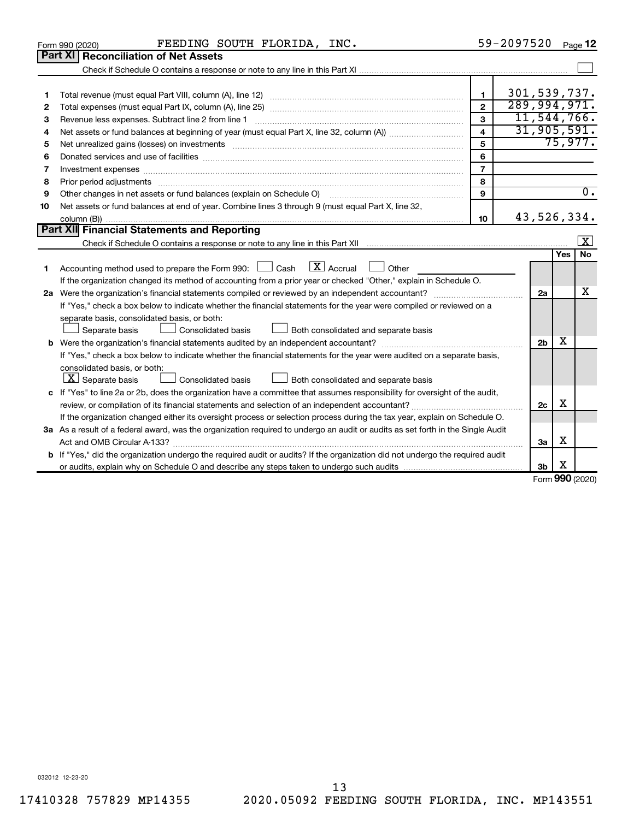|    | FEEDING SOUTH FLORIDA, INC.<br>Form 990 (2020)                                                                                                                                                                                 |                         | 59-2097520 Page 12 |                |     |                    |
|----|--------------------------------------------------------------------------------------------------------------------------------------------------------------------------------------------------------------------------------|-------------------------|--------------------|----------------|-----|--------------------|
|    | Part XI   Reconciliation of Net Assets                                                                                                                                                                                         |                         |                    |                |     |                    |
|    |                                                                                                                                                                                                                                |                         |                    |                |     |                    |
|    |                                                                                                                                                                                                                                |                         |                    |                |     |                    |
| 1  |                                                                                                                                                                                                                                | $\mathbf{1}$            | 301,539,737.       |                |     |                    |
| 2  |                                                                                                                                                                                                                                | $\overline{2}$          | 289,994,971.       |                |     |                    |
| З  |                                                                                                                                                                                                                                | 3                       |                    |                |     | 11, 544, 766.      |
| 4  |                                                                                                                                                                                                                                | $\overline{\mathbf{A}}$ |                    | 31, 905, 591.  |     |                    |
| 5  | Net unrealized gains (losses) on investments [111] matter in the contract of the contract of the contract of the contract of the contract of the contract of the contract of the contract of the contract of the contract of t | 5                       |                    |                |     | 75,977.            |
| 6  | Donated services and use of facilities [[11,11]] with an intervention and service and use of facilities [[11,1                                                                                                                 | 6                       |                    |                |     |                    |
| 7  | Investment expenses www.communication.com/www.communication.com/www.communication.com/www.com                                                                                                                                  | $\overline{7}$          |                    |                |     |                    |
| 8  |                                                                                                                                                                                                                                | 8                       |                    |                |     |                    |
| 9  | Other changes in net assets or fund balances (explain on Schedule O) [11] [12] manument changes in net assets or fund balances (explain on Schedule O) [12] manument changes in net assets or fund balances (explain on Schedu | 9                       |                    |                |     | $\overline{0}$ .   |
| 10 | Net assets or fund balances at end of year. Combine lines 3 through 9 (must equal Part X, line 32,                                                                                                                             |                         |                    |                |     |                    |
|    |                                                                                                                                                                                                                                | 10                      |                    | 43,526,334.    |     |                    |
|    | <b>Part XII Financial Statements and Reporting</b>                                                                                                                                                                             |                         |                    |                |     |                    |
|    |                                                                                                                                                                                                                                |                         |                    |                |     | $\boxed{\text{X}}$ |
|    |                                                                                                                                                                                                                                |                         |                    |                | Yes | <b>No</b>          |
| 1  | $\lfloor$ X $\rfloor$ Accrual<br>Accounting method used to prepare the Form 990: [130] Cash<br>$\Box$ Other                                                                                                                    |                         |                    |                |     |                    |
|    | If the organization changed its method of accounting from a prior year or checked "Other," explain in Schedule O.                                                                                                              |                         |                    |                |     |                    |
|    |                                                                                                                                                                                                                                |                         |                    | 2a             |     | X                  |
|    | If "Yes," check a box below to indicate whether the financial statements for the year were compiled or reviewed on a                                                                                                           |                         |                    |                |     |                    |
|    | separate basis, consolidated basis, or both:                                                                                                                                                                                   |                         |                    |                |     |                    |
|    | Consolidated basis<br>Both consolidated and separate basis<br>Separate basis                                                                                                                                                   |                         |                    |                |     |                    |
|    |                                                                                                                                                                                                                                |                         |                    | 2 <sub>b</sub> | х   |                    |
|    | If "Yes," check a box below to indicate whether the financial statements for the year were audited on a separate basis,                                                                                                        |                         |                    |                |     |                    |
|    | consolidated basis, or both:                                                                                                                                                                                                   |                         |                    |                |     |                    |
|    | $ \mathbf{X} $ Separate basis<br>Both consolidated and separate basis<br>Consolidated basis<br>$\Box$                                                                                                                          |                         |                    |                |     |                    |
|    | c If "Yes" to line 2a or 2b, does the organization have a committee that assumes responsibility for oversight of the audit,                                                                                                    |                         |                    |                |     |                    |
|    |                                                                                                                                                                                                                                |                         |                    | 2c             | х   |                    |
|    | If the organization changed either its oversight process or selection process during the tax year, explain on Schedule O.                                                                                                      |                         |                    |                |     |                    |
|    | 3a As a result of a federal award, was the organization required to undergo an audit or audits as set forth in the Single Audit                                                                                                |                         |                    |                |     |                    |
|    |                                                                                                                                                                                                                                |                         |                    | За             | х   |                    |
|    | <b>b</b> If "Yes," did the organization undergo the required audit or audits? If the organization did not undergo the required audit                                                                                           |                         |                    |                |     |                    |
|    |                                                                                                                                                                                                                                |                         |                    | 3b             | х   |                    |
|    |                                                                                                                                                                                                                                |                         |                    |                |     | Form 990 (2020)    |

Form 990 (2020) **990**

032012 12-23-20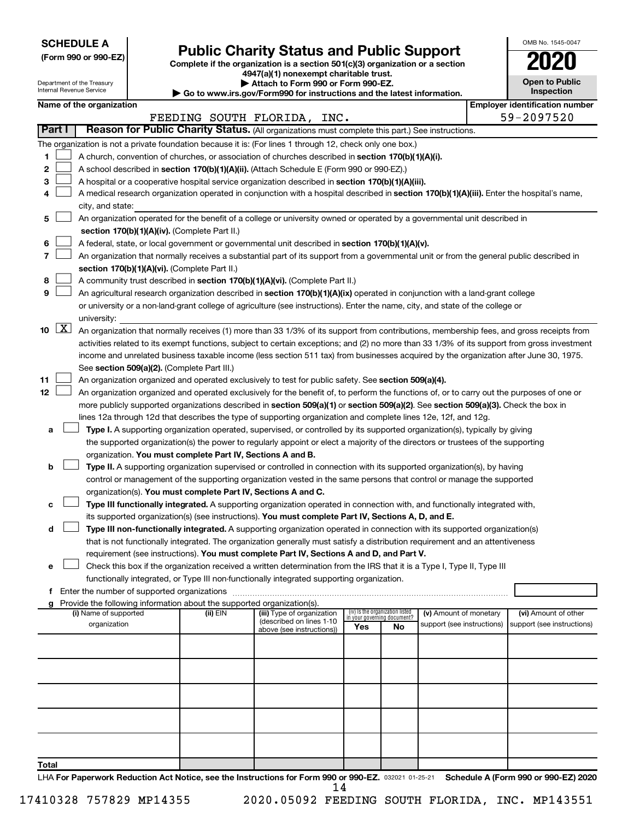**SCHEDULE A**

Department of the Treasury Internal Revenue Service

# Form 990 or 990-EZ) **Public Charity Status and Public Support**<br>
Complete if the organization is a section 501(c)(3) organization or a section<br> **2020**

**4947(a)(1) nonexempt charitable trust. | Attach to Form 990 or Form 990-EZ.** 

**| Go to www.irs.gov/Form990 for instructions and the latest information.**

| <b>Open to Public</b><br>Inspection |
|-------------------------------------|

OMB No. 1545-0047

|                 | Name of the organization<br><b>Employer identification number</b>                                                                  |                                                                                                                                                                                                                                                    |          |                                                       |                                 |                             |                            |  |                            |  |  |  |
|-----------------|------------------------------------------------------------------------------------------------------------------------------------|----------------------------------------------------------------------------------------------------------------------------------------------------------------------------------------------------------------------------------------------------|----------|-------------------------------------------------------|---------------------------------|-----------------------------|----------------------------|--|----------------------------|--|--|--|
|                 |                                                                                                                                    |                                                                                                                                                                                                                                                    |          | FEEDING SOUTH FLORIDA, INC.                           |                                 |                             |                            |  | 59-2097520                 |  |  |  |
|                 | Part I                                                                                                                             | Reason for Public Charity Status. (All organizations must complete this part.) See instructions.                                                                                                                                                   |          |                                                       |                                 |                             |                            |  |                            |  |  |  |
|                 |                                                                                                                                    | The organization is not a private foundation because it is: (For lines 1 through 12, check only one box.)                                                                                                                                          |          |                                                       |                                 |                             |                            |  |                            |  |  |  |
| 1               |                                                                                                                                    | A church, convention of churches, or association of churches described in section 170(b)(1)(A)(i).                                                                                                                                                 |          |                                                       |                                 |                             |                            |  |                            |  |  |  |
| 2               |                                                                                                                                    | A school described in section 170(b)(1)(A)(ii). (Attach Schedule E (Form 990 or 990-EZ).)                                                                                                                                                          |          |                                                       |                                 |                             |                            |  |                            |  |  |  |
| 3               |                                                                                                                                    | A hospital or a cooperative hospital service organization described in section 170(b)(1)(A)(iii).                                                                                                                                                  |          |                                                       |                                 |                             |                            |  |                            |  |  |  |
| 4               |                                                                                                                                    | A medical research organization operated in conjunction with a hospital described in section 170(b)(1)(A)(iii). Enter the hospital's name,                                                                                                         |          |                                                       |                                 |                             |                            |  |                            |  |  |  |
|                 |                                                                                                                                    | city, and state:                                                                                                                                                                                                                                   |          |                                                       |                                 |                             |                            |  |                            |  |  |  |
| 5               |                                                                                                                                    | An organization operated for the benefit of a college or university owned or operated by a governmental unit described in                                                                                                                          |          |                                                       |                                 |                             |                            |  |                            |  |  |  |
|                 |                                                                                                                                    | section 170(b)(1)(A)(iv). (Complete Part II.)                                                                                                                                                                                                      |          |                                                       |                                 |                             |                            |  |                            |  |  |  |
| 6               |                                                                                                                                    | A federal, state, or local government or governmental unit described in section 170(b)(1)(A)(v).                                                                                                                                                   |          |                                                       |                                 |                             |                            |  |                            |  |  |  |
| 7               |                                                                                                                                    | An organization that normally receives a substantial part of its support from a governmental unit or from the general public described in                                                                                                          |          |                                                       |                                 |                             |                            |  |                            |  |  |  |
|                 |                                                                                                                                    | section 170(b)(1)(A)(vi). (Complete Part II.)                                                                                                                                                                                                      |          |                                                       |                                 |                             |                            |  |                            |  |  |  |
| 8               |                                                                                                                                    | A community trust described in section 170(b)(1)(A)(vi). (Complete Part II.)                                                                                                                                                                       |          |                                                       |                                 |                             |                            |  |                            |  |  |  |
| 9               |                                                                                                                                    | An agricultural research organization described in section 170(b)(1)(A)(ix) operated in conjunction with a land-grant college                                                                                                                      |          |                                                       |                                 |                             |                            |  |                            |  |  |  |
|                 |                                                                                                                                    | or university or a non-land-grant college of agriculture (see instructions). Enter the name, city, and state of the college or                                                                                                                     |          |                                                       |                                 |                             |                            |  |                            |  |  |  |
|                 | $10 \quad \boxed{X}$                                                                                                               | university:                                                                                                                                                                                                                                        |          |                                                       |                                 |                             |                            |  |                            |  |  |  |
|                 |                                                                                                                                    | An organization that normally receives (1) more than 33 1/3% of its support from contributions, membership fees, and gross receipts from                                                                                                           |          |                                                       |                                 |                             |                            |  |                            |  |  |  |
|                 |                                                                                                                                    | activities related to its exempt functions, subject to certain exceptions; and (2) no more than 33 1/3% of its support from gross investment                                                                                                       |          |                                                       |                                 |                             |                            |  |                            |  |  |  |
|                 |                                                                                                                                    | income and unrelated business taxable income (less section 511 tax) from businesses acquired by the organization after June 30, 1975.                                                                                                              |          |                                                       |                                 |                             |                            |  |                            |  |  |  |
| 11              |                                                                                                                                    | See section 509(a)(2). (Complete Part III.)                                                                                                                                                                                                        |          |                                                       |                                 |                             |                            |  |                            |  |  |  |
| 12 <sub>2</sub> |                                                                                                                                    | An organization organized and operated exclusively to test for public safety. See section 509(a)(4).<br>An organization organized and operated exclusively for the benefit of, to perform the functions of, or to carry out the purposes of one or |          |                                                       |                                 |                             |                            |  |                            |  |  |  |
|                 | more publicly supported organizations described in section 509(a)(1) or section 509(a)(2). See section 509(a)(3). Check the box in |                                                                                                                                                                                                                                                    |          |                                                       |                                 |                             |                            |  |                            |  |  |  |
|                 | lines 12a through 12d that describes the type of supporting organization and complete lines 12e, 12f, and 12g.                     |                                                                                                                                                                                                                                                    |          |                                                       |                                 |                             |                            |  |                            |  |  |  |
| а               |                                                                                                                                    | Type I. A supporting organization operated, supervised, or controlled by its supported organization(s), typically by giving                                                                                                                        |          |                                                       |                                 |                             |                            |  |                            |  |  |  |
|                 |                                                                                                                                    | the supported organization(s) the power to regularly appoint or elect a majority of the directors or trustees of the supporting                                                                                                                    |          |                                                       |                                 |                             |                            |  |                            |  |  |  |
|                 |                                                                                                                                    | organization. You must complete Part IV, Sections A and B.                                                                                                                                                                                         |          |                                                       |                                 |                             |                            |  |                            |  |  |  |
| b               |                                                                                                                                    | Type II. A supporting organization supervised or controlled in connection with its supported organization(s), by having                                                                                                                            |          |                                                       |                                 |                             |                            |  |                            |  |  |  |
|                 |                                                                                                                                    | control or management of the supporting organization vested in the same persons that control or manage the supported                                                                                                                               |          |                                                       |                                 |                             |                            |  |                            |  |  |  |
|                 |                                                                                                                                    | organization(s). You must complete Part IV, Sections A and C.                                                                                                                                                                                      |          |                                                       |                                 |                             |                            |  |                            |  |  |  |
| с               |                                                                                                                                    | Type III functionally integrated. A supporting organization operated in connection with, and functionally integrated with,                                                                                                                         |          |                                                       |                                 |                             |                            |  |                            |  |  |  |
|                 |                                                                                                                                    | its supported organization(s) (see instructions). You must complete Part IV, Sections A, D, and E.                                                                                                                                                 |          |                                                       |                                 |                             |                            |  |                            |  |  |  |
| d               |                                                                                                                                    | Type III non-functionally integrated. A supporting organization operated in connection with its supported organization(s)                                                                                                                          |          |                                                       |                                 |                             |                            |  |                            |  |  |  |
|                 |                                                                                                                                    | that is not functionally integrated. The organization generally must satisfy a distribution requirement and an attentiveness                                                                                                                       |          |                                                       |                                 |                             |                            |  |                            |  |  |  |
|                 |                                                                                                                                    | requirement (see instructions). You must complete Part IV, Sections A and D, and Part V.                                                                                                                                                           |          |                                                       |                                 |                             |                            |  |                            |  |  |  |
| е               |                                                                                                                                    | Check this box if the organization received a written determination from the IRS that it is a Type I, Type II, Type III<br>functionally integrated, or Type III non-functionally integrated supporting organization.                               |          |                                                       |                                 |                             |                            |  |                            |  |  |  |
|                 |                                                                                                                                    |                                                                                                                                                                                                                                                    |          |                                                       |                                 |                             |                            |  |                            |  |  |  |
| g               |                                                                                                                                    | Provide the following information about the supported organization(s).                                                                                                                                                                             |          |                                                       |                                 |                             |                            |  |                            |  |  |  |
|                 |                                                                                                                                    | (i) Name of supported                                                                                                                                                                                                                              | (ii) EIN | (iii) Type of organization                            | (iv) Is the organization listed | in your governing document? | (v) Amount of monetary     |  | (vi) Amount of other       |  |  |  |
|                 |                                                                                                                                    | organization                                                                                                                                                                                                                                       |          | (described on lines 1-10<br>above (see instructions)) | Yes                             | No                          | support (see instructions) |  | support (see instructions) |  |  |  |
|                 |                                                                                                                                    |                                                                                                                                                                                                                                                    |          |                                                       |                                 |                             |                            |  |                            |  |  |  |
|                 |                                                                                                                                    |                                                                                                                                                                                                                                                    |          |                                                       |                                 |                             |                            |  |                            |  |  |  |
|                 |                                                                                                                                    |                                                                                                                                                                                                                                                    |          |                                                       |                                 |                             |                            |  |                            |  |  |  |
|                 |                                                                                                                                    |                                                                                                                                                                                                                                                    |          |                                                       |                                 |                             |                            |  |                            |  |  |  |
|                 |                                                                                                                                    |                                                                                                                                                                                                                                                    |          |                                                       |                                 |                             |                            |  |                            |  |  |  |
|                 |                                                                                                                                    |                                                                                                                                                                                                                                                    |          |                                                       |                                 |                             |                            |  |                            |  |  |  |
|                 |                                                                                                                                    |                                                                                                                                                                                                                                                    |          |                                                       |                                 |                             |                            |  |                            |  |  |  |
|                 |                                                                                                                                    |                                                                                                                                                                                                                                                    |          |                                                       |                                 |                             |                            |  |                            |  |  |  |
|                 |                                                                                                                                    |                                                                                                                                                                                                                                                    |          |                                                       |                                 |                             |                            |  |                            |  |  |  |
|                 |                                                                                                                                    |                                                                                                                                                                                                                                                    |          |                                                       |                                 |                             |                            |  |                            |  |  |  |
| Total           |                                                                                                                                    |                                                                                                                                                                                                                                                    |          |                                                       |                                 |                             |                            |  |                            |  |  |  |

LHA For Paperwork Reduction Act Notice, see the Instructions for Form 990 or 990-EZ. 032021 01-25-21 Schedule A (Form 990 or 990-EZ) 2020 14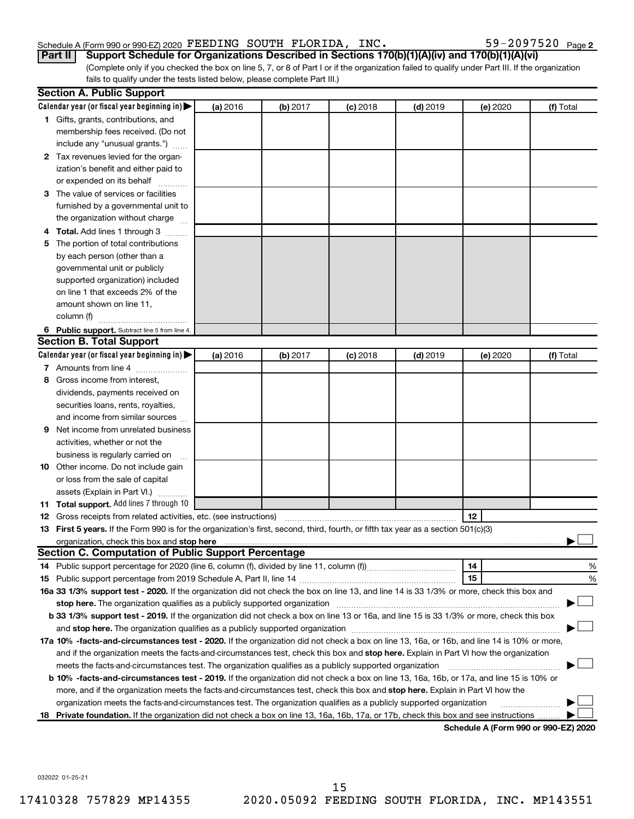#### Schedule A (Form 990 or 990-EZ) 2020 Page FEEDING SOUTH FLORIDA, INC. 59-2097520

59-2097520 Page 2

(Complete only if you checked the box on line 5, 7, or 8 of Part I or if the organization failed to qualify under Part III. If the organization fails to qualify under the tests listed below, please complete Part III.) **Part II Support Schedule for Organizations Described in Sections 170(b)(1)(A)(iv) and 170(b)(1)(A)(vi)**

|    | <b>Section A. Public Support</b>                                                                                                                                                                                                    |          |          |            |            |          |                                      |
|----|-------------------------------------------------------------------------------------------------------------------------------------------------------------------------------------------------------------------------------------|----------|----------|------------|------------|----------|--------------------------------------|
|    | Calendar year (or fiscal year beginning in)                                                                                                                                                                                         | (a) 2016 | (b) 2017 | $(c)$ 2018 | $(d)$ 2019 | (e) 2020 | (f) Total                            |
|    | 1 Gifts, grants, contributions, and                                                                                                                                                                                                 |          |          |            |            |          |                                      |
|    | membership fees received. (Do not                                                                                                                                                                                                   |          |          |            |            |          |                                      |
|    | include any "unusual grants.")                                                                                                                                                                                                      |          |          |            |            |          |                                      |
|    | 2 Tax revenues levied for the organ-                                                                                                                                                                                                |          |          |            |            |          |                                      |
|    | ization's benefit and either paid to                                                                                                                                                                                                |          |          |            |            |          |                                      |
|    | or expended on its behalf                                                                                                                                                                                                           |          |          |            |            |          |                                      |
|    | 3 The value of services or facilities                                                                                                                                                                                               |          |          |            |            |          |                                      |
|    | furnished by a governmental unit to                                                                                                                                                                                                 |          |          |            |            |          |                                      |
|    | the organization without charge                                                                                                                                                                                                     |          |          |            |            |          |                                      |
|    | 4 Total. Add lines 1 through 3                                                                                                                                                                                                      |          |          |            |            |          |                                      |
| 5. | The portion of total contributions                                                                                                                                                                                                  |          |          |            |            |          |                                      |
|    | by each person (other than a                                                                                                                                                                                                        |          |          |            |            |          |                                      |
|    | governmental unit or publicly                                                                                                                                                                                                       |          |          |            |            |          |                                      |
|    | supported organization) included                                                                                                                                                                                                    |          |          |            |            |          |                                      |
|    | on line 1 that exceeds 2% of the                                                                                                                                                                                                    |          |          |            |            |          |                                      |
|    | amount shown on line 11,                                                                                                                                                                                                            |          |          |            |            |          |                                      |
|    | column (f)                                                                                                                                                                                                                          |          |          |            |            |          |                                      |
|    | 6 Public support. Subtract line 5 from line 4.                                                                                                                                                                                      |          |          |            |            |          |                                      |
|    | <b>Section B. Total Support</b>                                                                                                                                                                                                     |          |          |            |            |          |                                      |
|    | Calendar year (or fiscal year beginning in)                                                                                                                                                                                         | (a) 2016 | (b) 2017 | $(c)$ 2018 | $(d)$ 2019 | (e) 2020 | (f) Total                            |
|    | 7 Amounts from line 4                                                                                                                                                                                                               |          |          |            |            |          |                                      |
| 8  | Gross income from interest,                                                                                                                                                                                                         |          |          |            |            |          |                                      |
|    | dividends, payments received on                                                                                                                                                                                                     |          |          |            |            |          |                                      |
|    | securities loans, rents, royalties,                                                                                                                                                                                                 |          |          |            |            |          |                                      |
|    | and income from similar sources                                                                                                                                                                                                     |          |          |            |            |          |                                      |
| 9. | Net income from unrelated business                                                                                                                                                                                                  |          |          |            |            |          |                                      |
|    | activities, whether or not the                                                                                                                                                                                                      |          |          |            |            |          |                                      |
|    | business is regularly carried on                                                                                                                                                                                                    |          |          |            |            |          |                                      |
|    | 10 Other income. Do not include gain                                                                                                                                                                                                |          |          |            |            |          |                                      |
|    | or loss from the sale of capital                                                                                                                                                                                                    |          |          |            |            |          |                                      |
|    | assets (Explain in Part VI.)                                                                                                                                                                                                        |          |          |            |            |          |                                      |
|    | 11 Total support. Add lines 7 through 10                                                                                                                                                                                            |          |          |            |            |          |                                      |
|    | <b>12</b> Gross receipts from related activities, etc. (see instructions)                                                                                                                                                           |          |          |            |            | 12       |                                      |
|    | 13 First 5 years. If the Form 990 is for the organization's first, second, third, fourth, or fifth tax year as a section 501(c)(3)                                                                                                  |          |          |            |            |          |                                      |
|    | organization, check this box and stop here <b>construction and construction</b> construction of the state of the state of the state of the state of the state of the state of the state of the state of the state of the state of t |          |          |            |            |          |                                      |
|    | <b>Section C. Computation of Public Support Percentage</b>                                                                                                                                                                          |          |          |            |            |          |                                      |
|    |                                                                                                                                                                                                                                     |          |          |            |            | 14       | %                                    |
|    |                                                                                                                                                                                                                                     |          |          |            |            | 15       | %                                    |
|    | 16a 33 1/3% support test - 2020. If the organization did not check the box on line 13, and line 14 is 33 1/3% or more, check this box and                                                                                           |          |          |            |            |          |                                      |
|    | stop here. The organization qualifies as a publicly supported organization matchinary material content and the                                                                                                                      |          |          |            |            |          |                                      |
|    | b 33 1/3% support test - 2019. If the organization did not check a box on line 13 or 16a, and line 15 is 33 1/3% or more, check this box                                                                                            |          |          |            |            |          |                                      |
|    |                                                                                                                                                                                                                                     |          |          |            |            |          |                                      |
|    | 17a 10% -facts-and-circumstances test - 2020. If the organization did not check a box on line 13, 16a, or 16b, and line 14 is 10% or more,                                                                                          |          |          |            |            |          |                                      |
|    | and if the organization meets the facts-and-circumstances test, check this box and stop here. Explain in Part VI how the organization                                                                                               |          |          |            |            |          |                                      |
|    | meets the facts-and-circumstances test. The organization qualifies as a publicly supported organization                                                                                                                             |          |          |            |            |          |                                      |
|    | <b>b 10%</b> -facts-and-circumstances test - 2019. If the organization did not check a box on line 13, 16a, 16b, or 17a, and line 15 is 10% or                                                                                      |          |          |            |            |          |                                      |
|    | more, and if the organization meets the facts-and-circumstances test, check this box and stop here. Explain in Part VI how the                                                                                                      |          |          |            |            |          |                                      |
|    | organization meets the facts-and-circumstances test. The organization qualifies as a publicly supported organization                                                                                                                |          |          |            |            |          |                                      |
|    | 18 Private foundation. If the organization did not check a box on line 13, 16a, 16b, 17a, or 17b, check this box and see instructions                                                                                               |          |          |            |            |          |                                      |
|    |                                                                                                                                                                                                                                     |          |          |            |            |          | Schedule A (Form 990 or 990-F7) 2020 |

**Schedule A (Form 990 or 990-EZ) 2020**

032022 01-25-21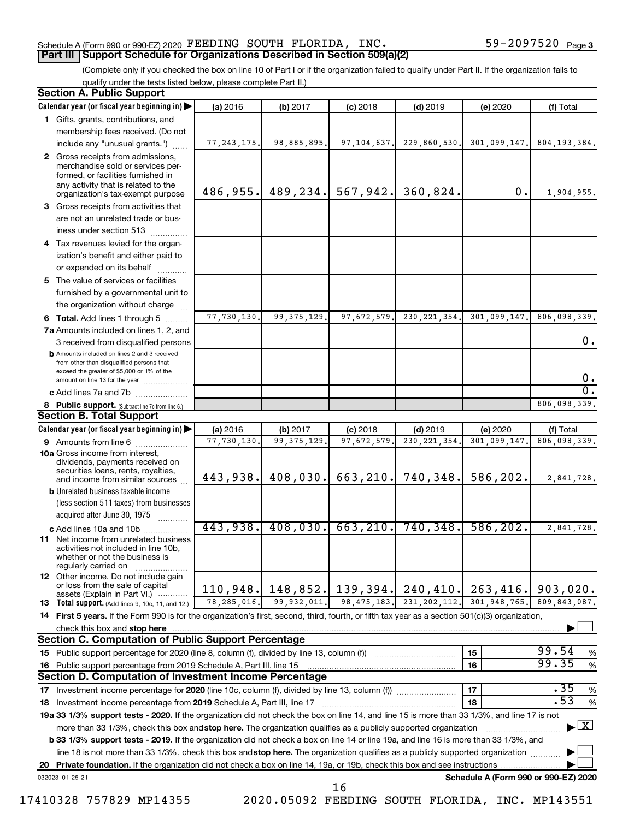#### Schedule A (Form 990 or 990-EZ) 2020 Page FEEDING SOUTH FLORIDA, INC. 59-2097520 **Part III Support Schedule for Organizations Described in Section 509(a)(2)**

(Complete only if you checked the box on line 10 of Part I or if the organization failed to qualify under Part II. If the organization fails to qualify under the tests listed below, please complete Part II.)

| <b>Section A. Public Support</b>                                                                                                                                                 |               |               |               |                |                                      |                                    |
|----------------------------------------------------------------------------------------------------------------------------------------------------------------------------------|---------------|---------------|---------------|----------------|--------------------------------------|------------------------------------|
| Calendar year (or fiscal year beginning in)                                                                                                                                      | (a) 2016      | (b) 2017      | $(c)$ 2018    | $(d)$ 2019     | (e) 2020                             | (f) Total                          |
| 1 Gifts, grants, contributions, and                                                                                                                                              |               |               |               |                |                                      |                                    |
| membership fees received. (Do not                                                                                                                                                |               |               |               |                |                                      |                                    |
| include any "unusual grants.")                                                                                                                                                   | 77, 243, 175. | 98,885,895.   | 97, 104, 637. | 229,860,530.   | 301,099,147.                         | 804, 193, 384.                     |
| 2 Gross receipts from admissions,<br>merchandise sold or services per-<br>formed, or facilities furnished in                                                                     |               |               |               |                |                                      |                                    |
| any activity that is related to the<br>organization's tax-exempt purpose                                                                                                         | 486,955.      | 489, 234.     | 567,942.      | 360,824.       | 0.                                   | 1,904,955.                         |
| 3 Gross receipts from activities that                                                                                                                                            |               |               |               |                |                                      |                                    |
| are not an unrelated trade or bus-                                                                                                                                               |               |               |               |                |                                      |                                    |
| iness under section 513                                                                                                                                                          |               |               |               |                |                                      |                                    |
| 4 Tax revenues levied for the organ-                                                                                                                                             |               |               |               |                |                                      |                                    |
| ization's benefit and either paid to                                                                                                                                             |               |               |               |                |                                      |                                    |
| or expended on its behalf                                                                                                                                                        |               |               |               |                |                                      |                                    |
| 5 The value of services or facilities                                                                                                                                            |               |               |               |                |                                      |                                    |
| furnished by a governmental unit to                                                                                                                                              |               |               |               |                |                                      |                                    |
| the organization without charge                                                                                                                                                  |               |               |               |                |                                      |                                    |
| 6 Total. Add lines 1 through 5                                                                                                                                                   | 77,730,130.   | 99, 375, 129. | 97,672,579.   | 230, 221, 354. | 301,099,147.                         | 806,098,339.                       |
| 7a Amounts included on lines 1, 2, and                                                                                                                                           |               |               |               |                |                                      |                                    |
| 3 received from disqualified persons                                                                                                                                             |               |               |               |                |                                      | 0.                                 |
| <b>b</b> Amounts included on lines 2 and 3 received<br>from other than disqualified persons that<br>exceed the greater of \$5,000 or 1% of the<br>amount on line 13 for the year |               |               |               |                |                                      | 0.                                 |
| c Add lines 7a and 7b                                                                                                                                                            |               |               |               |                |                                      | σ.                                 |
| 8 Public support. (Subtract line 7c from line 6.)                                                                                                                                |               |               |               |                |                                      | 806,098,339.                       |
| <b>Section B. Total Support</b>                                                                                                                                                  |               |               |               |                |                                      |                                    |
| Calendar year (or fiscal year beginning in)                                                                                                                                      | (a) 2016      | (b) 2017      | $(c)$ 2018    | $(d)$ 2019     | (e) 2020                             | (f) Total                          |
| 9 Amounts from line 6                                                                                                                                                            | 77,730,130    | 99, 375, 129  | 97,672,579    | 230, 221, 354  | 301,099,147                          | 806,098,339.                       |
| <b>10a</b> Gross income from interest,<br>dividends, payments received on<br>securities loans, rents, royalties,                                                                 |               |               |               |                |                                      |                                    |
| and income from similar sources                                                                                                                                                  | 443,938.      | 408,030.      | 663, 210.     | 740,348.       | 586,202.                             | 2,841,728.                         |
| <b>b</b> Unrelated business taxable income                                                                                                                                       |               |               |               |                |                                      |                                    |
| (less section 511 taxes) from businesses                                                                                                                                         |               |               |               |                |                                      |                                    |
| acquired after June 30, 1975                                                                                                                                                     |               |               |               |                |                                      |                                    |
| c Add lines 10a and 10b                                                                                                                                                          | 443,938.      | 408,030.      | 663, 210.     | 740, 348.      | 586, 202.                            | 2,841,728.                         |
| <b>11</b> Net income from unrelated business<br>activities not included in line 10b,<br>whether or not the business is<br>regularly carried on                                   |               |               |               |                |                                      |                                    |
| <b>12</b> Other income. Do not include gain<br>or loss from the sale of capital<br>assets (Explain in Part VI.)                                                                  | 110,948.      | 148,852.      | 139,394.      | 240, 410.      | 263,416.                             | 903,020.                           |
| 13 Total support. (Add lines 9, 10c, 11, and 12.)                                                                                                                                | 78, 285, 016. | 99,932,011.   | 98, 475, 183. | 231, 202, 112. | 301,948,765.                         | 809,843,087.                       |
| 14 First 5 years. If the Form 990 is for the organization's first, second, third, fourth, or fifth tax year as a section 501(c)(3) organization,                                 |               |               |               |                |                                      |                                    |
| check this box and stop here                                                                                                                                                     |               |               |               |                |                                      |                                    |
| <b>Section C. Computation of Public Support Percentage</b>                                                                                                                       |               |               |               |                |                                      |                                    |
| 15 Public support percentage for 2020 (line 8, column (f), divided by line 13, column (f))                                                                                       |               |               |               |                | 15                                   | 99.54<br>%                         |
| 16 Public support percentage from 2019 Schedule A, Part III, line 15                                                                                                             |               |               |               |                | 16                                   | 99.35<br>$\%$                      |
| Section D. Computation of Investment Income Percentage                                                                                                                           |               |               |               |                |                                      |                                    |
| 17 Investment income percentage for 2020 (line 10c, column (f), divided by line 13, column (f))                                                                                  |               |               |               |                | 17                                   | .35<br>$\%$                        |
| 18 Investment income percentage from 2019 Schedule A, Part III, line 17                                                                                                          |               |               |               |                | 18                                   | .53<br>$\%$                        |
| 19a 33 1/3% support tests - 2020. If the organization did not check the box on line 14, and line 15 is more than 33 1/3%, and line 17 is not                                     |               |               |               |                |                                      |                                    |
| more than 33 1/3%, check this box and stop here. The organization qualifies as a publicly supported organization                                                                 |               |               |               |                |                                      | $\blacktriangleright$ $\mathbf{X}$ |
| b 33 1/3% support tests - 2019. If the organization did not check a box on line 14 or line 19a, and line 16 is more than 33 1/3%, and                                            |               |               |               |                |                                      |                                    |
| line 18 is not more than 33 1/3%, check this box and stop here. The organization qualifies as a publicly supported organization                                                  |               |               |               |                |                                      |                                    |
|                                                                                                                                                                                  |               |               |               |                |                                      |                                    |
| 032023 01-25-21                                                                                                                                                                  |               |               |               |                | Schedule A (Form 990 or 990-EZ) 2020 |                                    |
|                                                                                                                                                                                  |               |               | 16            |                |                                      |                                    |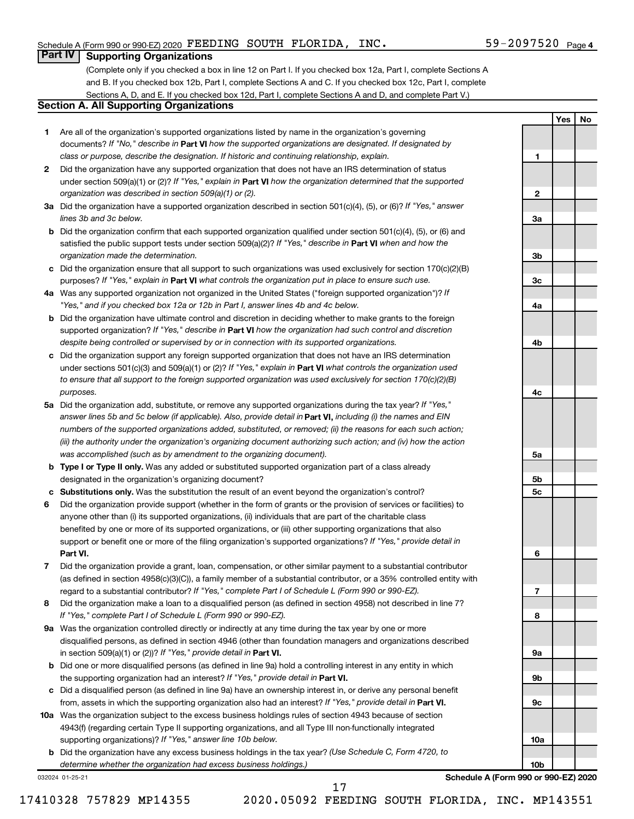**1**

**2**

**3a**

**3b**

**3c**

**4a**

**4b**

**4c**

**5a**

**5b 5c**

**6**

**7**

**8**

**9a**

**9b**

**9c**

**10a**

**10b**

**Yes No**

### **Part IV Supporting Organizations**

(Complete only if you checked a box in line 12 on Part I. If you checked box 12a, Part I, complete Sections A and B. If you checked box 12b, Part I, complete Sections A and C. If you checked box 12c, Part I, complete Sections A, D, and E. If you checked box 12d, Part I, complete Sections A and D, and complete Part V.)

#### **Section A. All Supporting Organizations**

- **1** Are all of the organization's supported organizations listed by name in the organization's governing documents? If "No," describe in Part VI how the supported organizations are designated. If designated by *class or purpose, describe the designation. If historic and continuing relationship, explain.*
- **2** Did the organization have any supported organization that does not have an IRS determination of status under section 509(a)(1) or (2)? If "Yes," explain in Part **VI** how the organization determined that the supported *organization was described in section 509(a)(1) or (2).*
- **3a** Did the organization have a supported organization described in section 501(c)(4), (5), or (6)? If "Yes," answer *lines 3b and 3c below.*
- **b** Did the organization confirm that each supported organization qualified under section 501(c)(4), (5), or (6) and satisfied the public support tests under section 509(a)(2)? If "Yes," describe in Part VI when and how the *organization made the determination.*
- **c** Did the organization ensure that all support to such organizations was used exclusively for section 170(c)(2)(B) purposes? If "Yes," explain in Part VI what controls the organization put in place to ensure such use.
- **4 a** *If* Was any supported organization not organized in the United States ("foreign supported organization")? *"Yes," and if you checked box 12a or 12b in Part I, answer lines 4b and 4c below.*
- **b** Did the organization have ultimate control and discretion in deciding whether to make grants to the foreign supported organization? If "Yes," describe in Part VI how the organization had such control and discretion *despite being controlled or supervised by or in connection with its supported organizations.*
- **c** Did the organization support any foreign supported organization that does not have an IRS determination under sections 501(c)(3) and 509(a)(1) or (2)? If "Yes," explain in Part VI what controls the organization used *to ensure that all support to the foreign supported organization was used exclusively for section 170(c)(2)(B) purposes.*
- **5a** Did the organization add, substitute, or remove any supported organizations during the tax year? If "Yes," answer lines 5b and 5c below (if applicable). Also, provide detail in **Part VI,** including (i) the names and EIN *numbers of the supported organizations added, substituted, or removed; (ii) the reasons for each such action; (iii) the authority under the organization's organizing document authorizing such action; and (iv) how the action was accomplished (such as by amendment to the organizing document).*
- **b Type I or Type II only.** Was any added or substituted supported organization part of a class already designated in the organization's organizing document?
- **c Substitutions only.**  Was the substitution the result of an event beyond the organization's control?
- **6** Did the organization provide support (whether in the form of grants or the provision of services or facilities) to **Part VI.** support or benefit one or more of the filing organization's supported organizations? If "Yes," provide detail in anyone other than (i) its supported organizations, (ii) individuals that are part of the charitable class benefited by one or more of its supported organizations, or (iii) other supporting organizations that also
- **7** Did the organization provide a grant, loan, compensation, or other similar payment to a substantial contributor regard to a substantial contributor? If "Yes," complete Part I of Schedule L (Form 990 or 990-EZ). (as defined in section 4958(c)(3)(C)), a family member of a substantial contributor, or a 35% controlled entity with
- **8** Did the organization make a loan to a disqualified person (as defined in section 4958) not described in line 7? *If "Yes," complete Part I of Schedule L (Form 990 or 990-EZ).*
- **9 a** Was the organization controlled directly or indirectly at any time during the tax year by one or more in section 509(a)(1) or (2))? If "Yes," provide detail in **Part VI.** disqualified persons, as defined in section 4946 (other than foundation managers and organizations described
- **b** Did one or more disqualified persons (as defined in line 9a) hold a controlling interest in any entity in which the supporting organization had an interest? If "Yes," provide detail in Part VI.
- **c** Did a disqualified person (as defined in line 9a) have an ownership interest in, or derive any personal benefit from, assets in which the supporting organization also had an interest? If "Yes," provide detail in Part VI.
- **10 a** Was the organization subject to the excess business holdings rules of section 4943 because of section supporting organizations)? If "Yes," answer line 10b below. 4943(f) (regarding certain Type II supporting organizations, and all Type III non-functionally integrated
	- **b** Did the organization have any excess business holdings in the tax year? (Use Schedule C, Form 4720, to *determine whether the organization had excess business holdings.)*

032024 01-25-21

**Schedule A (Form 990 or 990-EZ) 2020**

17410328 757829 MP14355 2020.05092 FEEDING SOUTH FLORIDA, INC. MP143551

17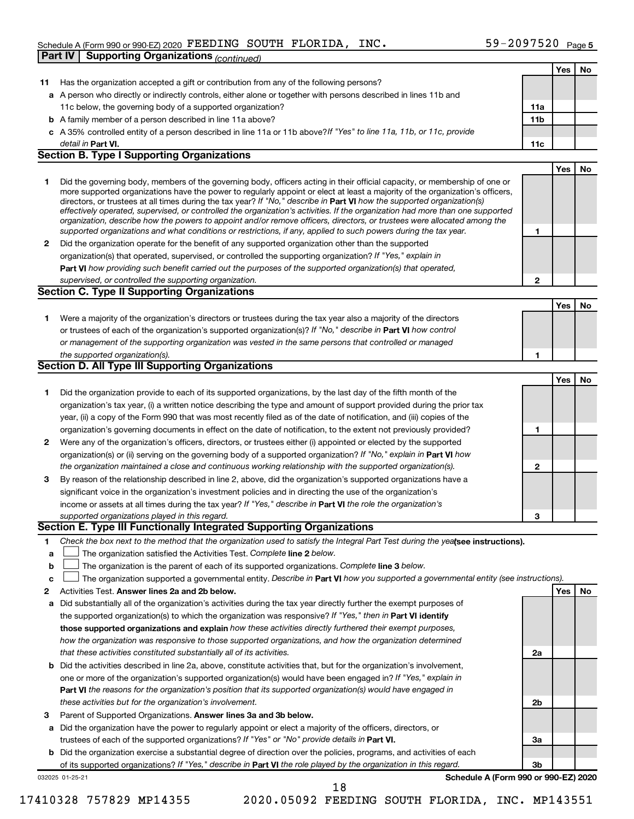#### Schedule A (Form 990 or 990-EZ) 2020 Page FEEDING SOUTH FLORIDA, INC. 59-2097520 **Part IV Supporting Organizations** *(continued)*

|             |                                                                                                                                                                                                                                                            |     | Yes | No |
|-------------|------------------------------------------------------------------------------------------------------------------------------------------------------------------------------------------------------------------------------------------------------------|-----|-----|----|
| 11          | Has the organization accepted a gift or contribution from any of the following persons?                                                                                                                                                                    |     |     |    |
|             | a A person who directly or indirectly controls, either alone or together with persons described in lines 11b and                                                                                                                                           |     |     |    |
|             | 11c below, the governing body of a supported organization?                                                                                                                                                                                                 | 11a |     |    |
|             | <b>b</b> A family member of a person described in line 11a above?                                                                                                                                                                                          | 11b |     |    |
|             | c A 35% controlled entity of a person described in line 11a or 11b above? If "Yes" to line 11a, 11b, or 11c, provide                                                                                                                                       |     |     |    |
|             | detail in Part VI.                                                                                                                                                                                                                                         | 11c |     |    |
|             | <b>Section B. Type I Supporting Organizations</b>                                                                                                                                                                                                          |     |     |    |
|             |                                                                                                                                                                                                                                                            |     | Yes | No |
| 1           | Did the governing body, members of the governing body, officers acting in their official capacity, or membership of one or                                                                                                                                 |     |     |    |
|             | more supported organizations have the power to regularly appoint or elect at least a majority of the organization's officers,                                                                                                                              |     |     |    |
|             | directors, or trustees at all times during the tax year? If "No," describe in Part VI how the supported organization(s)                                                                                                                                    |     |     |    |
|             | effectively operated, supervised, or controlled the organization's activities. If the organization had more than one supported<br>organization, describe how the powers to appoint and/or remove officers, directors, or trustees were allocated among the |     |     |    |
|             | supported organizations and what conditions or restrictions, if any, applied to such powers during the tax year.                                                                                                                                           | 1   |     |    |
| 2           | Did the organization operate for the benefit of any supported organization other than the supported                                                                                                                                                        |     |     |    |
|             | organization(s) that operated, supervised, or controlled the supporting organization? If "Yes," explain in                                                                                                                                                 |     |     |    |
|             | Part VI how providing such benefit carried out the purposes of the supported organization(s) that operated,                                                                                                                                                |     |     |    |
|             | supervised, or controlled the supporting organization.                                                                                                                                                                                                     | 2   |     |    |
|             | <b>Section C. Type II Supporting Organizations</b>                                                                                                                                                                                                         |     |     |    |
|             |                                                                                                                                                                                                                                                            |     | Yes | No |
| 1.          | Were a majority of the organization's directors or trustees during the tax year also a majority of the directors                                                                                                                                           |     |     |    |
|             | or trustees of each of the organization's supported organization(s)? If "No," describe in Part VI how control                                                                                                                                              |     |     |    |
|             | or management of the supporting organization was vested in the same persons that controlled or managed                                                                                                                                                     |     |     |    |
|             | the supported organization(s).                                                                                                                                                                                                                             | 1   |     |    |
|             | Section D. All Type III Supporting Organizations                                                                                                                                                                                                           |     |     |    |
|             |                                                                                                                                                                                                                                                            |     | Yes | No |
| 1           | Did the organization provide to each of its supported organizations, by the last day of the fifth month of the                                                                                                                                             |     |     |    |
|             | organization's tax year, (i) a written notice describing the type and amount of support provided during the prior tax                                                                                                                                      |     |     |    |
|             | year, (ii) a copy of the Form 990 that was most recently filed as of the date of notification, and (iii) copies of the                                                                                                                                     |     |     |    |
|             | organization's governing documents in effect on the date of notification, to the extent not previously provided?                                                                                                                                           | 1   |     |    |
| 2           | Were any of the organization's officers, directors, or trustees either (i) appointed or elected by the supported                                                                                                                                           |     |     |    |
|             | organization(s) or (ii) serving on the governing body of a supported organization? If "No," explain in Part VI how                                                                                                                                         |     |     |    |
|             | the organization maintained a close and continuous working relationship with the supported organization(s).                                                                                                                                                | 2   |     |    |
| 3           | By reason of the relationship described in line 2, above, did the organization's supported organizations have a                                                                                                                                            |     |     |    |
|             | significant voice in the organization's investment policies and in directing the use of the organization's                                                                                                                                                 |     |     |    |
|             | income or assets at all times during the tax year? If "Yes," describe in Part VI the role the organization's                                                                                                                                               |     |     |    |
|             | supported organizations played in this regard.                                                                                                                                                                                                             | З   |     |    |
|             | Section E. Type III Functionally Integrated Supporting Organizations                                                                                                                                                                                       |     |     |    |
| 1           | Check the box next to the method that the organization used to satisfy the Integral Part Test during the yealsee instructions).                                                                                                                            |     |     |    |
| а           | The organization satisfied the Activities Test. Complete line 2 below.                                                                                                                                                                                     |     |     |    |
| $\mathbf b$ | The organization is the parent of each of its supported organizations. Complete line 3 below.                                                                                                                                                              |     |     |    |
| с           | The organization supported a governmental entity. Describe in Part VI how you supported a governmental entity (see instructions).                                                                                                                          |     |     |    |
| 2           | Activities Test. Answer lines 2a and 2b below.                                                                                                                                                                                                             |     | Yes | No |
| а           | Did substantially all of the organization's activities during the tax year directly further the exempt purposes of                                                                                                                                         |     |     |    |
|             | the supported organization(s) to which the organization was responsive? If "Yes," then in Part VI identify                                                                                                                                                 |     |     |    |
|             | those supported organizations and explain how these activities directly furthered their exempt purposes,                                                                                                                                                   |     |     |    |
|             | how the organization was responsive to those supported organizations, and how the organization determined                                                                                                                                                  |     |     |    |
|             | that these activities constituted substantially all of its activities.                                                                                                                                                                                     | 2a  |     |    |
| b           | Did the activities described in line 2a, above, constitute activities that, but for the organization's involvement,                                                                                                                                        |     |     |    |
|             | one or more of the organization's supported organization(s) would have been engaged in? If "Yes," explain in                                                                                                                                               |     |     |    |
|             | <b>Part VI</b> the reasons for the organization's position that its supported organization(s) would have engaged in                                                                                                                                        |     |     |    |
|             | these activities but for the organization's involvement.                                                                                                                                                                                                   | 2b  |     |    |
| з           | Parent of Supported Organizations. Answer lines 3a and 3b below.                                                                                                                                                                                           |     |     |    |
| а           | Did the organization have the power to regularly appoint or elect a majority of the officers, directors, or                                                                                                                                                |     |     |    |
|             | trustees of each of the supported organizations? If "Yes" or "No" provide details in Part VI.                                                                                                                                                              | За  |     |    |
| b           | Did the organization exercise a substantial degree of direction over the policies, programs, and activities of each                                                                                                                                        |     |     |    |
|             | of its supported organizations? If "Yes," describe in Part VI the role played by the organization in this regard.                                                                                                                                          | 3b  |     |    |
|             | Schedule A (Form 990 or 990-EZ) 2020<br>032025 01-25-21                                                                                                                                                                                                    |     |     |    |
|             | 18                                                                                                                                                                                                                                                         |     |     |    |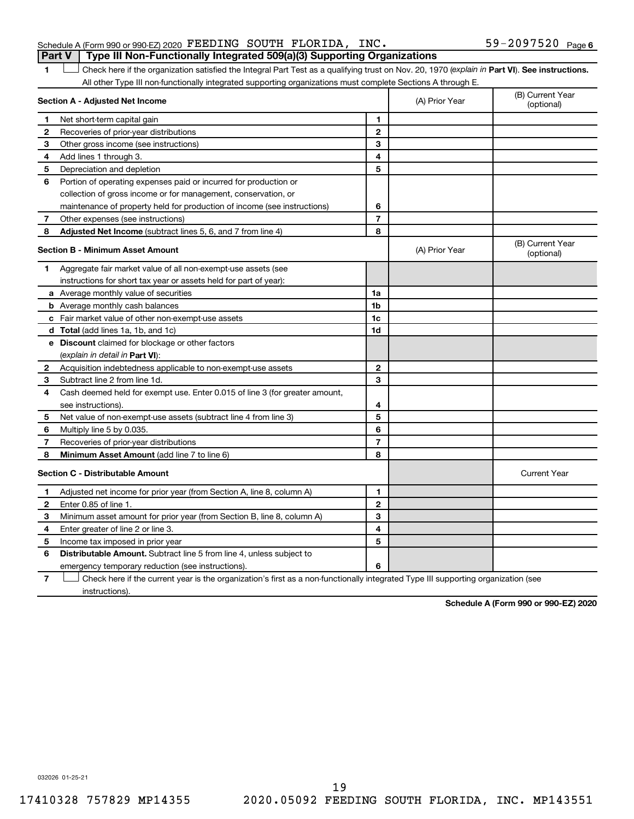|  | Schedule A (Form 990 or 990-EZ) 2020 $\texttt{FEEDING}$ SOUTH FLORIDA, INC.           |  |  | $59 - 2097520$ Page 6 |  |
|--|---------------------------------------------------------------------------------------|--|--|-----------------------|--|
|  | <b>Part V</b> Type III Non-Functionally Integrated 509(a)(3) Supporting Organizations |  |  |                       |  |

1 **Letter See instructions.** Check here if the organization satisfied the Integral Part Test as a qualifying trust on Nov. 20, 1970 (*explain in* Part **VI**). See instructions. All other Type III non-functionally integrated supporting organizations must complete Sections A through E.

|              | Section A - Adjusted Net Income                                                                                                   |                | (A) Prior Year | (B) Current Year<br>(optional) |
|--------------|-----------------------------------------------------------------------------------------------------------------------------------|----------------|----------------|--------------------------------|
| 1            | Net short-term capital gain                                                                                                       | 1              |                |                                |
| $\mathbf{2}$ | Recoveries of prior-year distributions                                                                                            | $\mathbf{2}$   |                |                                |
| 3            | Other gross income (see instructions)                                                                                             | 3              |                |                                |
| 4            | Add lines 1 through 3.                                                                                                            | 4              |                |                                |
| 5            | Depreciation and depletion                                                                                                        | 5              |                |                                |
| 6            | Portion of operating expenses paid or incurred for production or                                                                  |                |                |                                |
|              | collection of gross income or for management, conservation, or                                                                    |                |                |                                |
|              | maintenance of property held for production of income (see instructions)                                                          | 6              |                |                                |
| 7            | Other expenses (see instructions)                                                                                                 | $\overline{7}$ |                |                                |
| 8            | Adjusted Net Income (subtract lines 5, 6, and 7 from line 4)                                                                      | 8              |                |                                |
|              | <b>Section B - Minimum Asset Amount</b>                                                                                           |                | (A) Prior Year | (B) Current Year<br>(optional) |
| 1            | Aggregate fair market value of all non-exempt-use assets (see                                                                     |                |                |                                |
|              | instructions for short tax year or assets held for part of year):                                                                 |                |                |                                |
|              | <b>a</b> Average monthly value of securities                                                                                      | 1a             |                |                                |
|              | <b>b</b> Average monthly cash balances                                                                                            | 1b             |                |                                |
|              | <b>c</b> Fair market value of other non-exempt-use assets                                                                         | 1c             |                |                                |
|              | <b>d</b> Total (add lines 1a, 1b, and 1c)                                                                                         | 1d             |                |                                |
|              | e Discount claimed for blockage or other factors                                                                                  |                |                |                                |
|              | (explain in detail in <b>Part VI</b> ):                                                                                           |                |                |                                |
| 2            | Acquisition indebtedness applicable to non-exempt-use assets                                                                      | $\mathbf{2}$   |                |                                |
| 3            | Subtract line 2 from line 1d.                                                                                                     | 3              |                |                                |
| 4            | Cash deemed held for exempt use. Enter 0.015 of line 3 (for greater amount,                                                       |                |                |                                |
|              | see instructions).                                                                                                                | 4              |                |                                |
| 5            | Net value of non-exempt-use assets (subtract line 4 from line 3)                                                                  | 5              |                |                                |
| 6            | Multiply line 5 by 0.035.                                                                                                         | 6              |                |                                |
| 7            | Recoveries of prior-year distributions                                                                                            | $\overline{7}$ |                |                                |
| 8            | Minimum Asset Amount (add line 7 to line 6)                                                                                       | 8              |                |                                |
|              | <b>Section C - Distributable Amount</b>                                                                                           |                |                | <b>Current Year</b>            |
| 1            | Adjusted net income for prior year (from Section A, line 8, column A)                                                             | 1              |                |                                |
| 2            | Enter 0.85 of line 1.                                                                                                             | $\mathbf{2}$   |                |                                |
| з            | Minimum asset amount for prior year (from Section B, line 8, column A)                                                            | 3              |                |                                |
| 4            | Enter greater of line 2 or line 3.                                                                                                | 4              |                |                                |
| 5            | Income tax imposed in prior year                                                                                                  | 5              |                |                                |
| 6            | <b>Distributable Amount.</b> Subtract line 5 from line 4, unless subject to                                                       |                |                |                                |
|              | emergency temporary reduction (see instructions).                                                                                 | 6              |                |                                |
| 7            | Check here if the current year is the organization's first as a non-functionally integrated Type III supporting organization (see |                |                |                                |

instructions).

**Schedule A (Form 990 or 990-EZ) 2020**

032026 01-25-21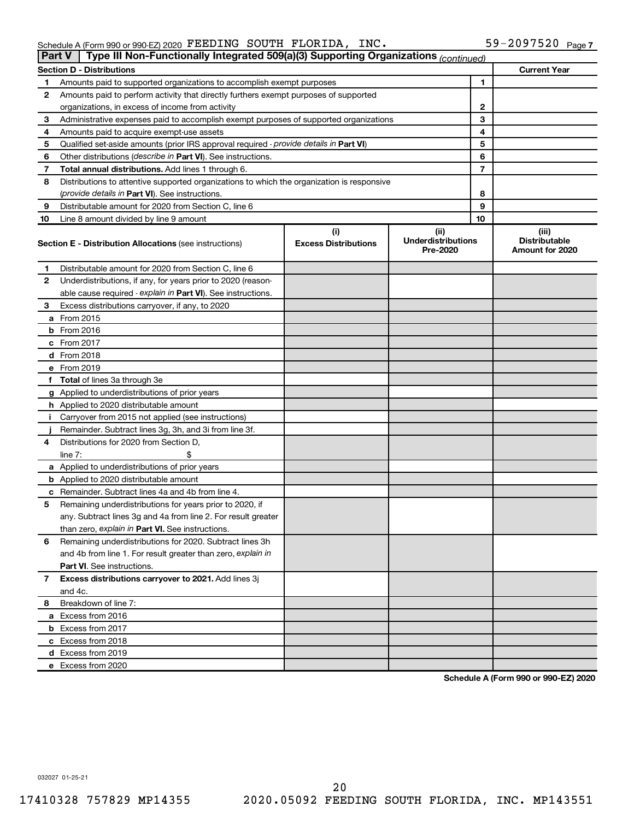| Schedule A (Form 990 or 990-EZ) 2020 FEEDING SOUTH FLORIDA,                                         |  | INC. | 59-2097520 | Page 7 |
|-----------------------------------------------------------------------------------------------------|--|------|------------|--------|
| $D_{\alpha} + V$<br>$\Box$ Type III Nep Eupotianally Integrated E00(a)(2) Supporting Organizational |  |      |            |        |

|    | Part v<br>Type in Non-Functionally integrated 509(a)(5) Supporting Organizations <i>(continued)</i> |                                    |                                               |    |                                                  |
|----|-----------------------------------------------------------------------------------------------------|------------------------------------|-----------------------------------------------|----|--------------------------------------------------|
|    | <b>Section D - Distributions</b>                                                                    |                                    |                                               |    | <b>Current Year</b>                              |
| 1. | Amounts paid to supported organizations to accomplish exempt purposes                               |                                    |                                               | 1  |                                                  |
| 2  | Amounts paid to perform activity that directly furthers exempt purposes of supported                |                                    |                                               |    |                                                  |
|    | organizations, in excess of income from activity                                                    |                                    |                                               | 2  |                                                  |
| 3  | Administrative expenses paid to accomplish exempt purposes of supported organizations               |                                    |                                               | 3  |                                                  |
| 4  | Amounts paid to acquire exempt-use assets                                                           |                                    |                                               | 4  |                                                  |
| 5  | Qualified set-aside amounts (prior IRS approval required - provide details in Part VI)              |                                    |                                               | 5  |                                                  |
| 6  | Other distributions (describe in Part VI). See instructions.                                        |                                    |                                               | 6  |                                                  |
| 7  | <b>Total annual distributions.</b> Add lines 1 through 6.                                           |                                    |                                               | 7  |                                                  |
| 8  | Distributions to attentive supported organizations to which the organization is responsive          |                                    |                                               |    |                                                  |
|    | (provide details in Part VI). See instructions.                                                     |                                    |                                               | 8  |                                                  |
| 9  | Distributable amount for 2020 from Section C, line 6                                                |                                    |                                               | 9  |                                                  |
| 10 | Line 8 amount divided by line 9 amount                                                              |                                    |                                               | 10 |                                                  |
|    | <b>Section E - Distribution Allocations (see instructions)</b>                                      | (i)<br><b>Excess Distributions</b> | (ii)<br><b>Underdistributions</b><br>Pre-2020 |    | (iii)<br><b>Distributable</b><br>Amount for 2020 |
| 1  | Distributable amount for 2020 from Section C, line 6                                                |                                    |                                               |    |                                                  |
| 2  | Underdistributions, if any, for years prior to 2020 (reason-                                        |                                    |                                               |    |                                                  |
|    | able cause required - explain in Part VI). See instructions.                                        |                                    |                                               |    |                                                  |
| 3  | Excess distributions carryover, if any, to 2020                                                     |                                    |                                               |    |                                                  |
|    | <b>a</b> From 2015                                                                                  |                                    |                                               |    |                                                  |
|    | <b>b</b> From 2016                                                                                  |                                    |                                               |    |                                                  |
|    | $c$ From 2017                                                                                       |                                    |                                               |    |                                                  |
|    | <b>d</b> From 2018                                                                                  |                                    |                                               |    |                                                  |
|    | e From 2019                                                                                         |                                    |                                               |    |                                                  |
|    | f Total of lines 3a through 3e                                                                      |                                    |                                               |    |                                                  |
|    | <b>g</b> Applied to underdistributions of prior years                                               |                                    |                                               |    |                                                  |
|    | h Applied to 2020 distributable amount                                                              |                                    |                                               |    |                                                  |
|    | i Carryover from 2015 not applied (see instructions)                                                |                                    |                                               |    |                                                  |
|    | Remainder. Subtract lines 3g, 3h, and 3i from line 3f.                                              |                                    |                                               |    |                                                  |
| 4  | Distributions for 2020 from Section D,                                                              |                                    |                                               |    |                                                  |
|    | line $7:$<br>\$                                                                                     |                                    |                                               |    |                                                  |
|    | a Applied to underdistributions of prior years                                                      |                                    |                                               |    |                                                  |
|    | <b>b</b> Applied to 2020 distributable amount                                                       |                                    |                                               |    |                                                  |
|    | <b>c</b> Remainder. Subtract lines 4a and 4b from line 4.                                           |                                    |                                               |    |                                                  |
| 5  | Remaining underdistributions for years prior to 2020, if                                            |                                    |                                               |    |                                                  |
|    | any. Subtract lines 3g and 4a from line 2. For result greater                                       |                                    |                                               |    |                                                  |
|    | than zero, explain in Part VI. See instructions.                                                    |                                    |                                               |    |                                                  |
| 6  | Remaining underdistributions for 2020. Subtract lines 3h                                            |                                    |                                               |    |                                                  |
|    | and 4b from line 1. For result greater than zero, explain in                                        |                                    |                                               |    |                                                  |
|    | Part VI. See instructions.                                                                          |                                    |                                               |    |                                                  |
| 7  | Excess distributions carryover to 2021. Add lines 3j                                                |                                    |                                               |    |                                                  |
|    | and 4c.                                                                                             |                                    |                                               |    |                                                  |
| 8  | Breakdown of line 7:                                                                                |                                    |                                               |    |                                                  |
|    | a Excess from 2016                                                                                  |                                    |                                               |    |                                                  |
|    | <b>b</b> Excess from 2017<br>c Excess from 2018                                                     |                                    |                                               |    |                                                  |
|    | d Excess from 2019                                                                                  |                                    |                                               |    |                                                  |
|    | e Excess from 2020                                                                                  |                                    |                                               |    |                                                  |
|    |                                                                                                     |                                    |                                               |    |                                                  |

**Schedule A (Form 990 or 990-EZ) 2020**

032027 01-25-21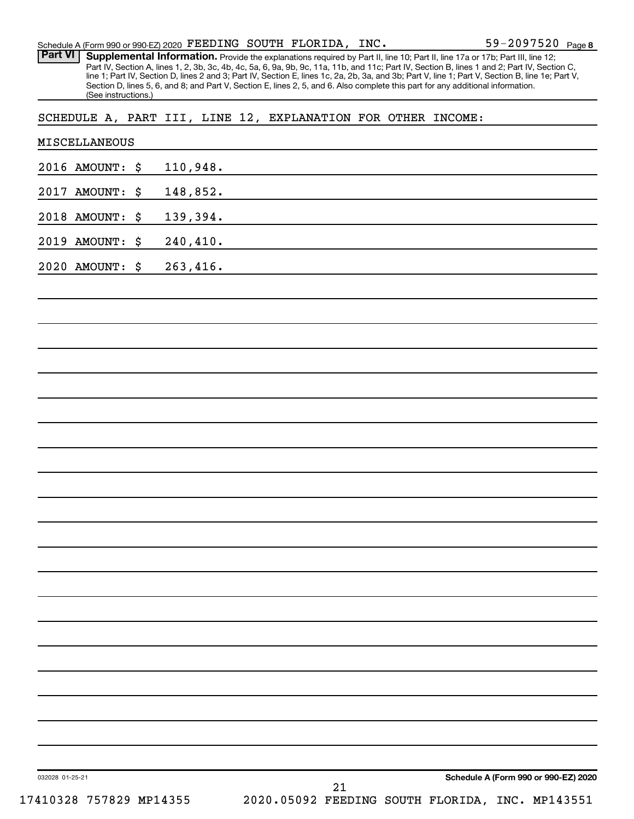|  |  | Schedule A (Form 990 or 990-EZ) 2020 FEEDING SOUTH FLORIDA, INC. |  |  |  | 59-2097520 $_{Page8}$ |  |
|--|--|------------------------------------------------------------------|--|--|--|-----------------------|--|
|--|--|------------------------------------------------------------------|--|--|--|-----------------------|--|

Provide the explanations required by Part II, line 10; Part II, line 17a or 17b; Part III, line 12; Part IV, Section A, lines 1, 2, 3b, 3c, 4b, 4c, 5a, 6, 9a, 9b, 9c, 11a, 11b, and 11c; Part IV, Section B, lines 1 and 2; Part IV, Section C, line 1; Part IV, Section D, lines 2 and 3; Part IV, Section E, lines 1c, 2a, 2b, 3a, and 3b; Part V, line 1; Part V, Section B, line 1e; Part V, Section D, lines 5, 6, and 8; and Part V, Section E, lines 2, 5, and 6. Also complete this part for any additional information. (See instructions.) **Part VI Supplemental Information.** 

SCHEDULE A, PART III, LINE 12, EXPLANATION FOR OTHER INCOME:

| MISCELLANEOUS           |                                                 |
|-------------------------|-------------------------------------------------|
| 2016 AMOUNT: \$         | 110,948.                                        |
| 2017 AMOUNT: \$         | 148,852.                                        |
| 2018 AMOUNT: \$         | 139,394.                                        |
| 2019 AMOUNT: \$         | 240, 410.                                       |
| 2020 AMOUNT: \$         | 263,416.                                        |
|                         |                                                 |
|                         |                                                 |
|                         |                                                 |
|                         |                                                 |
|                         |                                                 |
|                         |                                                 |
|                         |                                                 |
|                         |                                                 |
|                         |                                                 |
|                         |                                                 |
|                         |                                                 |
|                         |                                                 |
|                         |                                                 |
|                         |                                                 |
|                         |                                                 |
|                         |                                                 |
|                         |                                                 |
|                         |                                                 |
|                         |                                                 |
|                         |                                                 |
| 032028 01-25-21         | Schedule A (Form 990 or 990-EZ) 2020<br>21      |
| 17410328 757829 MP14355 | 2020.05092 FEEDING SOUTH FLORIDA, INC. MP143551 |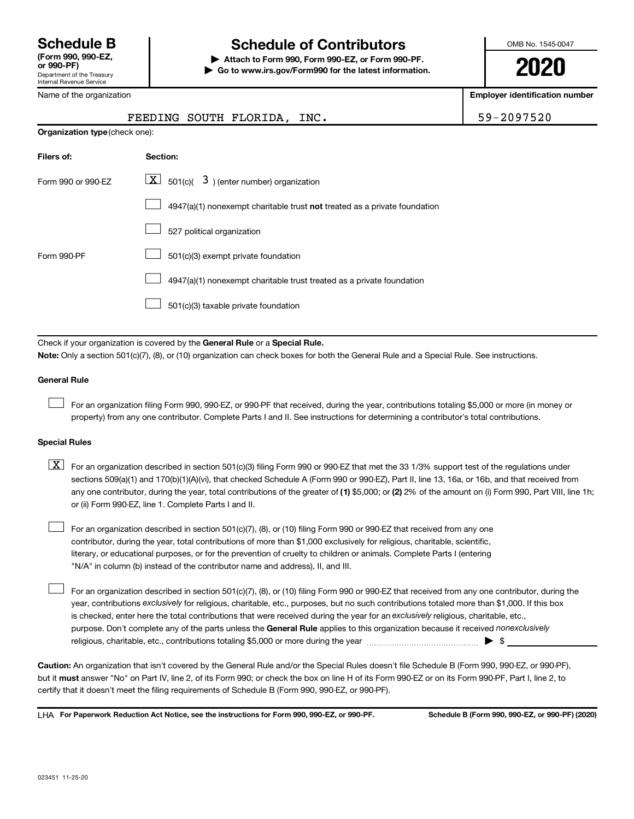# **Schedule B Schedule of Contributors**

**or 990-PF) | Attach to Form 990, Form 990-EZ, or Form 990-PF. | Go to www.irs.gov/Form990 for the latest information.** OMB No. 1545-0047

**2020**

| Internal Revenue Service       |                                                                                                                                                                                                                                                                                                                                                                                                                                                                                                           |                                       |
|--------------------------------|-----------------------------------------------------------------------------------------------------------------------------------------------------------------------------------------------------------------------------------------------------------------------------------------------------------------------------------------------------------------------------------------------------------------------------------------------------------------------------------------------------------|---------------------------------------|
| Name of the organization       |                                                                                                                                                                                                                                                                                                                                                                                                                                                                                                           | <b>Employer identification number</b> |
|                                | FEEDING SOUTH FLORIDA, INC.                                                                                                                                                                                                                                                                                                                                                                                                                                                                               | 59-2097520                            |
| Organization type (check one): |                                                                                                                                                                                                                                                                                                                                                                                                                                                                                                           |                                       |
| Filers of:                     | Section:                                                                                                                                                                                                                                                                                                                                                                                                                                                                                                  |                                       |
| Form 990 or 990-EZ             | $\lfloor x \rfloor$ 501(c)( 3) (enter number) organization                                                                                                                                                                                                                                                                                                                                                                                                                                                |                                       |
|                                | 4947(a)(1) nonexempt charitable trust not treated as a private foundation                                                                                                                                                                                                                                                                                                                                                                                                                                 |                                       |
|                                | 527 political organization                                                                                                                                                                                                                                                                                                                                                                                                                                                                                |                                       |
| Form 990-PF                    | 501(c)(3) exempt private foundation                                                                                                                                                                                                                                                                                                                                                                                                                                                                       |                                       |
|                                | 4947(a)(1) nonexempt charitable trust treated as a private foundation                                                                                                                                                                                                                                                                                                                                                                                                                                     |                                       |
|                                | 501(c)(3) taxable private foundation                                                                                                                                                                                                                                                                                                                                                                                                                                                                      |                                       |
|                                |                                                                                                                                                                                                                                                                                                                                                                                                                                                                                                           |                                       |
|                                | Check if your organization is covered by the General Rule or a Special Rule.<br>Note: Only a section 501(c)(7), (8), or (10) organization can check boxes for both the General Rule and a Special Rule. See instructions.                                                                                                                                                                                                                                                                                 |                                       |
| <b>General Rule</b>            |                                                                                                                                                                                                                                                                                                                                                                                                                                                                                                           |                                       |
|                                | For an organization filing Form 990, 990-EZ, or 990-PF that received, during the year, contributions totaling \$5,000 or more (in money or<br>property) from any one contributor. Complete Parts I and II. See instructions for determining a contributor's total contributions.                                                                                                                                                                                                                          |                                       |
| <b>Special Rules</b>           |                                                                                                                                                                                                                                                                                                                                                                                                                                                                                                           |                                       |
| $\lfloor x \rfloor$            | For an organization described in section 501(c)(3) filing Form 990 or 990-EZ that met the 33 1/3% support test of the regulations under<br>sections 509(a)(1) and 170(b)(1)(A)(vi), that checked Schedule A (Form 990 or 990-EZ), Part II, line 13, 16a, or 16b, and that received from<br>any one contributor, during the year, total contributions of the greater of (1) \$5,000; or (2) 2% of the amount on (i) Form 990, Part VIII, line 1h;<br>or (ii) Form 990-EZ, line 1. Complete Parts I and II. |                                       |

For an organization described in section 501(c)(7), (8), or (10) filing Form 990 or 990-EZ that received from any one contributor, during the year, total contributions of more than \$1,000 exclusively for religious, charitable, scientific, literary, or educational purposes, or for the prevention of cruelty to children or animals. Complete Parts I (entering "N/A" in column (b) instead of the contributor name and address), II, and III.  $\Box$ 

purpose. Don't complete any of the parts unless the General Rule applies to this organization because it received nonexclusively year, contributions exclusively for religious, charitable, etc., purposes, but no such contributions totaled more than \$1,000. If this box is checked, enter here the total contributions that were received during the year for an exclusively religious, charitable, etc., For an organization described in section 501(c)(7), (8), or (10) filing Form 990 or 990-EZ that received from any one contributor, during the religious, charitable, etc., contributions totaling \$5,000 or more during the year  $\ldots$  $\ldots$  $\ldots$  $\ldots$  $\ldots$  $\ldots$ 

**Caution:**  An organization that isn't covered by the General Rule and/or the Special Rules doesn't file Schedule B (Form 990, 990-EZ, or 990-PF),  **must** but it answer "No" on Part IV, line 2, of its Form 990; or check the box on line H of its Form 990-EZ or on its Form 990-PF, Part I, line 2, to certify that it doesn't meet the filing requirements of Schedule B (Form 990, 990-EZ, or 990-PF).

**For Paperwork Reduction Act Notice, see the instructions for Form 990, 990-EZ, or 990-PF. Schedule B (Form 990, 990-EZ, or 990-PF) (2020)** LHA

 $\Box$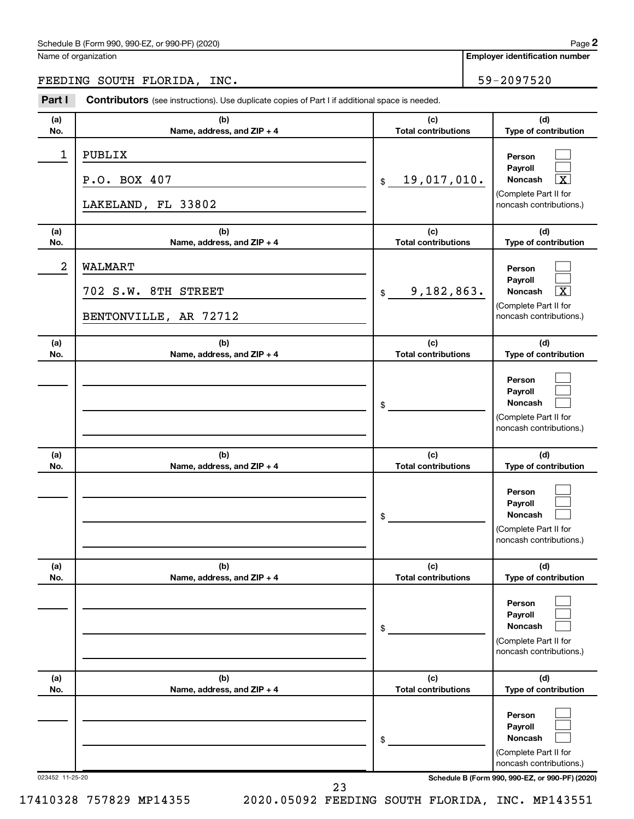Name of organization

**Employer identification number**

## FEEDING SOUTH FLORIDA, INC. THE SALE RESOLUTE SECTION OF SALE SECTION.

| Part I     | <b>Contributors</b> (see instructions). Use duplicate copies of Part I if additional space is needed. |                                   |                                                                                                             |
|------------|-------------------------------------------------------------------------------------------------------|-----------------------------------|-------------------------------------------------------------------------------------------------------------|
| (a)<br>No. | (b)<br>Name, address, and ZIP + 4                                                                     | (c)<br><b>Total contributions</b> | (d)<br>Type of contribution                                                                                 |
| 1          | PUBLIX<br>P.O. BOX 407<br>LAKELAND, FL 33802                                                          | 19,017,010.<br>\$                 | Person<br>Payroll<br>$\overline{\textbf{x}}$<br>Noncash<br>(Complete Part II for<br>noncash contributions.) |
| (a)<br>No. | (b)<br>Name, address, and ZIP + 4                                                                     | (c)<br><b>Total contributions</b> | (d)<br>Type of contribution                                                                                 |
| 2          | WALMART<br>702 S.W. 8TH STREET<br>BENTONVILLE, AR 72712                                               | 9,182,863.<br>$\$\$               | Person<br>Payroll<br>$\overline{\textbf{x}}$<br>Noncash<br>(Complete Part II for<br>noncash contributions.) |
| (a)<br>No. | (b)<br>Name, address, and ZIP + 4                                                                     | (c)<br><b>Total contributions</b> | (d)<br>Type of contribution                                                                                 |
|            |                                                                                                       | \$                                | Person<br>Payroll<br>Noncash<br>(Complete Part II for<br>noncash contributions.)                            |
| (a)<br>No. | (b)<br>Name, address, and ZIP + 4                                                                     | (c)<br><b>Total contributions</b> | (d)<br>Type of contribution                                                                                 |
|            |                                                                                                       | \$                                | Person<br>Payroll<br>Noncash<br>(Complete Part II for<br>noncash contributions.)                            |
| (a)<br>No. | (b)<br>Name, address, and ZIP + 4                                                                     | (c)<br><b>Total contributions</b> | (d)<br>Type of contribution                                                                                 |
|            |                                                                                                       | \$                                | Person<br>Payroll<br><b>Noncash</b><br>(Complete Part II for<br>noncash contributions.)                     |
| (a)<br>No. | (b)<br>Name, address, and ZIP + 4                                                                     | (c)<br><b>Total contributions</b> | (d)<br>Type of contribution                                                                                 |
|            |                                                                                                       | \$                                | Person<br>Payroll<br><b>Noncash</b><br>(Complete Part II for<br>noncash contributions.)                     |

023452 11-25-20 **Schedule B (Form 990, 990-EZ, or 990-PF) (2020)**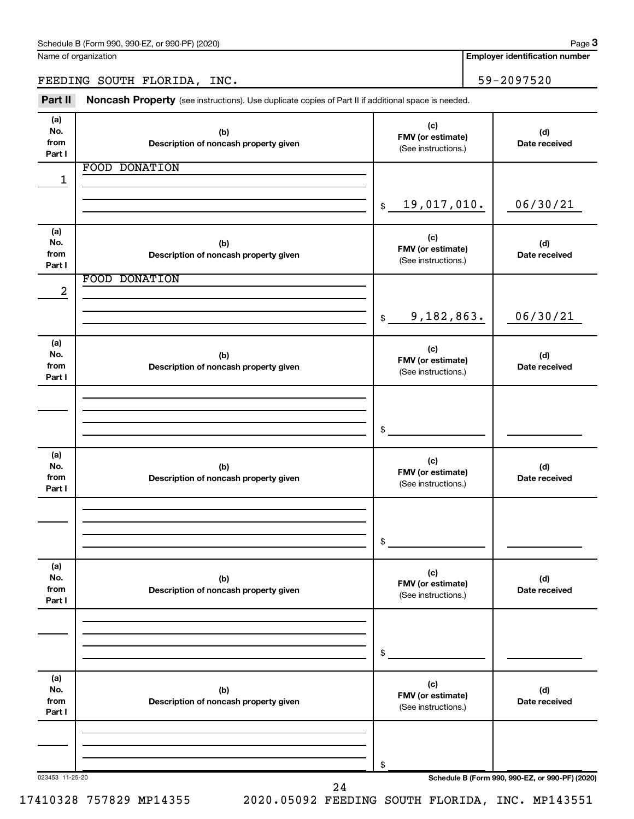**Employer identification number**

FEEDING SOUTH FLORIDA, INC. 59-2097520

Part II Noncash Property (see instructions). Use duplicate copies of Part II if additional space is needed.

| (a)<br>No.<br>from<br>Part I | (b)<br>Description of noncash property given | (c)<br>FMV (or estimate)<br>(See instructions.) | (d)<br>Date received                            |
|------------------------------|----------------------------------------------|-------------------------------------------------|-------------------------------------------------|
|                              | <b>FOOD DONATION</b>                         |                                                 |                                                 |
| 1                            |                                              |                                                 |                                                 |
|                              |                                              |                                                 |                                                 |
|                              |                                              | 19,017,010.<br>\$                               | 06/30/21                                        |
| (a)                          |                                              |                                                 |                                                 |
| No.                          | (b)                                          | (c)<br>FMV (or estimate)                        | (d)                                             |
| from<br>Part I               | Description of noncash property given        | (See instructions.)                             | Date received                                   |
|                              | <b>FOOD DONATION</b>                         |                                                 |                                                 |
| 2                            |                                              |                                                 |                                                 |
|                              |                                              |                                                 |                                                 |
|                              |                                              | 9,182,863.<br>$\mathfrak s$                     | 06/30/21                                        |
| (a)                          |                                              | (c)                                             |                                                 |
| No.                          | (b)                                          | FMV (or estimate)                               | (d)                                             |
| from<br>Part I               | Description of noncash property given        | (See instructions.)                             | Date received                                   |
|                              |                                              |                                                 |                                                 |
|                              |                                              |                                                 |                                                 |
|                              |                                              |                                                 |                                                 |
|                              |                                              | \$                                              |                                                 |
| (a)                          |                                              | (c)                                             |                                                 |
| No.                          | (b)                                          | FMV (or estimate)                               | (d)                                             |
| from<br>Part I               | Description of noncash property given        | (See instructions.)                             | Date received                                   |
|                              |                                              |                                                 |                                                 |
|                              |                                              |                                                 |                                                 |
|                              |                                              | \$                                              |                                                 |
|                              |                                              |                                                 |                                                 |
| (a)                          |                                              | (c)                                             |                                                 |
| No.<br>from                  | (b)<br>Description of noncash property given | FMV (or estimate)                               | (d)<br>Date received                            |
| Part I                       |                                              | (See instructions.)                             |                                                 |
|                              |                                              |                                                 |                                                 |
|                              |                                              |                                                 |                                                 |
|                              |                                              | \$                                              |                                                 |
| (a)                          |                                              |                                                 |                                                 |
| No.                          | (b)                                          | (c)                                             | (d)                                             |
| from                         | Description of noncash property given        | FMV (or estimate)<br>(See instructions.)        | Date received                                   |
| Part I                       |                                              |                                                 |                                                 |
|                              |                                              |                                                 |                                                 |
|                              |                                              |                                                 |                                                 |
|                              | 023453 11-25-20                              | \$                                              | Schedule B (Form 990, 990-EZ, or 990-PF) (2020) |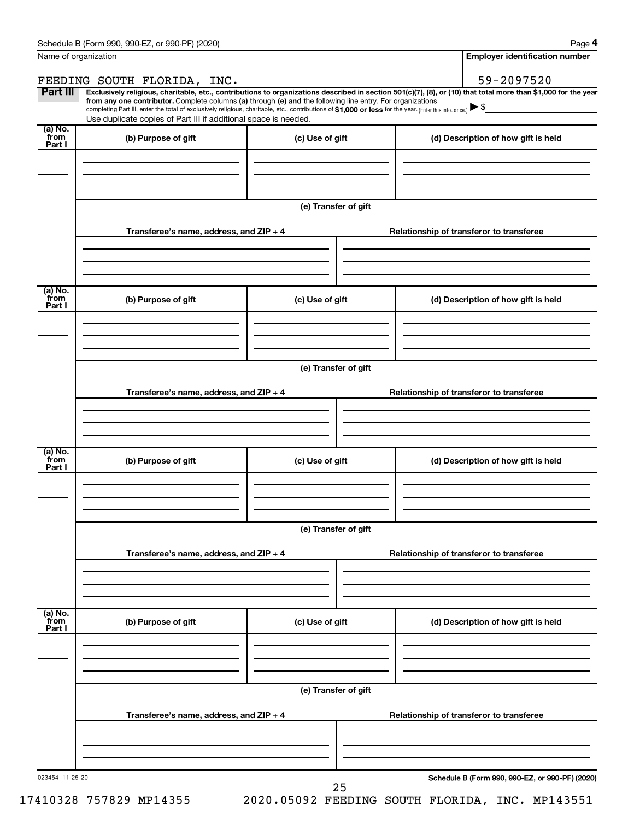**4**

|                            | Name of organization                                                                                                                                                                                                                                                                                                                                                                                                                                                                                        |                      |  | <b>Employer identification number</b>           |
|----------------------------|-------------------------------------------------------------------------------------------------------------------------------------------------------------------------------------------------------------------------------------------------------------------------------------------------------------------------------------------------------------------------------------------------------------------------------------------------------------------------------------------------------------|----------------------|--|-------------------------------------------------|
|                            | FEEDING SOUTH FLORIDA, INC.                                                                                                                                                                                                                                                                                                                                                                                                                                                                                 |                      |  | 59-2097520                                      |
| Part III                   | Exclusively religious, charitable, etc., contributions to organizations described in section 501(c)(7), (8), or (10) that total more than \$1,000 for the year<br>from any one contributor. Complete columns (a) through (e) and the following line entry. For organizations<br>completing Part III, enter the total of exclusively religious, charitable, etc., contributions of \$1,000 or less for the year. (Enter this info. once.)<br>Use duplicate copies of Part III if additional space is needed. |                      |  |                                                 |
| (a) No.<br>`from<br>Part I | (b) Purpose of gift                                                                                                                                                                                                                                                                                                                                                                                                                                                                                         | (c) Use of gift      |  | (d) Description of how gift is held             |
|                            |                                                                                                                                                                                                                                                                                                                                                                                                                                                                                                             |                      |  |                                                 |
|                            |                                                                                                                                                                                                                                                                                                                                                                                                                                                                                                             | (e) Transfer of gift |  |                                                 |
|                            | Transferee's name, address, and ZIP + 4                                                                                                                                                                                                                                                                                                                                                                                                                                                                     |                      |  | Relationship of transferor to transferee        |
|                            |                                                                                                                                                                                                                                                                                                                                                                                                                                                                                                             |                      |  |                                                 |
| (a) No.<br>`from<br>Part I | (b) Purpose of gift                                                                                                                                                                                                                                                                                                                                                                                                                                                                                         | (c) Use of gift      |  | (d) Description of how gift is held             |
|                            |                                                                                                                                                                                                                                                                                                                                                                                                                                                                                                             |                      |  |                                                 |
|                            |                                                                                                                                                                                                                                                                                                                                                                                                                                                                                                             | (e) Transfer of gift |  |                                                 |
|                            | Transferee's name, address, and ZIP + 4                                                                                                                                                                                                                                                                                                                                                                                                                                                                     |                      |  | Relationship of transferor to transferee        |
|                            |                                                                                                                                                                                                                                                                                                                                                                                                                                                                                                             |                      |  |                                                 |
| (a) No.<br>`from<br>Part I | (b) Purpose of gift                                                                                                                                                                                                                                                                                                                                                                                                                                                                                         | (c) Use of gift      |  | (d) Description of how gift is held             |
|                            |                                                                                                                                                                                                                                                                                                                                                                                                                                                                                                             |                      |  |                                                 |
|                            |                                                                                                                                                                                                                                                                                                                                                                                                                                                                                                             | (e) Transfer of gift |  |                                                 |
|                            | Transferee's name, address, and ZIP + 4                                                                                                                                                                                                                                                                                                                                                                                                                                                                     |                      |  | Relationship of transferor to transferee        |
| (a) No.<br>from            |                                                                                                                                                                                                                                                                                                                                                                                                                                                                                                             |                      |  |                                                 |
| Part I                     | (b) Purpose of gift                                                                                                                                                                                                                                                                                                                                                                                                                                                                                         | (c) Use of gift      |  | (d) Description of how gift is held             |
|                            |                                                                                                                                                                                                                                                                                                                                                                                                                                                                                                             |                      |  |                                                 |
|                            |                                                                                                                                                                                                                                                                                                                                                                                                                                                                                                             | (e) Transfer of gift |  |                                                 |
|                            | Transferee's name, address, and ZIP + 4                                                                                                                                                                                                                                                                                                                                                                                                                                                                     |                      |  | Relationship of transferor to transferee        |
|                            |                                                                                                                                                                                                                                                                                                                                                                                                                                                                                                             |                      |  |                                                 |
| 023454 11-25-20            |                                                                                                                                                                                                                                                                                                                                                                                                                                                                                                             | 25                   |  | Schedule B (Form 990, 990-EZ, or 990-PF) (2020) |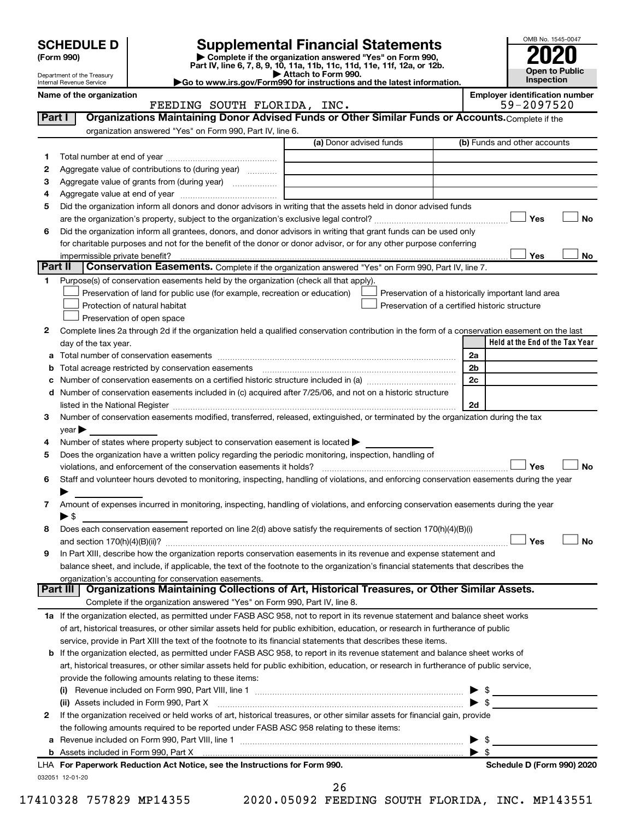Department of the Treasury Internal Revenue Service

| (Form 990) |  |
|------------|--|
|------------|--|

# **SCHEDULE D Supplemental Financial Statements**<br> **Form 990 2020**<br> **Part IV** line 6.7.8.9.10, 11a, 11b, 11d, 11d, 11d, 11d, 11d, 12a, 0r, 12b

**(Form 990) | Complete if the organization answered "Yes" on Form 990, Part IV, line 6, 7, 8, 9, 10, 11a, 11b, 11c, 11d, 11e, 11f, 12a, or 12b.**

**| Attach to Form 990. |Go to www.irs.gov/Form990 for instructions and the latest information.**



Name of the organization<br>**EMPLOY EMPLOYS SOUTH FLORIDA, INC.**<br>59-2097520 FEEDING SOUTH FLORIDA, INC.

| Part I  | Organizations Maintaining Donor Advised Funds or Other Similar Funds or Accounts. Complete if the                                                                                                                                                                                                                                                                  |                         |                         |                                                    |
|---------|--------------------------------------------------------------------------------------------------------------------------------------------------------------------------------------------------------------------------------------------------------------------------------------------------------------------------------------------------------------------|-------------------------|-------------------------|----------------------------------------------------|
|         | organization answered "Yes" on Form 990, Part IV, line 6.                                                                                                                                                                                                                                                                                                          | (a) Donor advised funds |                         | (b) Funds and other accounts                       |
|         |                                                                                                                                                                                                                                                                                                                                                                    |                         |                         |                                                    |
| 1       | Aggregate value of contributions to (during year)                                                                                                                                                                                                                                                                                                                  |                         |                         |                                                    |
| 2       |                                                                                                                                                                                                                                                                                                                                                                    |                         |                         |                                                    |
| з       | Aggregate value of grants from (during year)                                                                                                                                                                                                                                                                                                                       |                         |                         |                                                    |
| 4       |                                                                                                                                                                                                                                                                                                                                                                    |                         |                         |                                                    |
| 5       | Did the organization inform all donors and donor advisors in writing that the assets held in donor advised funds                                                                                                                                                                                                                                                   |                         |                         |                                                    |
|         |                                                                                                                                                                                                                                                                                                                                                                    |                         |                         | Yes<br>No                                          |
| 6       | Did the organization inform all grantees, donors, and donor advisors in writing that grant funds can be used only                                                                                                                                                                                                                                                  |                         |                         |                                                    |
|         | for charitable purposes and not for the benefit of the donor or donor advisor, or for any other purpose conferring                                                                                                                                                                                                                                                 |                         |                         |                                                    |
| Part II | Conservation Easements. Complete if the organization answered "Yes" on Form 990, Part IV, line 7.                                                                                                                                                                                                                                                                  |                         |                         | Yes<br>No                                          |
| 1       | Purpose(s) of conservation easements held by the organization (check all that apply).                                                                                                                                                                                                                                                                              |                         |                         |                                                    |
|         |                                                                                                                                                                                                                                                                                                                                                                    |                         |                         |                                                    |
|         | Preservation of land for public use (for example, recreation or education)                                                                                                                                                                                                                                                                                         |                         |                         | Preservation of a historically important land area |
|         | Protection of natural habitat                                                                                                                                                                                                                                                                                                                                      |                         |                         | Preservation of a certified historic structure     |
|         | Preservation of open space                                                                                                                                                                                                                                                                                                                                         |                         |                         |                                                    |
| 2       | Complete lines 2a through 2d if the organization held a qualified conservation contribution in the form of a conservation easement on the last                                                                                                                                                                                                                     |                         |                         | Held at the End of the Tax Year                    |
|         | day of the tax year.                                                                                                                                                                                                                                                                                                                                               |                         |                         |                                                    |
| а       |                                                                                                                                                                                                                                                                                                                                                                    |                         | 2a<br>2b                |                                                    |
| b       |                                                                                                                                                                                                                                                                                                                                                                    |                         | 2c                      |                                                    |
|         |                                                                                                                                                                                                                                                                                                                                                                    |                         |                         |                                                    |
|         | d Number of conservation easements included in (c) acquired after 7/25/06, and not on a historic structure                                                                                                                                                                                                                                                         |                         | 2d                      |                                                    |
| 3       | listed in the National Register [111] in the National Register [11] in the National Register [11] in the National Register [11] in the National Register [11] in the National Register [11] in the National Register [11] in t<br>Number of conservation easements modified, transferred, released, extinguished, or terminated by the organization during the tax |                         |                         |                                                    |
|         | $year \triangleright$                                                                                                                                                                                                                                                                                                                                              |                         |                         |                                                    |
| 4       | Number of states where property subject to conservation easement is located >                                                                                                                                                                                                                                                                                      |                         |                         |                                                    |
| 5       | Does the organization have a written policy regarding the periodic monitoring, inspection, handling of                                                                                                                                                                                                                                                             |                         |                         |                                                    |
|         | violations, and enforcement of the conservation easements it holds?                                                                                                                                                                                                                                                                                                |                         |                         | Yes<br>No                                          |
| 6       | Staff and volunteer hours devoted to monitoring, inspecting, handling of violations, and enforcing conservation easements during the year                                                                                                                                                                                                                          |                         |                         |                                                    |
|         |                                                                                                                                                                                                                                                                                                                                                                    |                         |                         |                                                    |
| 7       | Amount of expenses incurred in monitoring, inspecting, handling of violations, and enforcing conservation easements during the year                                                                                                                                                                                                                                |                         |                         |                                                    |
|         | ► \$                                                                                                                                                                                                                                                                                                                                                               |                         |                         |                                                    |
| 8       | Does each conservation easement reported on line 2(d) above satisfy the requirements of section 170(h)(4)(B)(i)                                                                                                                                                                                                                                                    |                         |                         |                                                    |
|         |                                                                                                                                                                                                                                                                                                                                                                    |                         |                         | Yes<br>No                                          |
| 9       | In Part XIII, describe how the organization reports conservation easements in its revenue and expense statement and                                                                                                                                                                                                                                                |                         |                         |                                                    |
|         | balance sheet, and include, if applicable, the text of the footnote to the organization's financial statements that describes the                                                                                                                                                                                                                                  |                         |                         |                                                    |
|         | organization's accounting for conservation easements.                                                                                                                                                                                                                                                                                                              |                         |                         |                                                    |
|         | Organizations Maintaining Collections of Art, Historical Treasures, or Other Similar Assets.<br>Part III                                                                                                                                                                                                                                                           |                         |                         |                                                    |
|         | Complete if the organization answered "Yes" on Form 990, Part IV, line 8.                                                                                                                                                                                                                                                                                          |                         |                         |                                                    |
|         | 1a If the organization elected, as permitted under FASB ASC 958, not to report in its revenue statement and balance sheet works                                                                                                                                                                                                                                    |                         |                         |                                                    |
|         | of art, historical treasures, or other similar assets held for public exhibition, education, or research in furtherance of public                                                                                                                                                                                                                                  |                         |                         |                                                    |
|         | service, provide in Part XIII the text of the footnote to its financial statements that describes these items.                                                                                                                                                                                                                                                     |                         |                         |                                                    |
|         | <b>b</b> If the organization elected, as permitted under FASB ASC 958, to report in its revenue statement and balance sheet works of                                                                                                                                                                                                                               |                         |                         |                                                    |
|         | art, historical treasures, or other similar assets held for public exhibition, education, or research in furtherance of public service,                                                                                                                                                                                                                            |                         |                         |                                                    |
|         | provide the following amounts relating to these items:                                                                                                                                                                                                                                                                                                             |                         |                         |                                                    |
|         | (i)                                                                                                                                                                                                                                                                                                                                                                |                         |                         |                                                    |
|         | (ii) Assets included in Form 990, Part X                                                                                                                                                                                                                                                                                                                           |                         |                         | $\blacktriangleright$ \$                           |
| 2       | If the organization received or held works of art, historical treasures, or other similar assets for financial gain, provide                                                                                                                                                                                                                                       |                         |                         |                                                    |
|         | the following amounts required to be reported under FASB ASC 958 relating to these items:                                                                                                                                                                                                                                                                          |                         |                         |                                                    |
| а       |                                                                                                                                                                                                                                                                                                                                                                    |                         |                         | \$                                                 |
|         |                                                                                                                                                                                                                                                                                                                                                                    |                         | $\blacktriangleright$ s |                                                    |
|         | LHA For Paperwork Reduction Act Notice, see the Instructions for Form 990.                                                                                                                                                                                                                                                                                         |                         |                         | Schedule D (Form 990) 2020                         |
|         | 032051 12-01-20                                                                                                                                                                                                                                                                                                                                                    |                         |                         |                                                    |

17410328 757829 MP14355 2020.05092 FEEDING SOUTH FLORIDA, INC. MP143551

26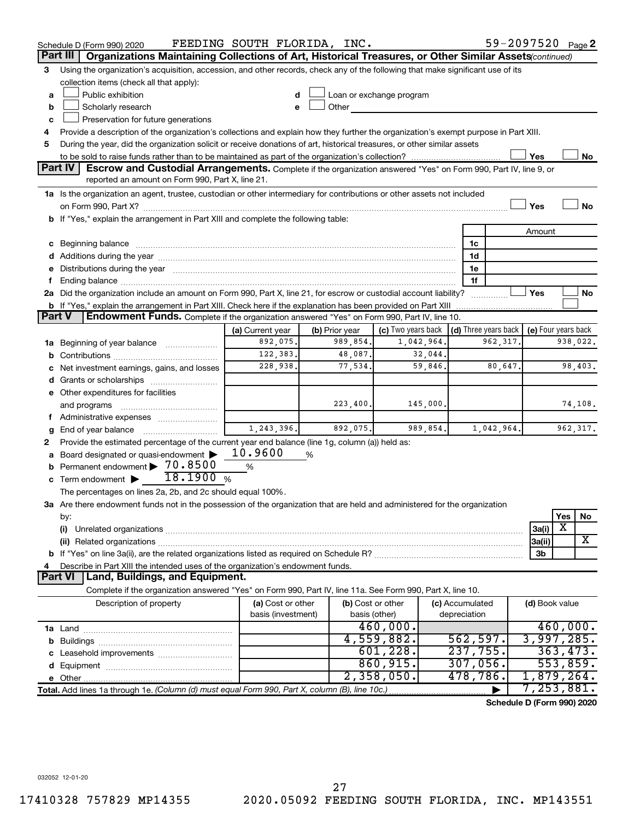|               | Schedule D (Form 990) 2020                                                                                                                                                                                                     | FEEDING SOUTH FLORIDA, INC. |                |                          |                 | 59-2097520 Page 2                    |                     |          |           |
|---------------|--------------------------------------------------------------------------------------------------------------------------------------------------------------------------------------------------------------------------------|-----------------------------|----------------|--------------------------|-----------------|--------------------------------------|---------------------|----------|-----------|
|               | Part III<br>Organizations Maintaining Collections of Art, Historical Treasures, or Other Similar Assets(continued)                                                                                                             |                             |                |                          |                 |                                      |                     |          |           |
| 3             | Using the organization's acquisition, accession, and other records, check any of the following that make significant use of its                                                                                                |                             |                |                          |                 |                                      |                     |          |           |
|               | collection items (check all that apply):                                                                                                                                                                                       |                             |                |                          |                 |                                      |                     |          |           |
| a             | Public exhibition                                                                                                                                                                                                              |                             |                | Loan or exchange program |                 |                                      |                     |          |           |
| b             | Scholarly research                                                                                                                                                                                                             | e                           | Other          | <b>Contract Contract</b> |                 |                                      |                     |          |           |
| c             | Preservation for future generations                                                                                                                                                                                            |                             |                |                          |                 |                                      |                     |          |           |
| 4             | Provide a description of the organization's collections and explain how they further the organization's exempt purpose in Part XIII.                                                                                           |                             |                |                          |                 |                                      |                     |          |           |
| 5             | During the year, did the organization solicit or receive donations of art, historical treasures, or other similar assets                                                                                                       |                             |                |                          |                 |                                      |                     |          |           |
|               |                                                                                                                                                                                                                                |                             |                |                          |                 |                                      | Yes                 |          | No        |
|               | Part IV<br><b>Escrow and Custodial Arrangements.</b> Complete if the organization answered "Yes" on Form 990, Part IV, line 9, or                                                                                              |                             |                |                          |                 |                                      |                     |          |           |
|               | reported an amount on Form 990, Part X, line 21.                                                                                                                                                                               |                             |                |                          |                 |                                      |                     |          |           |
|               | 1a Is the organization an agent, trustee, custodian or other intermediary for contributions or other assets not included                                                                                                       |                             |                |                          |                 |                                      |                     |          |           |
|               |                                                                                                                                                                                                                                |                             |                |                          |                 |                                      | Yes                 |          | <b>No</b> |
|               | b If "Yes," explain the arrangement in Part XIII and complete the following table:                                                                                                                                             |                             |                |                          |                 |                                      |                     |          |           |
|               |                                                                                                                                                                                                                                |                             |                |                          |                 |                                      | Amount              |          |           |
|               | c Beginning balance measurements and the contract of the contract of the contract of the contract of the contract of the contract of the contract of the contract of the contract of the contract of the contract of the contr |                             |                |                          | 1c              |                                      |                     |          |           |
|               |                                                                                                                                                                                                                                |                             |                |                          | 1d              |                                      |                     |          |           |
|               | e Distributions during the year manufactured and continuum and contact the year manufactured and contact the year manufactured and contact the year manufactured and contact the year manufactured and contact the year manufa |                             |                |                          | 1e              |                                      |                     |          |           |
| f.            |                                                                                                                                                                                                                                |                             |                |                          | 1f              |                                      |                     |          |           |
|               | 2a Did the organization include an amount on Form 990, Part X, line 21, for escrow or custodial account liability?                                                                                                             |                             |                |                          |                 |                                      | Yes                 |          | No        |
|               | <b>b</b> If "Yes," explain the arrangement in Part XIII. Check here if the explanation has been provided on Part XIII                                                                                                          |                             |                |                          |                 |                                      |                     |          |           |
| <b>Part V</b> | Endowment Funds. Complete if the organization answered "Yes" on Form 990, Part IV, line 10.                                                                                                                                    |                             |                |                          |                 |                                      |                     |          |           |
|               |                                                                                                                                                                                                                                | (a) Current year            | (b) Prior year | (c) Two years back       |                 | $\vert$ (d) Three years back $\vert$ | (e) Four years back |          |           |
|               | 1a Beginning of year balance                                                                                                                                                                                                   | 892,075.                    | 989,854.       | 1,042,964.               |                 | 962, 317.                            |                     |          | 938,022.  |
| b             |                                                                                                                                                                                                                                | 122,383.                    | 48,087.        | 32,044.                  |                 |                                      |                     |          |           |
| c             | Net investment earnings, gains, and losses                                                                                                                                                                                     | 228,938.                    | 77,534.        | 59,846.                  |                 | 80,647.                              |                     |          | 98,403.   |
|               |                                                                                                                                                                                                                                |                             |                |                          |                 |                                      |                     |          |           |
|               | e Other expenditures for facilities                                                                                                                                                                                            |                             |                |                          |                 |                                      |                     |          |           |
|               | and programs                                                                                                                                                                                                                   |                             | 223, 400.      | 145,000.                 |                 |                                      |                     |          | 74,108.   |
|               | f Administrative expenses                                                                                                                                                                                                      |                             |                |                          |                 |                                      |                     |          |           |
| g             | End of year balance <i></i>                                                                                                                                                                                                    | 1,243,396.                  | 892,075.       | 989,854.                 |                 | 1,042,964.                           |                     |          | 962, 317. |
| 2             | Provide the estimated percentage of the current year end balance (line 1g, column (a)) held as:                                                                                                                                |                             |                |                          |                 |                                      |                     |          |           |
|               | a Board designated or quasi-endowment >                                                                                                                                                                                        | 10.9600                     | %              |                          |                 |                                      |                     |          |           |
|               | <b>b</b> Permanent endowment > 70.8500                                                                                                                                                                                         | %                           |                |                          |                 |                                      |                     |          |           |
|               | 18.1900%<br>c Term endowment $\blacktriangleright$                                                                                                                                                                             |                             |                |                          |                 |                                      |                     |          |           |
|               | The percentages on lines 2a, 2b, and 2c should equal 100%.                                                                                                                                                                     |                             |                |                          |                 |                                      |                     |          |           |
|               | 3a Are there endowment funds not in the possession of the organization that are held and administered for the organization                                                                                                     |                             |                |                          |                 |                                      |                     |          |           |
|               | by:                                                                                                                                                                                                                            |                             |                |                          |                 |                                      |                     | Yes      | No        |
|               | (i)                                                                                                                                                                                                                            |                             |                |                          |                 |                                      | 3a(i)               | х        |           |
|               |                                                                                                                                                                                                                                |                             |                |                          |                 |                                      | 3a(ii)              |          | x         |
|               |                                                                                                                                                                                                                                |                             |                |                          |                 |                                      | 3b                  |          |           |
| 4             | Describe in Part XIII the intended uses of the organization's endowment funds.                                                                                                                                                 |                             |                |                          |                 |                                      |                     |          |           |
|               | Part VI   Land, Buildings, and Equipment.                                                                                                                                                                                      |                             |                |                          |                 |                                      |                     |          |           |
|               | Complete if the organization answered "Yes" on Form 990, Part IV, line 11a. See Form 990, Part X, line 10.                                                                                                                     |                             |                |                          |                 |                                      |                     |          |           |
|               | Description of property                                                                                                                                                                                                        | (a) Cost or other           |                | (b) Cost or other        | (c) Accumulated |                                      | (d) Book value      |          |           |
|               |                                                                                                                                                                                                                                | basis (investment)          |                | basis (other)            | depreciation    |                                      |                     |          |           |
|               |                                                                                                                                                                                                                                |                             |                | 460,000.                 |                 |                                      |                     |          | 460,000.  |
|               |                                                                                                                                                                                                                                |                             |                | 4,559,882.               | 562,597.        |                                      | 3,997,285.          |          |           |
|               |                                                                                                                                                                                                                                |                             |                | 601, 228.                | 237,755.        |                                      |                     | 363,473. |           |
|               |                                                                                                                                                                                                                                |                             |                | 860,915.                 | 307,056.        |                                      |                     |          | 553,859.  |
|               |                                                                                                                                                                                                                                |                             |                | 2,358,050.               | 478,786.        |                                      | 1,879,264.          |          |           |
|               | Total. Add lines 1a through 1e. (Column (d) must equal Form 990, Part X, column (B), line 10c.)                                                                                                                                |                             |                |                          |                 |                                      | 7,253,881.          |          |           |
|               |                                                                                                                                                                                                                                |                             |                |                          |                 | Schedule D (Form 990) 2020           |                     |          |           |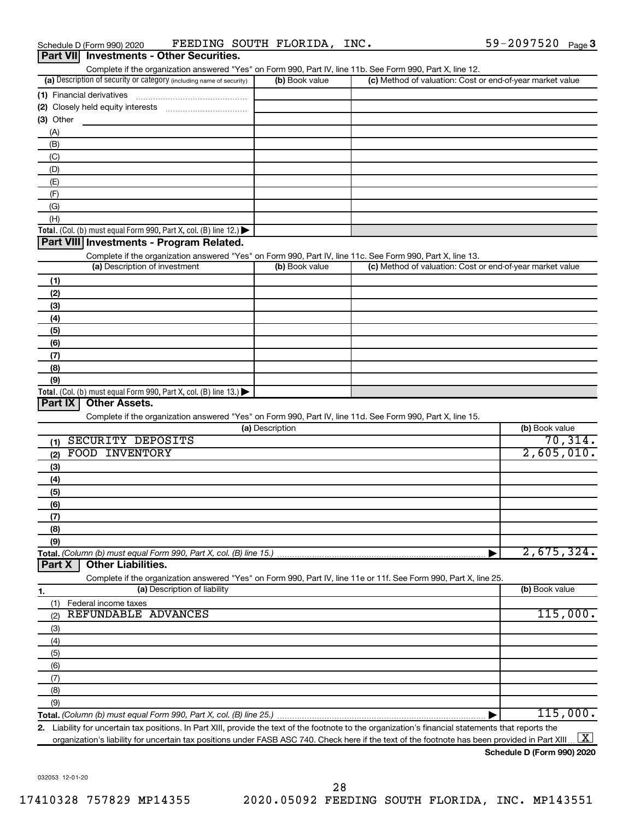| Part VII Investments - Other Securities.                                                                          |                 |                                                           |                |
|-------------------------------------------------------------------------------------------------------------------|-----------------|-----------------------------------------------------------|----------------|
| Complete if the organization answered "Yes" on Form 990, Part IV, line 11b. See Form 990, Part X, line 12.        |                 |                                                           |                |
| (a) Description of security or category (including name of security)                                              | (b) Book value  | (c) Method of valuation: Cost or end-of-year market value |                |
| (1) Financial derivatives                                                                                         |                 |                                                           |                |
|                                                                                                                   |                 |                                                           |                |
| (3) Other                                                                                                         |                 |                                                           |                |
| (A)                                                                                                               |                 |                                                           |                |
| (B)                                                                                                               |                 |                                                           |                |
| (C)                                                                                                               |                 |                                                           |                |
| (D)                                                                                                               |                 |                                                           |                |
| (E)                                                                                                               |                 |                                                           |                |
| (F)                                                                                                               |                 |                                                           |                |
| (G)                                                                                                               |                 |                                                           |                |
| (H)                                                                                                               |                 |                                                           |                |
| Total. (Col. (b) must equal Form 990, Part X, col. (B) line 12.)                                                  |                 |                                                           |                |
| Part VIII Investments - Program Related.                                                                          |                 |                                                           |                |
| Complete if the organization answered "Yes" on Form 990, Part IV, line 11c. See Form 990, Part X, line 13.        |                 |                                                           |                |
| (a) Description of investment                                                                                     | (b) Book value  | (c) Method of valuation: Cost or end-of-year market value |                |
| (1)                                                                                                               |                 |                                                           |                |
| (2)                                                                                                               |                 |                                                           |                |
| (3)                                                                                                               |                 |                                                           |                |
|                                                                                                                   |                 |                                                           |                |
| (4)                                                                                                               |                 |                                                           |                |
| (5)                                                                                                               |                 |                                                           |                |
| (6)                                                                                                               |                 |                                                           |                |
| (7)                                                                                                               |                 |                                                           |                |
| (8)                                                                                                               |                 |                                                           |                |
| (9)                                                                                                               |                 |                                                           |                |
| Total. (Col. (b) must equal Form 990, Part X, col. (B) line $13.$ )<br>Part IX<br><b>Other Assets.</b>            |                 |                                                           |                |
|                                                                                                                   |                 |                                                           |                |
| Complete if the organization answered "Yes" on Form 990, Part IV, line 11d. See Form 990, Part X, line 15.        |                 |                                                           | (b) Book value |
|                                                                                                                   | (a) Description |                                                           | 70, 314.       |
| SECURITY DEPOSITS<br>(1)                                                                                          |                 |                                                           |                |
| FOOD INVENTORY<br>(2)                                                                                             |                 |                                                           | 2,605,010.     |
| (3)                                                                                                               |                 |                                                           |                |
| (4)                                                                                                               |                 |                                                           |                |
| (5)                                                                                                               |                 |                                                           |                |
| (6)                                                                                                               |                 |                                                           |                |
| (7)                                                                                                               |                 |                                                           |                |
| (8)                                                                                                               |                 |                                                           |                |
| (9)                                                                                                               |                 |                                                           |                |
| Total. (Column (b) must equal Form 990, Part X, col. (B) line 15.)                                                |                 |                                                           | 2,675,324.     |
| <b>Other Liabilities.</b><br>Part X                                                                               |                 |                                                           |                |
| Complete if the organization answered "Yes" on Form 990, Part IV, line 11e or 11f. See Form 990, Part X, line 25. |                 |                                                           |                |
| (a) Description of liability<br>1.                                                                                |                 |                                                           | (b) Book value |
| Federal income taxes<br>(1)                                                                                       |                 |                                                           |                |
| REFUNDABLE ADVANCES<br>(2)                                                                                        |                 |                                                           | 115,000.       |
| (3)                                                                                                               |                 |                                                           |                |
| (4)                                                                                                               |                 |                                                           |                |
| (5)                                                                                                               |                 |                                                           |                |
| (6)                                                                                                               |                 |                                                           |                |

(9)

**Total.**  *(Column (b) must equal Form 990, Part X, col. (B) line 25.)* | 115,000.

**2.** Liability for uncertain tax positions. In Part XIII, provide the text of the footnote to the organization's financial statements that reports the organization's liability for uncertain tax positions under FASB ASC 740. Check here if the text of the footnote has been provided in Part XIII ...  $\fbox{\bf X}$ 

**Schedule D (Form 990) 2020**

032053 12-01-20

(7) (8)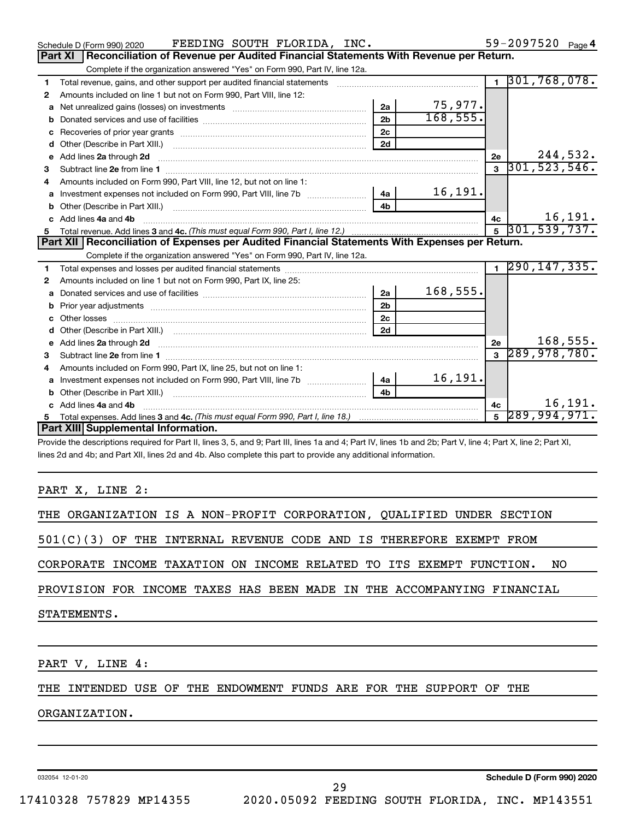|   | FEEDING SOUTH FLORIDA, INC.<br>Schedule D (Form 990) 2020                                                                                                                                                                          |                |           |    | 59-2097520 Page 4            |
|---|------------------------------------------------------------------------------------------------------------------------------------------------------------------------------------------------------------------------------------|----------------|-----------|----|------------------------------|
|   | Reconciliation of Revenue per Audited Financial Statements With Revenue per Return.<br><b>Part XI</b>                                                                                                                              |                |           |    |                              |
|   | Complete if the organization answered "Yes" on Form 990, Part IV, line 12a.                                                                                                                                                        |                |           |    |                              |
| 1 | Total revenue, gains, and other support per audited financial statements                                                                                                                                                           |                |           |    | $1$ , 301, 768, 078.         |
| 2 | Amounts included on line 1 but not on Form 990, Part VIII, line 12:                                                                                                                                                                |                |           |    |                              |
| a |                                                                                                                                                                                                                                    | 2a             | 75,977.   |    |                              |
| b |                                                                                                                                                                                                                                    | 2 <sub>b</sub> | 168, 555. |    |                              |
| c |                                                                                                                                                                                                                                    | 2c             |           |    |                              |
| d |                                                                                                                                                                                                                                    | 2d             |           |    |                              |
| е | Add lines 2a through 2d <b>must be a constructed as the constant of the constant of the constant of the construction</b>                                                                                                           |                |           | 2e | 244,532.                     |
| З |                                                                                                                                                                                                                                    |                |           |    | $3\overline{)301,523,546}$ . |
| 4 | Amounts included on Form 990, Part VIII, line 12, but not on line 1:                                                                                                                                                               |                |           |    |                              |
| a |                                                                                                                                                                                                                                    | 4a             | 16, 191.  |    |                              |
| b |                                                                                                                                                                                                                                    | 4 <sub>b</sub> |           |    |                              |
| c | Add lines 4a and 4b                                                                                                                                                                                                                |                |           | 4с | 16, 191.                     |
| 5 |                                                                                                                                                                                                                                    |                |           |    | $5\overline{)301,539,737.}$  |
|   |                                                                                                                                                                                                                                    |                |           |    |                              |
|   | Part XII   Reconciliation of Expenses per Audited Financial Statements With Expenses per Return.                                                                                                                                   |                |           |    |                              |
|   | Complete if the organization answered "Yes" on Form 990, Part IV, line 12a.                                                                                                                                                        |                |           |    |                              |
| 1 |                                                                                                                                                                                                                                    |                |           |    | $1 \overline{290, 147, 335}$ |
| 2 | Amounts included on line 1 but not on Form 990, Part IX, line 25:                                                                                                                                                                  |                |           |    |                              |
| a |                                                                                                                                                                                                                                    | 2a             | 168,555.  |    |                              |
| b |                                                                                                                                                                                                                                    | 2 <sub>b</sub> |           |    |                              |
| c |                                                                                                                                                                                                                                    | 2 <sub>c</sub> |           |    |                              |
| d |                                                                                                                                                                                                                                    | 2d             |           |    |                              |
|   | e Add lines 2a through 2d <b>contained a control and a control and a</b> control and a control and a control and a control and a control and a control and a control and a control and a control and a control and a control and a |                |           | 2e | 168,555.                     |
| 3 |                                                                                                                                                                                                                                    |                |           |    | $3\overline{)289,978,780.}$  |
| 4 | Amounts included on Form 990, Part IX, line 25, but not on line 1:                                                                                                                                                                 |                |           |    |                              |
| a | Investment expenses not included on Form 990, Part VIII, line 7b                                                                                                                                                                   | 4a             | 16,191.   |    |                              |
| b |                                                                                                                                                                                                                                    | 4 <sub>h</sub> |           |    |                              |
|   | Add lines 4a and 4b                                                                                                                                                                                                                |                |           | 4с | 16, 191.                     |
|   | Part XIII Supplemental Information.                                                                                                                                                                                                |                |           |    | $5\overline{289,994,971.}$   |

Provide the descriptions required for Part II, lines 3, 5, and 9; Part III, lines 1a and 4; Part IV, lines 1b and 2b; Part V, line 4; Part X, line 2; Part XI, lines 2d and 4b; and Part XII, lines 2d and 4b. Also complete this part to provide any additional information.

## PART X, LINE 2:

|             |  |  | THE ORGANIZATION IS A NON-PROFIT CORPORATION, QUALIFIED UNDER SECTION  |  |  |  |  |  |     |
|-------------|--|--|------------------------------------------------------------------------|--|--|--|--|--|-----|
|             |  |  | $501(C)(3)$ OF THE INTERNAL REVENUE CODE AND IS THEREFORE EXEMPT FROM  |  |  |  |  |  |     |
|             |  |  | CORPORATE INCOME TAXATION ON INCOME RELATED TO ITS EXEMPT FUNCTION.    |  |  |  |  |  | NO. |
|             |  |  | PROVISION FOR INCOME TAXES HAS BEEN MADE IN THE ACCOMPANYING FINANCIAL |  |  |  |  |  |     |
| STATEMENTS. |  |  |                                                                        |  |  |  |  |  |     |
|             |  |  |                                                                        |  |  |  |  |  |     |
|             |  |  |                                                                        |  |  |  |  |  |     |

PART V, LINE 4:

THE INTENDED USE OF THE ENDOWMENT FUNDS ARE FOR THE SUPPORT OF THE

#### ORGANIZATION.

032054 12-01-20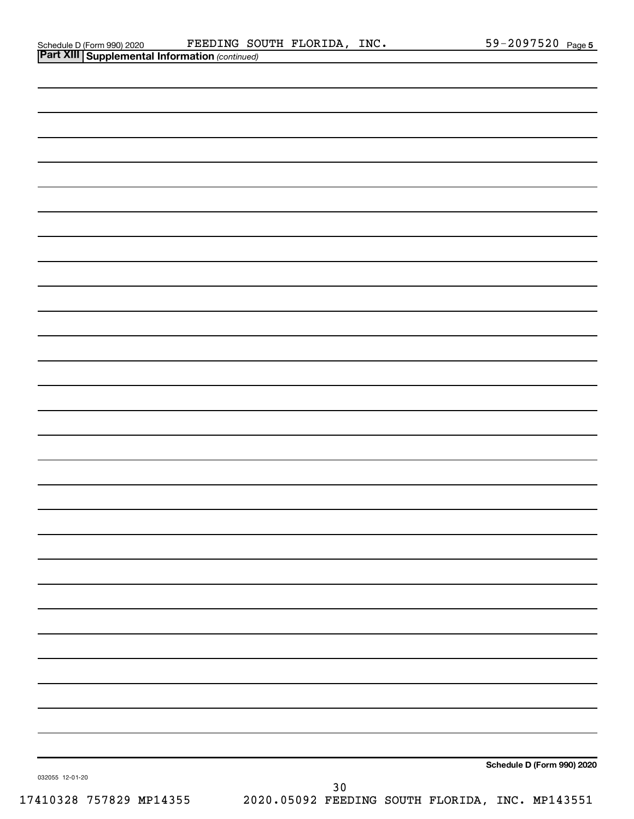| <b>Part XIII Supplemental Information</b> |       |
|-------------------------------------------|-------|
| Schedule D (Form 990) 2020                | FEED. |

| <b>Part XIII Supplemental Information (continued)</b> |      |                            |
|-------------------------------------------------------|------|----------------------------|
|                                                       |      |                            |
|                                                       |      |                            |
|                                                       |      |                            |
|                                                       |      |                            |
|                                                       |      |                            |
|                                                       |      |                            |
|                                                       |      |                            |
|                                                       |      |                            |
|                                                       |      |                            |
|                                                       |      |                            |
|                                                       |      |                            |
|                                                       |      |                            |
|                                                       |      |                            |
|                                                       |      |                            |
|                                                       |      |                            |
|                                                       |      |                            |
|                                                       |      |                            |
|                                                       |      |                            |
|                                                       |      |                            |
|                                                       |      |                            |
|                                                       |      |                            |
|                                                       |      |                            |
|                                                       |      |                            |
|                                                       |      |                            |
|                                                       |      |                            |
|                                                       |      |                            |
|                                                       |      |                            |
|                                                       |      |                            |
| 032055 12-01-20                                       | $30$ | Schedule D (Form 990) 2020 |
|                                                       |      |                            |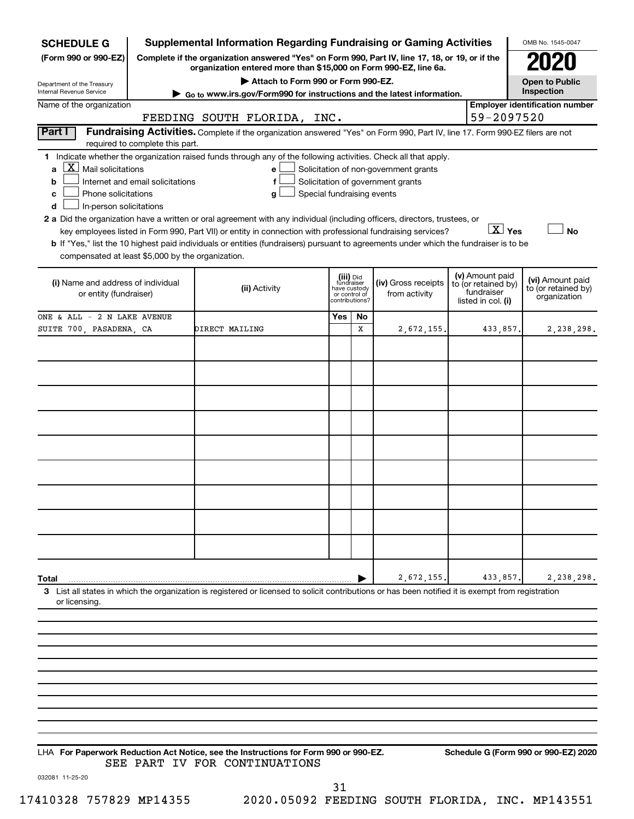| <b>SCHEDULE G</b>                                 | <b>Supplemental Information Regarding Fundraising or Gaming Activities</b>                                                                                                                                                                |           |                                                 |                                       |            |                                        | OMB No. 1545-0047                     |
|---------------------------------------------------|-------------------------------------------------------------------------------------------------------------------------------------------------------------------------------------------------------------------------------------------|-----------|-------------------------------------------------|---------------------------------------|------------|----------------------------------------|---------------------------------------|
| (Form 990 or 990-EZ)                              | Complete if the organization answered "Yes" on Form 990, Part IV, line 17, 18, or 19, or if the<br>organization entered more than \$15,000 on Form 990-EZ, line 6a.                                                                       |           |                                                 |                                       |            |                                        |                                       |
| Department of the Treasury                        | Attach to Form 990 or Form 990-EZ.                                                                                                                                                                                                        |           |                                                 |                                       |            |                                        | <b>Open to Public</b>                 |
| Internal Revenue Service                          | Go to www.irs.gov/Form990 for instructions and the latest information.                                                                                                                                                                    |           |                                                 |                                       |            |                                        | Inspection                            |
| Name of the organization                          | FEEDING SOUTH FLORIDA, INC.                                                                                                                                                                                                               |           |                                                 |                                       |            | 59-2097520                             | <b>Employer identification number</b> |
| Part I                                            | Fundraising Activities. Complete if the organization answered "Yes" on Form 990, Part IV, line 17. Form 990-EZ filers are not                                                                                                             |           |                                                 |                                       |            |                                        |                                       |
| required to complete this part.                   |                                                                                                                                                                                                                                           |           |                                                 |                                       |            |                                        |                                       |
|                                                   | 1 Indicate whether the organization raised funds through any of the following activities. Check all that apply.                                                                                                                           |           |                                                 |                                       |            |                                        |                                       |
| $\mathbf{X}$<br>Mail solicitations<br>a           | e                                                                                                                                                                                                                                         |           |                                                 | Solicitation of non-government grants |            |                                        |                                       |
| Internet and email solicitations<br>b             |                                                                                                                                                                                                                                           |           |                                                 | Solicitation of government grants     |            |                                        |                                       |
| Phone solicitations<br>c                          | Special fundraising events<br>g                                                                                                                                                                                                           |           |                                                 |                                       |            |                                        |                                       |
| In-person solicitations<br>d                      |                                                                                                                                                                                                                                           |           |                                                 |                                       |            |                                        |                                       |
|                                                   | 2 a Did the organization have a written or oral agreement with any individual (including officers, directors, trustees, or<br>key employees listed in Form 990, Part VII) or entity in connection with professional fundraising services? |           |                                                 |                                       |            | $\overline{X}$ Yes                     | <b>No</b>                             |
|                                                   | b If "Yes," list the 10 highest paid individuals or entities (fundraisers) pursuant to agreements under which the fundraiser is to be                                                                                                     |           |                                                 |                                       |            |                                        |                                       |
| compensated at least \$5,000 by the organization. |                                                                                                                                                                                                                                           |           |                                                 |                                       |            |                                        |                                       |
|                                                   |                                                                                                                                                                                                                                           |           |                                                 |                                       |            |                                        |                                       |
| (i) Name and address of individual                |                                                                                                                                                                                                                                           | (iii) Did | fundraiser                                      | (iv) Gross receipts                   |            | (v) Amount paid<br>to (or retained by) | (vi) Amount paid                      |
| or entity (fundraiser)                            | (ii) Activity                                                                                                                                                                                                                             |           | have custody<br>or control of<br>contributions? | from activity                         | fundraiser |                                        | to (or retained by)<br>organization   |
|                                                   |                                                                                                                                                                                                                                           |           |                                                 |                                       |            | listed in col. (i)                     |                                       |
| ONE & ALL - 2 N LAKE AVENUE                       |                                                                                                                                                                                                                                           | Yes       | No                                              |                                       |            |                                        |                                       |
| SUITE 700, PASADENA, CA                           | DIRECT MAILING                                                                                                                                                                                                                            |           | х                                               | 2,672,155                             |            | 433,857.                               | 2,238,298.                            |
|                                                   |                                                                                                                                                                                                                                           |           |                                                 |                                       |            |                                        |                                       |
|                                                   |                                                                                                                                                                                                                                           |           |                                                 |                                       |            |                                        |                                       |
|                                                   |                                                                                                                                                                                                                                           |           |                                                 |                                       |            |                                        |                                       |
|                                                   |                                                                                                                                                                                                                                           |           |                                                 |                                       |            |                                        |                                       |
|                                                   |                                                                                                                                                                                                                                           |           |                                                 |                                       |            |                                        |                                       |
|                                                   |                                                                                                                                                                                                                                           |           |                                                 |                                       |            |                                        |                                       |
|                                                   |                                                                                                                                                                                                                                           |           |                                                 |                                       |            |                                        |                                       |
|                                                   |                                                                                                                                                                                                                                           |           |                                                 |                                       |            |                                        |                                       |
|                                                   |                                                                                                                                                                                                                                           |           |                                                 |                                       |            |                                        |                                       |
|                                                   |                                                                                                                                                                                                                                           |           |                                                 |                                       |            |                                        |                                       |
|                                                   |                                                                                                                                                                                                                                           |           |                                                 |                                       |            |                                        |                                       |
|                                                   |                                                                                                                                                                                                                                           |           |                                                 |                                       |            |                                        |                                       |
|                                                   |                                                                                                                                                                                                                                           |           |                                                 |                                       |            |                                        |                                       |
|                                                   |                                                                                                                                                                                                                                           |           |                                                 |                                       |            |                                        |                                       |
|                                                   |                                                                                                                                                                                                                                           |           |                                                 |                                       |            |                                        |                                       |
|                                                   |                                                                                                                                                                                                                                           |           |                                                 |                                       |            |                                        |                                       |
| Total                                             |                                                                                                                                                                                                                                           |           |                                                 | 2,672,155                             |            | 433,857                                | 2,238,298.                            |
| or licensing.                                     | 3 List all states in which the organization is registered or licensed to solicit contributions or has been notified it is exempt from registration                                                                                        |           |                                                 |                                       |            |                                        |                                       |
|                                                   |                                                                                                                                                                                                                                           |           |                                                 |                                       |            |                                        |                                       |
|                                                   |                                                                                                                                                                                                                                           |           |                                                 |                                       |            |                                        |                                       |
|                                                   |                                                                                                                                                                                                                                           |           |                                                 |                                       |            |                                        |                                       |
|                                                   |                                                                                                                                                                                                                                           |           |                                                 |                                       |            |                                        |                                       |
|                                                   |                                                                                                                                                                                                                                           |           |                                                 |                                       |            |                                        |                                       |

**For Paperwork Reduction Act Notice, see the Instructions for Form 990 or 990-EZ. Schedule G (Form 990 or 990-EZ) 2020** LHA SEE PART IV FOR CONTINUATIONS

032081 11-25-20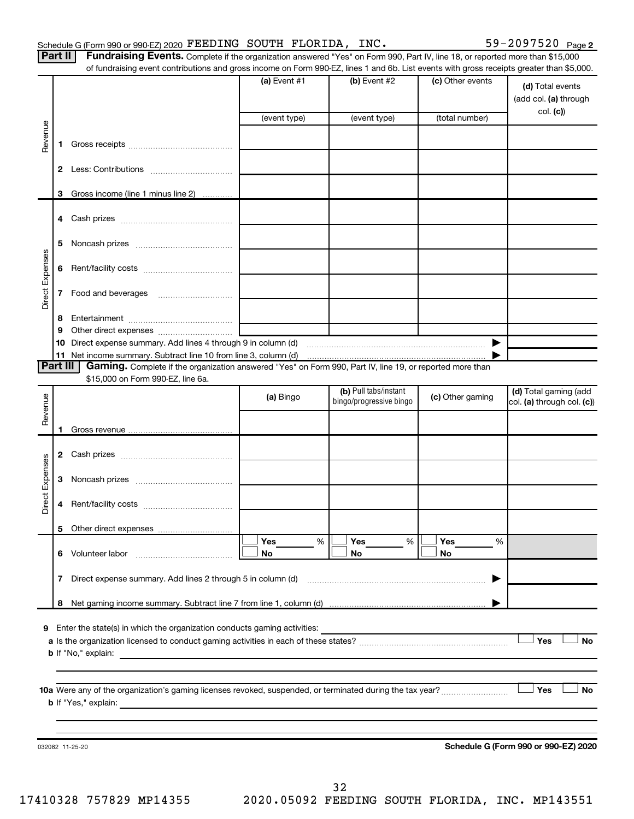Part II | Fundraising Events. Complete if the organization answered "Yes" on Form 990, Part IV, line 18, or reported more than \$15,000 of fundraising event contributions and gross income on Form 990-EZ, lines 1 and 6b. List events with gross receipts greater than \$5,000.

|                        |              | OF RINGLASHIY EVENT CONTIDUMOTS AND GIOSS INCOME ON FOND 990-EZ, IMES T AND OD. EIST EVENTS WILL GIOSS RECEIPTS GREATER MAN \$0,000. |                |                         |                  |                                           |
|------------------------|--------------|--------------------------------------------------------------------------------------------------------------------------------------|----------------|-------------------------|------------------|-------------------------------------------|
|                        |              |                                                                                                                                      | (a) Event $#1$ | $(b)$ Event #2          | (c) Other events | (d) Total events<br>(add col. (a) through |
|                        |              |                                                                                                                                      | (event type)   | (event type)            | (total number)   | col. (c)                                  |
| Revenue                | 1.           |                                                                                                                                      |                |                         |                  |                                           |
|                        |              |                                                                                                                                      |                |                         |                  |                                           |
|                        |              |                                                                                                                                      |                |                         |                  |                                           |
|                        | 3            | Gross income (line 1 minus line 2)                                                                                                   |                |                         |                  |                                           |
|                        |              |                                                                                                                                      |                |                         |                  |                                           |
|                        | 5            |                                                                                                                                      |                |                         |                  |                                           |
| Direct Expenses        | 6            |                                                                                                                                      |                |                         |                  |                                           |
|                        | $\mathbf{7}$ |                                                                                                                                      |                |                         |                  |                                           |
|                        |              |                                                                                                                                      |                |                         |                  |                                           |
|                        | 8<br>9       |                                                                                                                                      |                |                         |                  |                                           |
|                        | 10           |                                                                                                                                      |                |                         |                  |                                           |
|                        |              |                                                                                                                                      |                |                         |                  |                                           |
|                        |              | <b>Part III</b><br>Gaming. Complete if the organization answered "Yes" on Form 990, Part IV, line 19, or reported more than          |                |                         |                  |                                           |
|                        |              | \$15,000 on Form 990-EZ, line 6a.                                                                                                    |                | (b) Pull tabs/instant   |                  | (d) Total gaming (add                     |
| Revenue                |              |                                                                                                                                      | (a) Bingo      | bingo/progressive bingo | (c) Other gaming | col. (a) through col. (c))                |
|                        |              |                                                                                                                                      |                |                         |                  |                                           |
|                        | 1.           |                                                                                                                                      |                |                         |                  |                                           |
|                        |              |                                                                                                                                      |                |                         |                  |                                           |
| <b>Direct Expenses</b> | 3            |                                                                                                                                      |                |                         |                  |                                           |
|                        | 4            |                                                                                                                                      |                |                         |                  |                                           |
|                        |              |                                                                                                                                      |                |                         |                  |                                           |
|                        |              |                                                                                                                                      | Yes<br>%       | Yes<br>%                | Yes<br>%         |                                           |
|                        | 6            | Volunteer labor                                                                                                                      | No             | No                      | No               |                                           |
|                        | 7            | Direct expense summary. Add lines 2 through 5 in column (d)                                                                          |                |                         |                  |                                           |
|                        | 8            |                                                                                                                                      |                |                         |                  |                                           |
|                        |              |                                                                                                                                      |                |                         |                  |                                           |
| 9                      |              | Enter the state(s) in which the organization conducts gaming activities:                                                             |                |                         |                  |                                           |
|                        |              |                                                                                                                                      |                |                         |                  | Yes<br>No                                 |
|                        |              | <b>b</b> If "No," explain:                                                                                                           |                |                         |                  |                                           |
|                        |              |                                                                                                                                      |                |                         |                  |                                           |
|                        |              | 10a Were any of the organization's gaming licenses revoked, suspended, or terminated during the tax year?                            |                |                         |                  | Yes<br>No                                 |
|                        |              | <b>b</b> If "Yes," explain:<br><u> 1980 - Jan Sterling Sterling, amerikansk politiker (d. 1980)</u>                                  |                |                         |                  |                                           |
|                        |              |                                                                                                                                      |                |                         |                  |                                           |
|                        |              |                                                                                                                                      |                |                         |                  |                                           |
|                        |              | 032082 11-25-20                                                                                                                      |                |                         |                  | Schedule G (Form 990 or 990-EZ) 2020      |
|                        |              |                                                                                                                                      |                |                         |                  |                                           |
|                        |              |                                                                                                                                      |                |                         |                  |                                           |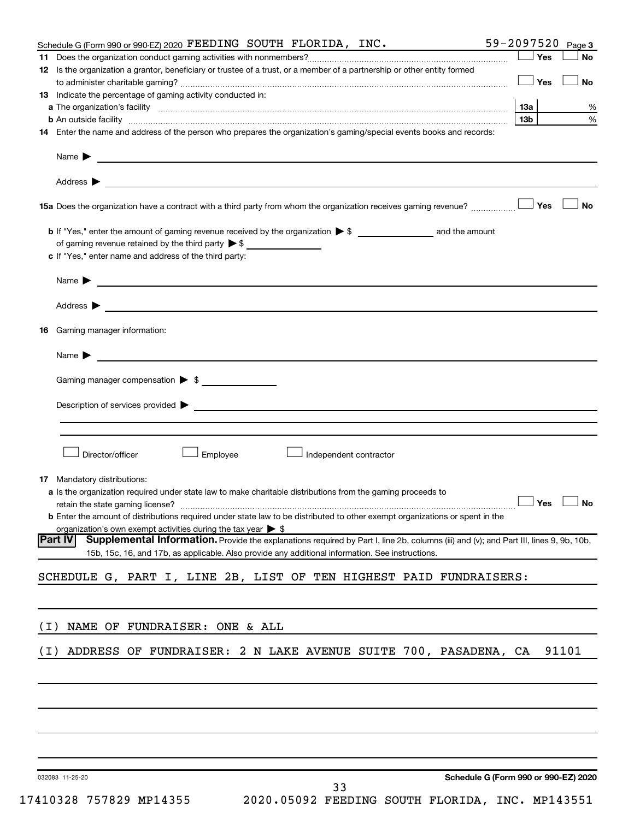|       | Schedule G (Form 990 or 990-EZ) 2020 FEEDING SOUTH FLORIDA, INC.                                                                                                                                                                                       | 59-2097520      |     | Page 3    |
|-------|--------------------------------------------------------------------------------------------------------------------------------------------------------------------------------------------------------------------------------------------------------|-----------------|-----|-----------|
| 11.   |                                                                                                                                                                                                                                                        |                 | Yes | <b>No</b> |
|       | 12 Is the organization a grantor, beneficiary or trustee of a trust, or a member of a partnership or other entity formed                                                                                                                               |                 |     |           |
|       |                                                                                                                                                                                                                                                        |                 | Yes | <b>No</b> |
|       | <b>13</b> Indicate the percentage of gaming activity conducted in:                                                                                                                                                                                     |                 |     |           |
|       |                                                                                                                                                                                                                                                        | 13a             |     | ℅         |
|       |                                                                                                                                                                                                                                                        | 13 <sub>b</sub> |     | %         |
|       | 14 Enter the name and address of the person who prepares the organization's gaming/special events books and records:                                                                                                                                   |                 |     |           |
|       |                                                                                                                                                                                                                                                        |                 |     |           |
|       |                                                                                                                                                                                                                                                        |                 |     |           |
|       |                                                                                                                                                                                                                                                        |                 | Yes | No        |
|       |                                                                                                                                                                                                                                                        |                 |     |           |
|       | of gaming revenue retained by the third party $\triangleright$ \$                                                                                                                                                                                      |                 |     |           |
|       | c If "Yes," enter name and address of the third party:                                                                                                                                                                                                 |                 |     |           |
|       | Name $\blacktriangleright$ $\lrcorner$                                                                                                                                                                                                                 |                 |     |           |
|       |                                                                                                                                                                                                                                                        |                 |     |           |
|       |                                                                                                                                                                                                                                                        |                 |     |           |
| 16.   | Gaming manager information:                                                                                                                                                                                                                            |                 |     |           |
|       | Name $\sum$                                                                                                                                                                                                                                            |                 |     |           |
|       |                                                                                                                                                                                                                                                        |                 |     |           |
|       | Gaming manager compensation > \$                                                                                                                                                                                                                       |                 |     |           |
|       | Description of services provided > The Communication of Services and Theorem Communication of Services provided                                                                                                                                        |                 |     |           |
|       |                                                                                                                                                                                                                                                        |                 |     |           |
|       |                                                                                                                                                                                                                                                        |                 |     |           |
|       | Director/officer<br>Employee<br>$\perp$ Independent contractor                                                                                                                                                                                         |                 |     |           |
|       | <b>17</b> Mandatory distributions:                                                                                                                                                                                                                     |                 |     |           |
|       | <b>a</b> Is the organization required under state law to make charitable distributions from the gaming proceeds to                                                                                                                                     |                 |     |           |
|       | retain the state gaming license? $\Box$ No                                                                                                                                                                                                             |                 |     |           |
|       | <b>b</b> Enter the amount of distributions required under state law to be distributed to other exempt organizations or spent in the                                                                                                                    |                 |     |           |
|       | organization's own exempt activities during the tax year $\triangleright$ \$                                                                                                                                                                           |                 |     |           |
|       | Supplemental Information. Provide the explanations required by Part I, line 2b, columns (iii) and (v); and Part III, lines 9, 9b, 10b,<br> Part IV<br>15b, 15c, 16, and 17b, as applicable. Also provide any additional information. See instructions. |                 |     |           |
|       |                                                                                                                                                                                                                                                        |                 |     |           |
|       | SCHEDULE G, PART I, LINE 2B, LIST OF TEN HIGHEST PAID FUNDRAISERS:                                                                                                                                                                                     |                 |     |           |
|       |                                                                                                                                                                                                                                                        |                 |     |           |
| ( I ) | NAME OF FUNDRAISER: ONE & ALL                                                                                                                                                                                                                          |                 |     |           |
| ( I ) | ADDRESS OF FUNDRAISER: 2 N LAKE AVENUE SUITE 700, PASADENA, CA                                                                                                                                                                                         |                 |     | 91101     |
|       |                                                                                                                                                                                                                                                        |                 |     |           |
|       |                                                                                                                                                                                                                                                        |                 |     |           |
|       |                                                                                                                                                                                                                                                        |                 |     |           |
|       |                                                                                                                                                                                                                                                        |                 |     |           |
|       |                                                                                                                                                                                                                                                        |                 |     |           |
|       |                                                                                                                                                                                                                                                        |                 |     |           |
|       | Schedule G (Form 990 or 990-EZ) 2020<br>032083 11-25-20                                                                                                                                                                                                |                 |     |           |
|       | 33                                                                                                                                                                                                                                                     |                 |     |           |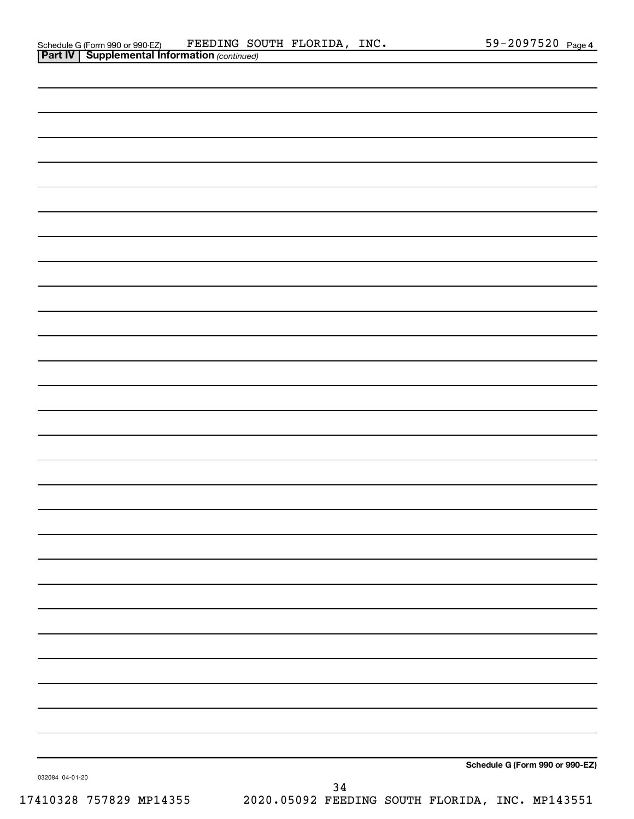| Schedule G (Form 990 or 990-EZ)                       |  | FEEDING SOUTH FLORIDA, | INC. | 59-2097520 $_{Page 4}$ |  |
|-------------------------------------------------------|--|------------------------|------|------------------------|--|
| <b>Part IV   Supplemental Information (continued)</b> |  |                        |      |                        |  |

| . 4.1.17<br><b>Cappioniontal information</b> (commaca) |                                                 |      |  |                                 |
|--------------------------------------------------------|-------------------------------------------------|------|--|---------------------------------|
|                                                        |                                                 |      |  |                                 |
|                                                        |                                                 |      |  |                                 |
|                                                        |                                                 |      |  |                                 |
|                                                        |                                                 |      |  |                                 |
|                                                        |                                                 |      |  |                                 |
|                                                        |                                                 |      |  |                                 |
|                                                        |                                                 |      |  |                                 |
|                                                        |                                                 |      |  |                                 |
|                                                        |                                                 |      |  |                                 |
|                                                        |                                                 |      |  |                                 |
|                                                        |                                                 |      |  |                                 |
|                                                        |                                                 |      |  |                                 |
|                                                        |                                                 |      |  |                                 |
|                                                        |                                                 |      |  |                                 |
|                                                        |                                                 |      |  |                                 |
|                                                        |                                                 |      |  |                                 |
|                                                        |                                                 |      |  |                                 |
|                                                        |                                                 |      |  |                                 |
|                                                        |                                                 |      |  |                                 |
|                                                        |                                                 |      |  |                                 |
|                                                        |                                                 |      |  |                                 |
|                                                        |                                                 |      |  |                                 |
|                                                        |                                                 |      |  |                                 |
|                                                        |                                                 |      |  |                                 |
|                                                        |                                                 |      |  |                                 |
|                                                        |                                                 |      |  |                                 |
|                                                        |                                                 |      |  |                                 |
|                                                        |                                                 |      |  |                                 |
|                                                        |                                                 |      |  |                                 |
|                                                        |                                                 |      |  |                                 |
|                                                        |                                                 |      |  |                                 |
|                                                        |                                                 |      |  |                                 |
|                                                        |                                                 |      |  |                                 |
|                                                        |                                                 |      |  |                                 |
|                                                        |                                                 |      |  |                                 |
|                                                        |                                                 |      |  |                                 |
|                                                        |                                                 |      |  |                                 |
|                                                        |                                                 |      |  |                                 |
|                                                        |                                                 |      |  |                                 |
|                                                        |                                                 |      |  |                                 |
|                                                        |                                                 |      |  |                                 |
|                                                        |                                                 |      |  |                                 |
|                                                        |                                                 |      |  |                                 |
|                                                        |                                                 |      |  |                                 |
|                                                        |                                                 |      |  |                                 |
|                                                        |                                                 |      |  |                                 |
|                                                        |                                                 |      |  |                                 |
|                                                        |                                                 |      |  |                                 |
|                                                        |                                                 |      |  |                                 |
|                                                        |                                                 |      |  |                                 |
|                                                        |                                                 |      |  | Schedule G (Form 990 or 990-EZ) |
| 032084 04-01-20                                        |                                                 |      |  |                                 |
|                                                        |                                                 | $34$ |  |                                 |
| 17410328 757829 MP14355                                | 2020.05092 FEEDING SOUTH FLORIDA, INC. MP143551 |      |  |                                 |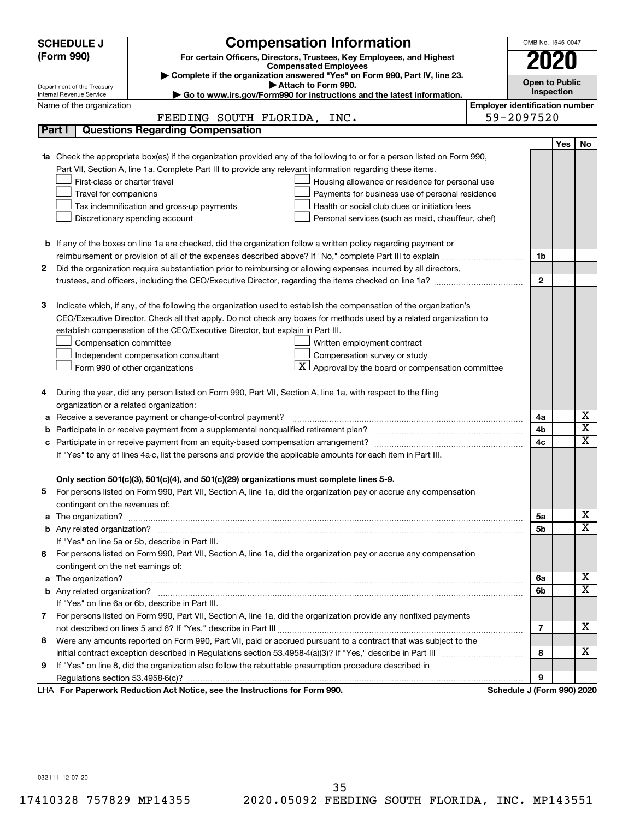| (Form 990)<br>For certain Officers, Directors, Trustees, Key Employees, and Highest<br><b>Compensated Employees</b><br>Complete if the organization answered "Yes" on Form 990, Part IV, line 23.<br><b>Open to Public</b><br>Attach to Form 990.<br>Department of the Treasury<br>Inspection<br>Go to www.irs.gov/Form990 for instructions and the latest information.<br>Internal Revenue Service<br><b>Employer identification number</b><br>Name of the organization<br>59-2097520<br>FEEDING SOUTH FLORIDA, INC.<br><b>Questions Regarding Compensation</b><br>Part I<br><b>Yes</b><br>No<br>1a Check the appropriate box(es) if the organization provided any of the following to or for a person listed on Form 990,<br>Part VII, Section A, line 1a. Complete Part III to provide any relevant information regarding these items.<br>First-class or charter travel<br>Housing allowance or residence for personal use<br>Travel for companions<br>Payments for business use of personal residence<br>Health or social club dues or initiation fees<br>Tax indemnification and gross-up payments<br>Discretionary spending account<br>Personal services (such as maid, chauffeur, chef)<br><b>b</b> If any of the boxes on line 1a are checked, did the organization follow a written policy regarding payment or<br>reimbursement or provision of all of the expenses described above? If "No," complete Part III to explain<br>1b<br>2<br>Did the organization require substantiation prior to reimbursing or allowing expenses incurred by all directors,<br>$\mathbf{2}$<br>Indicate which, if any, of the following the organization used to establish the compensation of the organization's<br>3<br>CEO/Executive Director. Check all that apply. Do not check any boxes for methods used by a related organization to<br>establish compensation of the CEO/Executive Director, but explain in Part III.<br>Compensation committee<br>Written employment contract<br>Compensation survey or study<br>Independent compensation consultant<br>Approval by the board or compensation committee<br>Form 990 of other organizations<br>During the year, did any person listed on Form 990, Part VII, Section A, line 1a, with respect to the filing<br>4<br>organization or a related organization:<br>х<br>Receive a severance payment or change-of-control payment?<br>4a<br>а<br>$\overline{\textnormal{x}}$<br>4b<br>$\overline{\textnormal{x}}$<br>Participate in or receive payment from an equity-based compensation arrangement?<br>4c<br>c<br>If "Yes" to any of lines 4a-c, list the persons and provide the applicable amounts for each item in Part III.<br>Only section 501(c)(3), 501(c)(4), and 501(c)(29) organizations must complete lines 5-9.<br>For persons listed on Form 990, Part VII, Section A, line 1a, did the organization pay or accrue any compensation<br>contingent on the revenues of:<br>х<br>5a<br>$\overline{\mathbf{X}}$<br>5b<br>If "Yes" on line 5a or 5b, describe in Part III.<br>6 For persons listed on Form 990, Part VII, Section A, line 1a, did the organization pay or accrue any compensation<br>contingent on the net earnings of:<br>х<br>The organization? <b>William Commission Commission Commission</b> Commission Commission Commission Commission Commission<br>6a<br>a<br>$\overline{\mathbf{X}}$<br>6b<br>If "Yes" on line 6a or 6b, describe in Part III.<br>7 For persons listed on Form 990, Part VII, Section A, line 1a, did the organization provide any nonfixed payments<br>x<br>7 | <b>Compensation Information</b><br><b>SCHEDULE J</b> | OMB No. 1545-0047 |  |
|----------------------------------------------------------------------------------------------------------------------------------------------------------------------------------------------------------------------------------------------------------------------------------------------------------------------------------------------------------------------------------------------------------------------------------------------------------------------------------------------------------------------------------------------------------------------------------------------------------------------------------------------------------------------------------------------------------------------------------------------------------------------------------------------------------------------------------------------------------------------------------------------------------------------------------------------------------------------------------------------------------------------------------------------------------------------------------------------------------------------------------------------------------------------------------------------------------------------------------------------------------------------------------------------------------------------------------------------------------------------------------------------------------------------------------------------------------------------------------------------------------------------------------------------------------------------------------------------------------------------------------------------------------------------------------------------------------------------------------------------------------------------------------------------------------------------------------------------------------------------------------------------------------------------------------------------------------------------------------------------------------------------------------------------------------------------------------------------------------------------------------------------------------------------------------------------------------------------------------------------------------------------------------------------------------------------------------------------------------------------------------------------------------------------------------------------------------------------------------------------------------------------------------------------------------------------------------------------------------------------------------------------------------------------------------------------------------------------------------------------------------------------------------------------------------------------------------------------------------------------------------------------------------------------------------------------------------------------------------------------------------------------------------------------------------------------------------------------------------------------------------------------------------------------------------------------------------------------------------------------------------------------------------------------------------------------------------------------------------------------------------------------------------------------------------------------------------------------------------------------------------------------------------------------------------------|------------------------------------------------------|-------------------|--|
|                                                                                                                                                                                                                                                                                                                                                                                                                                                                                                                                                                                                                                                                                                                                                                                                                                                                                                                                                                                                                                                                                                                                                                                                                                                                                                                                                                                                                                                                                                                                                                                                                                                                                                                                                                                                                                                                                                                                                                                                                                                                                                                                                                                                                                                                                                                                                                                                                                                                                                                                                                                                                                                                                                                                                                                                                                                                                                                                                                                                                                                                                                                                                                                                                                                                                                                                                                                                                                                                                                                                                                |                                                      |                   |  |
|                                                                                                                                                                                                                                                                                                                                                                                                                                                                                                                                                                                                                                                                                                                                                                                                                                                                                                                                                                                                                                                                                                                                                                                                                                                                                                                                                                                                                                                                                                                                                                                                                                                                                                                                                                                                                                                                                                                                                                                                                                                                                                                                                                                                                                                                                                                                                                                                                                                                                                                                                                                                                                                                                                                                                                                                                                                                                                                                                                                                                                                                                                                                                                                                                                                                                                                                                                                                                                                                                                                                                                |                                                      |                   |  |
|                                                                                                                                                                                                                                                                                                                                                                                                                                                                                                                                                                                                                                                                                                                                                                                                                                                                                                                                                                                                                                                                                                                                                                                                                                                                                                                                                                                                                                                                                                                                                                                                                                                                                                                                                                                                                                                                                                                                                                                                                                                                                                                                                                                                                                                                                                                                                                                                                                                                                                                                                                                                                                                                                                                                                                                                                                                                                                                                                                                                                                                                                                                                                                                                                                                                                                                                                                                                                                                                                                                                                                |                                                      |                   |  |
|                                                                                                                                                                                                                                                                                                                                                                                                                                                                                                                                                                                                                                                                                                                                                                                                                                                                                                                                                                                                                                                                                                                                                                                                                                                                                                                                                                                                                                                                                                                                                                                                                                                                                                                                                                                                                                                                                                                                                                                                                                                                                                                                                                                                                                                                                                                                                                                                                                                                                                                                                                                                                                                                                                                                                                                                                                                                                                                                                                                                                                                                                                                                                                                                                                                                                                                                                                                                                                                                                                                                                                |                                                      |                   |  |
|                                                                                                                                                                                                                                                                                                                                                                                                                                                                                                                                                                                                                                                                                                                                                                                                                                                                                                                                                                                                                                                                                                                                                                                                                                                                                                                                                                                                                                                                                                                                                                                                                                                                                                                                                                                                                                                                                                                                                                                                                                                                                                                                                                                                                                                                                                                                                                                                                                                                                                                                                                                                                                                                                                                                                                                                                                                                                                                                                                                                                                                                                                                                                                                                                                                                                                                                                                                                                                                                                                                                                                |                                                      |                   |  |
|                                                                                                                                                                                                                                                                                                                                                                                                                                                                                                                                                                                                                                                                                                                                                                                                                                                                                                                                                                                                                                                                                                                                                                                                                                                                                                                                                                                                                                                                                                                                                                                                                                                                                                                                                                                                                                                                                                                                                                                                                                                                                                                                                                                                                                                                                                                                                                                                                                                                                                                                                                                                                                                                                                                                                                                                                                                                                                                                                                                                                                                                                                                                                                                                                                                                                                                                                                                                                                                                                                                                                                |                                                      |                   |  |
|                                                                                                                                                                                                                                                                                                                                                                                                                                                                                                                                                                                                                                                                                                                                                                                                                                                                                                                                                                                                                                                                                                                                                                                                                                                                                                                                                                                                                                                                                                                                                                                                                                                                                                                                                                                                                                                                                                                                                                                                                                                                                                                                                                                                                                                                                                                                                                                                                                                                                                                                                                                                                                                                                                                                                                                                                                                                                                                                                                                                                                                                                                                                                                                                                                                                                                                                                                                                                                                                                                                                                                |                                                      |                   |  |
|                                                                                                                                                                                                                                                                                                                                                                                                                                                                                                                                                                                                                                                                                                                                                                                                                                                                                                                                                                                                                                                                                                                                                                                                                                                                                                                                                                                                                                                                                                                                                                                                                                                                                                                                                                                                                                                                                                                                                                                                                                                                                                                                                                                                                                                                                                                                                                                                                                                                                                                                                                                                                                                                                                                                                                                                                                                                                                                                                                                                                                                                                                                                                                                                                                                                                                                                                                                                                                                                                                                                                                |                                                      |                   |  |
|                                                                                                                                                                                                                                                                                                                                                                                                                                                                                                                                                                                                                                                                                                                                                                                                                                                                                                                                                                                                                                                                                                                                                                                                                                                                                                                                                                                                                                                                                                                                                                                                                                                                                                                                                                                                                                                                                                                                                                                                                                                                                                                                                                                                                                                                                                                                                                                                                                                                                                                                                                                                                                                                                                                                                                                                                                                                                                                                                                                                                                                                                                                                                                                                                                                                                                                                                                                                                                                                                                                                                                |                                                      |                   |  |
|                                                                                                                                                                                                                                                                                                                                                                                                                                                                                                                                                                                                                                                                                                                                                                                                                                                                                                                                                                                                                                                                                                                                                                                                                                                                                                                                                                                                                                                                                                                                                                                                                                                                                                                                                                                                                                                                                                                                                                                                                                                                                                                                                                                                                                                                                                                                                                                                                                                                                                                                                                                                                                                                                                                                                                                                                                                                                                                                                                                                                                                                                                                                                                                                                                                                                                                                                                                                                                                                                                                                                                |                                                      |                   |  |
|                                                                                                                                                                                                                                                                                                                                                                                                                                                                                                                                                                                                                                                                                                                                                                                                                                                                                                                                                                                                                                                                                                                                                                                                                                                                                                                                                                                                                                                                                                                                                                                                                                                                                                                                                                                                                                                                                                                                                                                                                                                                                                                                                                                                                                                                                                                                                                                                                                                                                                                                                                                                                                                                                                                                                                                                                                                                                                                                                                                                                                                                                                                                                                                                                                                                                                                                                                                                                                                                                                                                                                |                                                      |                   |  |
|                                                                                                                                                                                                                                                                                                                                                                                                                                                                                                                                                                                                                                                                                                                                                                                                                                                                                                                                                                                                                                                                                                                                                                                                                                                                                                                                                                                                                                                                                                                                                                                                                                                                                                                                                                                                                                                                                                                                                                                                                                                                                                                                                                                                                                                                                                                                                                                                                                                                                                                                                                                                                                                                                                                                                                                                                                                                                                                                                                                                                                                                                                                                                                                                                                                                                                                                                                                                                                                                                                                                                                |                                                      |                   |  |
|                                                                                                                                                                                                                                                                                                                                                                                                                                                                                                                                                                                                                                                                                                                                                                                                                                                                                                                                                                                                                                                                                                                                                                                                                                                                                                                                                                                                                                                                                                                                                                                                                                                                                                                                                                                                                                                                                                                                                                                                                                                                                                                                                                                                                                                                                                                                                                                                                                                                                                                                                                                                                                                                                                                                                                                                                                                                                                                                                                                                                                                                                                                                                                                                                                                                                                                                                                                                                                                                                                                                                                |                                                      |                   |  |
|                                                                                                                                                                                                                                                                                                                                                                                                                                                                                                                                                                                                                                                                                                                                                                                                                                                                                                                                                                                                                                                                                                                                                                                                                                                                                                                                                                                                                                                                                                                                                                                                                                                                                                                                                                                                                                                                                                                                                                                                                                                                                                                                                                                                                                                                                                                                                                                                                                                                                                                                                                                                                                                                                                                                                                                                                                                                                                                                                                                                                                                                                                                                                                                                                                                                                                                                                                                                                                                                                                                                                                |                                                      |                   |  |
|                                                                                                                                                                                                                                                                                                                                                                                                                                                                                                                                                                                                                                                                                                                                                                                                                                                                                                                                                                                                                                                                                                                                                                                                                                                                                                                                                                                                                                                                                                                                                                                                                                                                                                                                                                                                                                                                                                                                                                                                                                                                                                                                                                                                                                                                                                                                                                                                                                                                                                                                                                                                                                                                                                                                                                                                                                                                                                                                                                                                                                                                                                                                                                                                                                                                                                                                                                                                                                                                                                                                                                |                                                      |                   |  |
|                                                                                                                                                                                                                                                                                                                                                                                                                                                                                                                                                                                                                                                                                                                                                                                                                                                                                                                                                                                                                                                                                                                                                                                                                                                                                                                                                                                                                                                                                                                                                                                                                                                                                                                                                                                                                                                                                                                                                                                                                                                                                                                                                                                                                                                                                                                                                                                                                                                                                                                                                                                                                                                                                                                                                                                                                                                                                                                                                                                                                                                                                                                                                                                                                                                                                                                                                                                                                                                                                                                                                                |                                                      |                   |  |
|                                                                                                                                                                                                                                                                                                                                                                                                                                                                                                                                                                                                                                                                                                                                                                                                                                                                                                                                                                                                                                                                                                                                                                                                                                                                                                                                                                                                                                                                                                                                                                                                                                                                                                                                                                                                                                                                                                                                                                                                                                                                                                                                                                                                                                                                                                                                                                                                                                                                                                                                                                                                                                                                                                                                                                                                                                                                                                                                                                                                                                                                                                                                                                                                                                                                                                                                                                                                                                                                                                                                                                |                                                      |                   |  |
|                                                                                                                                                                                                                                                                                                                                                                                                                                                                                                                                                                                                                                                                                                                                                                                                                                                                                                                                                                                                                                                                                                                                                                                                                                                                                                                                                                                                                                                                                                                                                                                                                                                                                                                                                                                                                                                                                                                                                                                                                                                                                                                                                                                                                                                                                                                                                                                                                                                                                                                                                                                                                                                                                                                                                                                                                                                                                                                                                                                                                                                                                                                                                                                                                                                                                                                                                                                                                                                                                                                                                                |                                                      |                   |  |
|                                                                                                                                                                                                                                                                                                                                                                                                                                                                                                                                                                                                                                                                                                                                                                                                                                                                                                                                                                                                                                                                                                                                                                                                                                                                                                                                                                                                                                                                                                                                                                                                                                                                                                                                                                                                                                                                                                                                                                                                                                                                                                                                                                                                                                                                                                                                                                                                                                                                                                                                                                                                                                                                                                                                                                                                                                                                                                                                                                                                                                                                                                                                                                                                                                                                                                                                                                                                                                                                                                                                                                |                                                      |                   |  |
|                                                                                                                                                                                                                                                                                                                                                                                                                                                                                                                                                                                                                                                                                                                                                                                                                                                                                                                                                                                                                                                                                                                                                                                                                                                                                                                                                                                                                                                                                                                                                                                                                                                                                                                                                                                                                                                                                                                                                                                                                                                                                                                                                                                                                                                                                                                                                                                                                                                                                                                                                                                                                                                                                                                                                                                                                                                                                                                                                                                                                                                                                                                                                                                                                                                                                                                                                                                                                                                                                                                                                                |                                                      |                   |  |
|                                                                                                                                                                                                                                                                                                                                                                                                                                                                                                                                                                                                                                                                                                                                                                                                                                                                                                                                                                                                                                                                                                                                                                                                                                                                                                                                                                                                                                                                                                                                                                                                                                                                                                                                                                                                                                                                                                                                                                                                                                                                                                                                                                                                                                                                                                                                                                                                                                                                                                                                                                                                                                                                                                                                                                                                                                                                                                                                                                                                                                                                                                                                                                                                                                                                                                                                                                                                                                                                                                                                                                |                                                      |                   |  |
|                                                                                                                                                                                                                                                                                                                                                                                                                                                                                                                                                                                                                                                                                                                                                                                                                                                                                                                                                                                                                                                                                                                                                                                                                                                                                                                                                                                                                                                                                                                                                                                                                                                                                                                                                                                                                                                                                                                                                                                                                                                                                                                                                                                                                                                                                                                                                                                                                                                                                                                                                                                                                                                                                                                                                                                                                                                                                                                                                                                                                                                                                                                                                                                                                                                                                                                                                                                                                                                                                                                                                                |                                                      |                   |  |
|                                                                                                                                                                                                                                                                                                                                                                                                                                                                                                                                                                                                                                                                                                                                                                                                                                                                                                                                                                                                                                                                                                                                                                                                                                                                                                                                                                                                                                                                                                                                                                                                                                                                                                                                                                                                                                                                                                                                                                                                                                                                                                                                                                                                                                                                                                                                                                                                                                                                                                                                                                                                                                                                                                                                                                                                                                                                                                                                                                                                                                                                                                                                                                                                                                                                                                                                                                                                                                                                                                                                                                |                                                      |                   |  |
|                                                                                                                                                                                                                                                                                                                                                                                                                                                                                                                                                                                                                                                                                                                                                                                                                                                                                                                                                                                                                                                                                                                                                                                                                                                                                                                                                                                                                                                                                                                                                                                                                                                                                                                                                                                                                                                                                                                                                                                                                                                                                                                                                                                                                                                                                                                                                                                                                                                                                                                                                                                                                                                                                                                                                                                                                                                                                                                                                                                                                                                                                                                                                                                                                                                                                                                                                                                                                                                                                                                                                                |                                                      |                   |  |
|                                                                                                                                                                                                                                                                                                                                                                                                                                                                                                                                                                                                                                                                                                                                                                                                                                                                                                                                                                                                                                                                                                                                                                                                                                                                                                                                                                                                                                                                                                                                                                                                                                                                                                                                                                                                                                                                                                                                                                                                                                                                                                                                                                                                                                                                                                                                                                                                                                                                                                                                                                                                                                                                                                                                                                                                                                                                                                                                                                                                                                                                                                                                                                                                                                                                                                                                                                                                                                                                                                                                                                |                                                      |                   |  |
|                                                                                                                                                                                                                                                                                                                                                                                                                                                                                                                                                                                                                                                                                                                                                                                                                                                                                                                                                                                                                                                                                                                                                                                                                                                                                                                                                                                                                                                                                                                                                                                                                                                                                                                                                                                                                                                                                                                                                                                                                                                                                                                                                                                                                                                                                                                                                                                                                                                                                                                                                                                                                                                                                                                                                                                                                                                                                                                                                                                                                                                                                                                                                                                                                                                                                                                                                                                                                                                                                                                                                                |                                                      |                   |  |
|                                                                                                                                                                                                                                                                                                                                                                                                                                                                                                                                                                                                                                                                                                                                                                                                                                                                                                                                                                                                                                                                                                                                                                                                                                                                                                                                                                                                                                                                                                                                                                                                                                                                                                                                                                                                                                                                                                                                                                                                                                                                                                                                                                                                                                                                                                                                                                                                                                                                                                                                                                                                                                                                                                                                                                                                                                                                                                                                                                                                                                                                                                                                                                                                                                                                                                                                                                                                                                                                                                                                                                |                                                      |                   |  |
|                                                                                                                                                                                                                                                                                                                                                                                                                                                                                                                                                                                                                                                                                                                                                                                                                                                                                                                                                                                                                                                                                                                                                                                                                                                                                                                                                                                                                                                                                                                                                                                                                                                                                                                                                                                                                                                                                                                                                                                                                                                                                                                                                                                                                                                                                                                                                                                                                                                                                                                                                                                                                                                                                                                                                                                                                                                                                                                                                                                                                                                                                                                                                                                                                                                                                                                                                                                                                                                                                                                                                                |                                                      |                   |  |
|                                                                                                                                                                                                                                                                                                                                                                                                                                                                                                                                                                                                                                                                                                                                                                                                                                                                                                                                                                                                                                                                                                                                                                                                                                                                                                                                                                                                                                                                                                                                                                                                                                                                                                                                                                                                                                                                                                                                                                                                                                                                                                                                                                                                                                                                                                                                                                                                                                                                                                                                                                                                                                                                                                                                                                                                                                                                                                                                                                                                                                                                                                                                                                                                                                                                                                                                                                                                                                                                                                                                                                |                                                      |                   |  |
|                                                                                                                                                                                                                                                                                                                                                                                                                                                                                                                                                                                                                                                                                                                                                                                                                                                                                                                                                                                                                                                                                                                                                                                                                                                                                                                                                                                                                                                                                                                                                                                                                                                                                                                                                                                                                                                                                                                                                                                                                                                                                                                                                                                                                                                                                                                                                                                                                                                                                                                                                                                                                                                                                                                                                                                                                                                                                                                                                                                                                                                                                                                                                                                                                                                                                                                                                                                                                                                                                                                                                                |                                                      |                   |  |
|                                                                                                                                                                                                                                                                                                                                                                                                                                                                                                                                                                                                                                                                                                                                                                                                                                                                                                                                                                                                                                                                                                                                                                                                                                                                                                                                                                                                                                                                                                                                                                                                                                                                                                                                                                                                                                                                                                                                                                                                                                                                                                                                                                                                                                                                                                                                                                                                                                                                                                                                                                                                                                                                                                                                                                                                                                                                                                                                                                                                                                                                                                                                                                                                                                                                                                                                                                                                                                                                                                                                                                |                                                      |                   |  |
|                                                                                                                                                                                                                                                                                                                                                                                                                                                                                                                                                                                                                                                                                                                                                                                                                                                                                                                                                                                                                                                                                                                                                                                                                                                                                                                                                                                                                                                                                                                                                                                                                                                                                                                                                                                                                                                                                                                                                                                                                                                                                                                                                                                                                                                                                                                                                                                                                                                                                                                                                                                                                                                                                                                                                                                                                                                                                                                                                                                                                                                                                                                                                                                                                                                                                                                                                                                                                                                                                                                                                                |                                                      |                   |  |
|                                                                                                                                                                                                                                                                                                                                                                                                                                                                                                                                                                                                                                                                                                                                                                                                                                                                                                                                                                                                                                                                                                                                                                                                                                                                                                                                                                                                                                                                                                                                                                                                                                                                                                                                                                                                                                                                                                                                                                                                                                                                                                                                                                                                                                                                                                                                                                                                                                                                                                                                                                                                                                                                                                                                                                                                                                                                                                                                                                                                                                                                                                                                                                                                                                                                                                                                                                                                                                                                                                                                                                |                                                      |                   |  |
|                                                                                                                                                                                                                                                                                                                                                                                                                                                                                                                                                                                                                                                                                                                                                                                                                                                                                                                                                                                                                                                                                                                                                                                                                                                                                                                                                                                                                                                                                                                                                                                                                                                                                                                                                                                                                                                                                                                                                                                                                                                                                                                                                                                                                                                                                                                                                                                                                                                                                                                                                                                                                                                                                                                                                                                                                                                                                                                                                                                                                                                                                                                                                                                                                                                                                                                                                                                                                                                                                                                                                                |                                                      |                   |  |
|                                                                                                                                                                                                                                                                                                                                                                                                                                                                                                                                                                                                                                                                                                                                                                                                                                                                                                                                                                                                                                                                                                                                                                                                                                                                                                                                                                                                                                                                                                                                                                                                                                                                                                                                                                                                                                                                                                                                                                                                                                                                                                                                                                                                                                                                                                                                                                                                                                                                                                                                                                                                                                                                                                                                                                                                                                                                                                                                                                                                                                                                                                                                                                                                                                                                                                                                                                                                                                                                                                                                                                |                                                      |                   |  |
|                                                                                                                                                                                                                                                                                                                                                                                                                                                                                                                                                                                                                                                                                                                                                                                                                                                                                                                                                                                                                                                                                                                                                                                                                                                                                                                                                                                                                                                                                                                                                                                                                                                                                                                                                                                                                                                                                                                                                                                                                                                                                                                                                                                                                                                                                                                                                                                                                                                                                                                                                                                                                                                                                                                                                                                                                                                                                                                                                                                                                                                                                                                                                                                                                                                                                                                                                                                                                                                                                                                                                                |                                                      |                   |  |
|                                                                                                                                                                                                                                                                                                                                                                                                                                                                                                                                                                                                                                                                                                                                                                                                                                                                                                                                                                                                                                                                                                                                                                                                                                                                                                                                                                                                                                                                                                                                                                                                                                                                                                                                                                                                                                                                                                                                                                                                                                                                                                                                                                                                                                                                                                                                                                                                                                                                                                                                                                                                                                                                                                                                                                                                                                                                                                                                                                                                                                                                                                                                                                                                                                                                                                                                                                                                                                                                                                                                                                |                                                      |                   |  |
|                                                                                                                                                                                                                                                                                                                                                                                                                                                                                                                                                                                                                                                                                                                                                                                                                                                                                                                                                                                                                                                                                                                                                                                                                                                                                                                                                                                                                                                                                                                                                                                                                                                                                                                                                                                                                                                                                                                                                                                                                                                                                                                                                                                                                                                                                                                                                                                                                                                                                                                                                                                                                                                                                                                                                                                                                                                                                                                                                                                                                                                                                                                                                                                                                                                                                                                                                                                                                                                                                                                                                                |                                                      |                   |  |
|                                                                                                                                                                                                                                                                                                                                                                                                                                                                                                                                                                                                                                                                                                                                                                                                                                                                                                                                                                                                                                                                                                                                                                                                                                                                                                                                                                                                                                                                                                                                                                                                                                                                                                                                                                                                                                                                                                                                                                                                                                                                                                                                                                                                                                                                                                                                                                                                                                                                                                                                                                                                                                                                                                                                                                                                                                                                                                                                                                                                                                                                                                                                                                                                                                                                                                                                                                                                                                                                                                                                                                |                                                      |                   |  |
|                                                                                                                                                                                                                                                                                                                                                                                                                                                                                                                                                                                                                                                                                                                                                                                                                                                                                                                                                                                                                                                                                                                                                                                                                                                                                                                                                                                                                                                                                                                                                                                                                                                                                                                                                                                                                                                                                                                                                                                                                                                                                                                                                                                                                                                                                                                                                                                                                                                                                                                                                                                                                                                                                                                                                                                                                                                                                                                                                                                                                                                                                                                                                                                                                                                                                                                                                                                                                                                                                                                                                                |                                                      |                   |  |
|                                                                                                                                                                                                                                                                                                                                                                                                                                                                                                                                                                                                                                                                                                                                                                                                                                                                                                                                                                                                                                                                                                                                                                                                                                                                                                                                                                                                                                                                                                                                                                                                                                                                                                                                                                                                                                                                                                                                                                                                                                                                                                                                                                                                                                                                                                                                                                                                                                                                                                                                                                                                                                                                                                                                                                                                                                                                                                                                                                                                                                                                                                                                                                                                                                                                                                                                                                                                                                                                                                                                                                |                                                      |                   |  |
|                                                                                                                                                                                                                                                                                                                                                                                                                                                                                                                                                                                                                                                                                                                                                                                                                                                                                                                                                                                                                                                                                                                                                                                                                                                                                                                                                                                                                                                                                                                                                                                                                                                                                                                                                                                                                                                                                                                                                                                                                                                                                                                                                                                                                                                                                                                                                                                                                                                                                                                                                                                                                                                                                                                                                                                                                                                                                                                                                                                                                                                                                                                                                                                                                                                                                                                                                                                                                                                                                                                                                                |                                                      |                   |  |
|                                                                                                                                                                                                                                                                                                                                                                                                                                                                                                                                                                                                                                                                                                                                                                                                                                                                                                                                                                                                                                                                                                                                                                                                                                                                                                                                                                                                                                                                                                                                                                                                                                                                                                                                                                                                                                                                                                                                                                                                                                                                                                                                                                                                                                                                                                                                                                                                                                                                                                                                                                                                                                                                                                                                                                                                                                                                                                                                                                                                                                                                                                                                                                                                                                                                                                                                                                                                                                                                                                                                                                |                                                      |                   |  |
|                                                                                                                                                                                                                                                                                                                                                                                                                                                                                                                                                                                                                                                                                                                                                                                                                                                                                                                                                                                                                                                                                                                                                                                                                                                                                                                                                                                                                                                                                                                                                                                                                                                                                                                                                                                                                                                                                                                                                                                                                                                                                                                                                                                                                                                                                                                                                                                                                                                                                                                                                                                                                                                                                                                                                                                                                                                                                                                                                                                                                                                                                                                                                                                                                                                                                                                                                                                                                                                                                                                                                                |                                                      |                   |  |
|                                                                                                                                                                                                                                                                                                                                                                                                                                                                                                                                                                                                                                                                                                                                                                                                                                                                                                                                                                                                                                                                                                                                                                                                                                                                                                                                                                                                                                                                                                                                                                                                                                                                                                                                                                                                                                                                                                                                                                                                                                                                                                                                                                                                                                                                                                                                                                                                                                                                                                                                                                                                                                                                                                                                                                                                                                                                                                                                                                                                                                                                                                                                                                                                                                                                                                                                                                                                                                                                                                                                                                |                                                      |                   |  |
|                                                                                                                                                                                                                                                                                                                                                                                                                                                                                                                                                                                                                                                                                                                                                                                                                                                                                                                                                                                                                                                                                                                                                                                                                                                                                                                                                                                                                                                                                                                                                                                                                                                                                                                                                                                                                                                                                                                                                                                                                                                                                                                                                                                                                                                                                                                                                                                                                                                                                                                                                                                                                                                                                                                                                                                                                                                                                                                                                                                                                                                                                                                                                                                                                                                                                                                                                                                                                                                                                                                                                                |                                                      |                   |  |
| Were any amounts reported on Form 990, Part VII, paid or accrued pursuant to a contract that was subject to the<br>8<br>х                                                                                                                                                                                                                                                                                                                                                                                                                                                                                                                                                                                                                                                                                                                                                                                                                                                                                                                                                                                                                                                                                                                                                                                                                                                                                                                                                                                                                                                                                                                                                                                                                                                                                                                                                                                                                                                                                                                                                                                                                                                                                                                                                                                                                                                                                                                                                                                                                                                                                                                                                                                                                                                                                                                                                                                                                                                                                                                                                                                                                                                                                                                                                                                                                                                                                                                                                                                                                                      |                                                      |                   |  |
| 8                                                                                                                                                                                                                                                                                                                                                                                                                                                                                                                                                                                                                                                                                                                                                                                                                                                                                                                                                                                                                                                                                                                                                                                                                                                                                                                                                                                                                                                                                                                                                                                                                                                                                                                                                                                                                                                                                                                                                                                                                                                                                                                                                                                                                                                                                                                                                                                                                                                                                                                                                                                                                                                                                                                                                                                                                                                                                                                                                                                                                                                                                                                                                                                                                                                                                                                                                                                                                                                                                                                                                              |                                                      |                   |  |
| If "Yes" on line 8, did the organization also follow the rebuttable presumption procedure described in<br>9<br>9                                                                                                                                                                                                                                                                                                                                                                                                                                                                                                                                                                                                                                                                                                                                                                                                                                                                                                                                                                                                                                                                                                                                                                                                                                                                                                                                                                                                                                                                                                                                                                                                                                                                                                                                                                                                                                                                                                                                                                                                                                                                                                                                                                                                                                                                                                                                                                                                                                                                                                                                                                                                                                                                                                                                                                                                                                                                                                                                                                                                                                                                                                                                                                                                                                                                                                                                                                                                                                               |                                                      |                   |  |
| LHA For Paperwork Reduction Act Notice, see the Instructions for Form 990.<br>Schedule J (Form 990) 2020                                                                                                                                                                                                                                                                                                                                                                                                                                                                                                                                                                                                                                                                                                                                                                                                                                                                                                                                                                                                                                                                                                                                                                                                                                                                                                                                                                                                                                                                                                                                                                                                                                                                                                                                                                                                                                                                                                                                                                                                                                                                                                                                                                                                                                                                                                                                                                                                                                                                                                                                                                                                                                                                                                                                                                                                                                                                                                                                                                                                                                                                                                                                                                                                                                                                                                                                                                                                                                                       |                                                      |                   |  |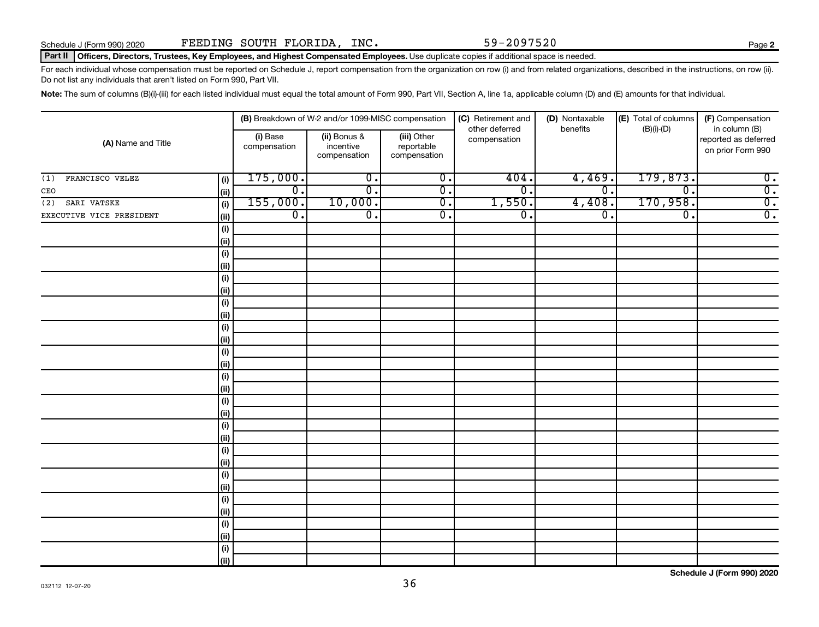#### Part II | Officers, Directors, Trustees, Key Employees, and Highest Compensated Employees. Use duplicate copies if additional space is needed.

For each individual whose compensation must be reported on Schedule J, report compensation from the organization on row (i) and from related organizations, described in the instructions, on row (ii). Do not list any individuals that aren't listed on Form 990, Part VII.

Note: The sum of columns (B)(i)-(iii) for each listed individual must equal the total amount of Form 990, Part VII, Section A, line 1a, applicable column (D) and (E) amounts for that individual.

|                          |             |                          | (B) Breakdown of W-2 and/or 1099-MISC compensation |                                           | (C) Retirement and             | (D) Nontaxable   | (E) Total of columns        | (F) Compensation                                           |
|--------------------------|-------------|--------------------------|----------------------------------------------------|-------------------------------------------|--------------------------------|------------------|-----------------------------|------------------------------------------------------------|
| (A) Name and Title       |             | (i) Base<br>compensation | (ii) Bonus &<br>incentive<br>compensation          | (iii) Other<br>reportable<br>compensation | other deferred<br>compensation | benefits         | $(B)(i)$ - $(D)$            | in column (B)<br>reported as deferred<br>on prior Form 990 |
| FRANCISCO VELEZ<br>(1)   | (i)         | 175,000.                 | $\overline{0}$ .                                   | $\overline{0}$ .                          | 404.                           | 4,469            | 179,873.                    | $\overline{0}$ .                                           |
| CEO                      | (ii)        | $\overline{0}$ .         | $\overline{0}$ .                                   | $\overline{0}$ .                          | $\overline{0}$ .               | $\overline{0}$ . | $\overline{\mathfrak{o}}$ . | $\overline{0}$ .                                           |
| SARI VATSKE<br>(2)       | (i)         | 155,000.                 | 10,000.                                            | $\overline{0}$ .                          | 1,550.                         | 4,408.           | 170,958.                    | $\overline{0}$ .                                           |
| EXECUTIVE VICE PRESIDENT | (ii)        | $\overline{0}$ .         | $\overline{\mathfrak{o}}$ .                        | $\overline{0}$ .                          | $\overline{0}$ .               | $\overline{0}$ . | $\overline{0}$ .            | $\overline{0}$ .                                           |
|                          | (i)         |                          |                                                    |                                           |                                |                  |                             |                                                            |
|                          | (ii)        |                          |                                                    |                                           |                                |                  |                             |                                                            |
|                          | $(\sf{i})$  |                          |                                                    |                                           |                                |                  |                             |                                                            |
|                          | (ii)        |                          |                                                    |                                           |                                |                  |                             |                                                            |
|                          | $(\sf{i})$  |                          |                                                    |                                           |                                |                  |                             |                                                            |
|                          | (ii)        |                          |                                                    |                                           |                                |                  |                             |                                                            |
|                          | $(\sf{i})$  |                          |                                                    |                                           |                                |                  |                             |                                                            |
|                          | (ii)        |                          |                                                    |                                           |                                |                  |                             |                                                            |
|                          | $(\sf{i})$  |                          |                                                    |                                           |                                |                  |                             |                                                            |
|                          | (ii)        |                          |                                                    |                                           |                                |                  |                             |                                                            |
|                          | (i)         |                          |                                                    |                                           |                                |                  |                             |                                                            |
|                          | (ii)        |                          |                                                    |                                           |                                |                  |                             |                                                            |
|                          | (i)         |                          |                                                    |                                           |                                |                  |                             |                                                            |
|                          | (ii)        |                          |                                                    |                                           |                                |                  |                             |                                                            |
|                          | (i)<br>(ii) |                          |                                                    |                                           |                                |                  |                             |                                                            |
|                          | (i)         |                          |                                                    |                                           |                                |                  |                             |                                                            |
|                          | (ii)        |                          |                                                    |                                           |                                |                  |                             |                                                            |
|                          | (i)         |                          |                                                    |                                           |                                |                  |                             |                                                            |
|                          | (ii)        |                          |                                                    |                                           |                                |                  |                             |                                                            |
|                          | (i)         |                          |                                                    |                                           |                                |                  |                             |                                                            |
|                          | (ii)        |                          |                                                    |                                           |                                |                  |                             |                                                            |
|                          | (i)         |                          |                                                    |                                           |                                |                  |                             |                                                            |
|                          | (ii)        |                          |                                                    |                                           |                                |                  |                             |                                                            |
|                          | (i)         |                          |                                                    |                                           |                                |                  |                             |                                                            |
|                          | (ii)        |                          |                                                    |                                           |                                |                  |                             |                                                            |
|                          | (i)         |                          |                                                    |                                           |                                |                  |                             |                                                            |
|                          | (ii)        |                          |                                                    |                                           |                                |                  |                             |                                                            |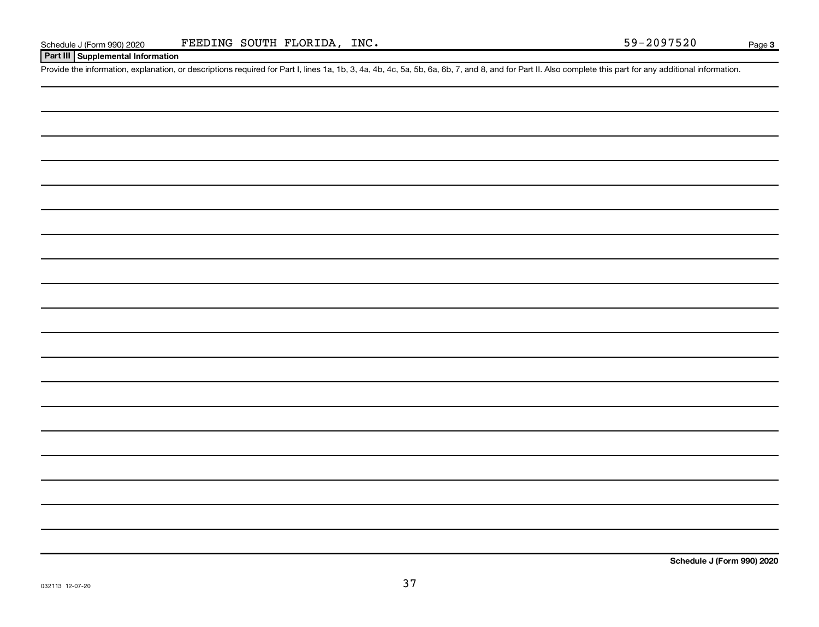#### Page 3

#### **Part III Supplemental Information**

Provide the information, explanation, or descriptions required for Part I, lines 1a, 1b, 3, 4a, 4b, 4c, 5a, 5b, 6a, 6b, 7, and 8, and for Part II. Also complete this part for any additional information.

**Schedule J (Form 990) 2020**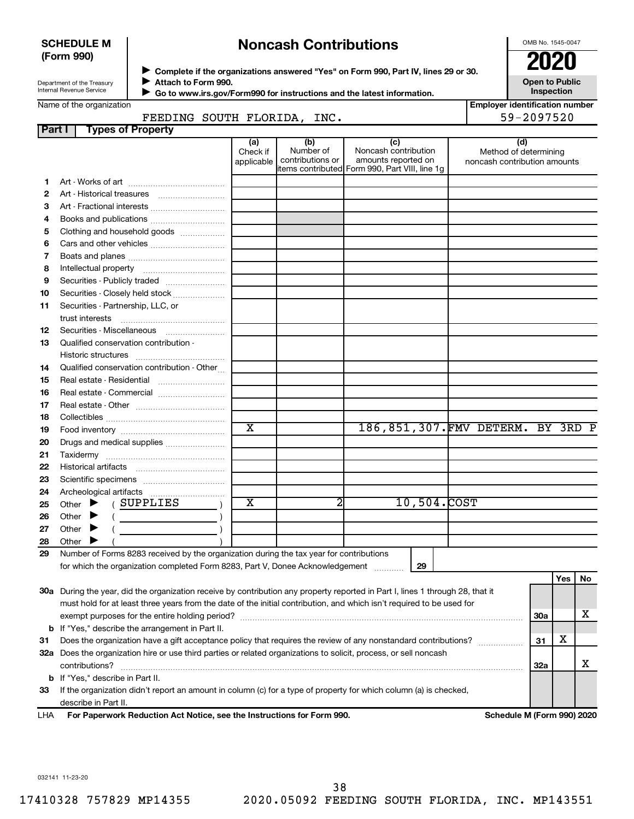#### **SCHEDULE M (Form 990)**

# **Noncash Contributions**

OMB No. 1545-0047

**Employer identification number**

| Department of the Treasury |
|----------------------------|
| Internal Revenue Service   |

◆ Complete if the organizations answered "Yes" on Form 990, Part IV, lines 29 or 30.<br>● Complete if the organizations answered "Yes" on Form 990, Part IV, lines 29 or 30. **Attach to Form 990.**  $\blacktriangleright$ 

**Open to Public Inspection**

|  |  | Name of the organization |
|--|--|--------------------------|
|--|--|--------------------------|

| Go to www.irs.gov/Form990 for instructions and the latest information. |
|------------------------------------------------------------------------|
|                                                                        |

#### FEEDING SOUTH FLORIDA, INC.  $\vert$  59-2097520

| Part I                   | <b>Types of Property</b>                                                                                                       |                        |                  |                                                |                                                       |     |     |    |
|--------------------------|--------------------------------------------------------------------------------------------------------------------------------|------------------------|------------------|------------------------------------------------|-------------------------------------------------------|-----|-----|----|
|                          |                                                                                                                                | (a)                    | (b)<br>Number of | (c)<br>Noncash contribution                    | (d)                                                   |     |     |    |
|                          |                                                                                                                                | Check if<br>applicable | contributions or | amounts reported on                            | Method of determining<br>noncash contribution amounts |     |     |    |
|                          |                                                                                                                                |                        |                  | items contributed Form 990, Part VIII, line 1g |                                                       |     |     |    |
| 1.                       |                                                                                                                                |                        |                  |                                                |                                                       |     |     |    |
| 2                        |                                                                                                                                |                        |                  |                                                |                                                       |     |     |    |
| З                        | Art - Fractional interests                                                                                                     |                        |                  |                                                |                                                       |     |     |    |
| 4                        | Books and publications                                                                                                         |                        |                  |                                                |                                                       |     |     |    |
| 5                        | Clothing and household goods                                                                                                   |                        |                  |                                                |                                                       |     |     |    |
| 6                        |                                                                                                                                |                        |                  |                                                |                                                       |     |     |    |
| $\overline{\phantom{a}}$ |                                                                                                                                |                        |                  |                                                |                                                       |     |     |    |
| 8                        |                                                                                                                                |                        |                  |                                                |                                                       |     |     |    |
| 9                        | Securities - Publicly traded                                                                                                   |                        |                  |                                                |                                                       |     |     |    |
| 10                       | Securities - Closely held stock                                                                                                |                        |                  |                                                |                                                       |     |     |    |
| 11                       | Securities - Partnership, LLC, or                                                                                              |                        |                  |                                                |                                                       |     |     |    |
|                          | trust interests                                                                                                                |                        |                  |                                                |                                                       |     |     |    |
| 12                       | Securities - Miscellaneous                                                                                                     |                        |                  |                                                |                                                       |     |     |    |
| 13                       | Qualified conservation contribution -                                                                                          |                        |                  |                                                |                                                       |     |     |    |
|                          |                                                                                                                                |                        |                  |                                                |                                                       |     |     |    |
| 14                       | Qualified conservation contribution - Other                                                                                    |                        |                  |                                                |                                                       |     |     |    |
| 15                       | Real estate - Residential                                                                                                      |                        |                  |                                                |                                                       |     |     |    |
| 16                       | Real estate - Commercial                                                                                                       |                        |                  |                                                |                                                       |     |     |    |
| 17                       |                                                                                                                                |                        |                  |                                                |                                                       |     |     |    |
| 18                       |                                                                                                                                |                        |                  |                                                |                                                       |     |     |    |
| 19                       |                                                                                                                                | $\overline{\text{x}}$  |                  | 186,851,307. FMV DETERM. BY 3RD P              |                                                       |     |     |    |
| 20                       | Drugs and medical supplies                                                                                                     |                        |                  |                                                |                                                       |     |     |    |
| 21                       |                                                                                                                                |                        |                  |                                                |                                                       |     |     |    |
| 22                       |                                                                                                                                |                        |                  |                                                |                                                       |     |     |    |
| 23                       |                                                                                                                                |                        |                  |                                                |                                                       |     |     |    |
| 24                       |                                                                                                                                |                        |                  |                                                |                                                       |     |     |    |
| 25                       | (SUPPLIES<br>Other $\blacktriangleright$                                                                                       | х                      | 2                | 10,504.COST                                    |                                                       |     |     |    |
| 26                       | Other $\blacktriangleright$<br>$\left(\begin{array}{ccc}\n&\n&\n\end{array}\right)$                                            |                        |                  |                                                |                                                       |     |     |    |
| 27                       | Other $\blacktriangleright$                                                                                                    |                        |                  |                                                |                                                       |     |     |    |
| 28                       | Other $\blacktriangleright$                                                                                                    |                        |                  |                                                |                                                       |     |     |    |
| 29                       | Number of Forms 8283 received by the organization during the tax year for contributions                                        |                        |                  |                                                |                                                       |     |     |    |
|                          | for which the organization completed Form 8283, Part V, Donee Acknowledgement                                                  |                        |                  | 29                                             |                                                       |     |     |    |
|                          |                                                                                                                                |                        |                  |                                                |                                                       |     | Yes | No |
|                          | 30a During the year, did the organization receive by contribution any property reported in Part I, lines 1 through 28, that it |                        |                  |                                                |                                                       |     |     |    |
|                          | must hold for at least three years from the date of the initial contribution, and which isn't required to be used for          |                        |                  |                                                |                                                       |     |     |    |
|                          | exempt purposes for the entire holding period?                                                                                 |                        |                  |                                                |                                                       | 30a |     | х  |
| b                        | If "Yes," describe the arrangement in Part II.                                                                                 |                        |                  |                                                |                                                       |     |     |    |
| 31                       | Does the organization have a gift acceptance policy that requires the review of any nonstandard contributions?                 |                        |                  |                                                |                                                       | 31  | х   |    |

**33** If the organization didn't report an amount in column (c) for a type of property for which column (a) is checked, **b** If "Yes," describe in Part II. describe in Part II.

 $\text{contributions?}$   $\ldots$   $\ldots$   $\ldots$   $\ldots$   $\ldots$   $\ldots$   $\ldots$   $\ldots$   $\ldots$   $\ldots$   $\ldots$   $\ldots$   $\ldots$   $\ldots$   $\ldots$   $\ldots$   $\ldots$   $\ldots$   $\ldots$ 

**32 a** Does the organization hire or use third parties or related organizations to solicit, process, or sell noncash

**For Paperwork Reduction Act Notice, see the Instructions for Form 990. Schedule M (Form 990) 2020** LHA

**32a**

X

032141 11-23-20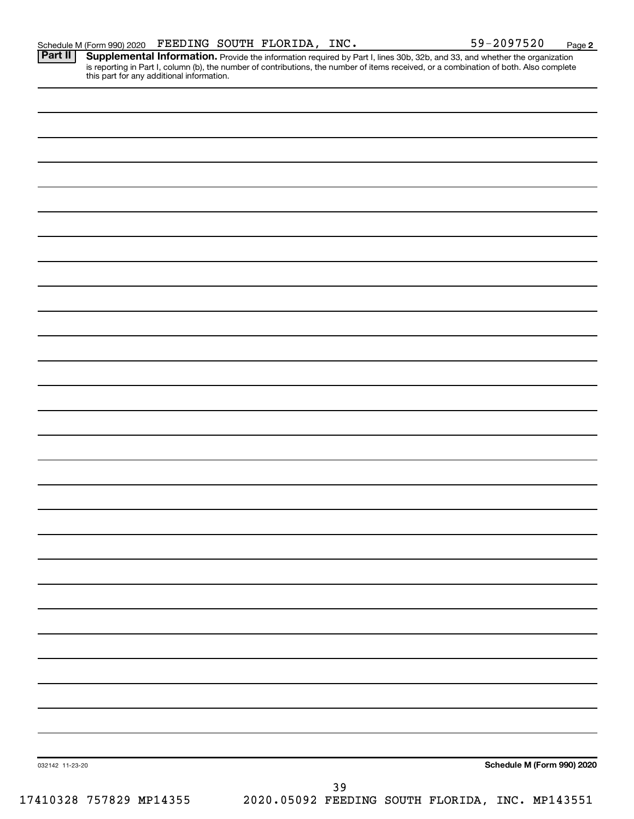**2** Provide the information required by Part I, lines 30b, 32b, and 33, and whether the organization is reporting in Part I, column (b), the number of contributions, the number of items received, or a combination of both. Also complete this part for any additional information. **Part II Supplemental Information.** 

| 032142 11-23-20         | Schedule M (Form 990) 2020                      |
|-------------------------|-------------------------------------------------|
|                         | 39                                              |
| 17410328 757829 MP14355 | 2020.05092 FEEDING SOUTH FLORIDA, INC. MP143551 |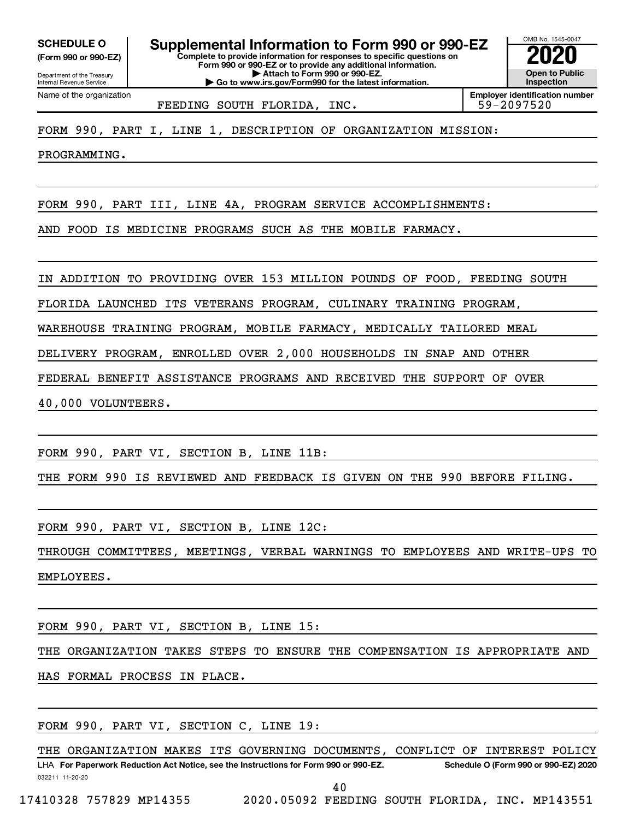**(Form 990 or 990-EZ)**

Department of the Treasury Internal Revenue Service

Name of the organization

**Complete to provide information for responses to specific questions on Form 990 or 990-EZ or to provide any additional information. | Attach to Form 990 or 990-EZ. | Go to www.irs.gov/Form990 for the latest information. SCHEDULE O Supplemental Information to Form 990 or 990-EZ 2020**<br>(Form 990 or 990-EZ) Complete to provide information for responses to specific questions on



FEEDING SOUTH FLORIDA, INC. | 59-2097520

FORM 990, PART I, LINE 1, DESCRIPTION OF ORGANIZATION MISSION:

PROGRAMMING.

FORM 990, PART III, LINE 4A, PROGRAM SERVICE ACCOMPLISHMENTS:

AND FOOD IS MEDICINE PROGRAMS SUCH AS THE MOBILE FARMACY.

IN ADDITION TO PROVIDING OVER 153 MILLION POUNDS OF FOOD, FEEDING SOUTH

FLORIDA LAUNCHED ITS VETERANS PROGRAM, CULINARY TRAINING PROGRAM,

WAREHOUSE TRAINING PROGRAM, MOBILE FARMACY, MEDICALLY TAILORED MEAL

DELIVERY PROGRAM, ENROLLED OVER 2,000 HOUSEHOLDS IN SNAP AND OTHER

FEDERAL BENEFIT ASSISTANCE PROGRAMS AND RECEIVED THE SUPPORT OF OVER

40,000 VOLUNTEERS.

FORM 990, PART VI, SECTION B, LINE 11B:

THE FORM 990 IS REVIEWED AND FEEDBACK IS GIVEN ON THE 990 BEFORE FILING.

FORM 990, PART VI, SECTION B, LINE 12C:

THROUGH COMMITTEES, MEETINGS, VERBAL WARNINGS TO EMPLOYEES AND WRITE-UPS TO EMPLOYEES.

FORM 990, PART VI, SECTION B, LINE 15:

THE ORGANIZATION TAKES STEPS TO ENSURE THE COMPENSATION IS APPROPRIATE AND HAS FORMAL PROCESS IN PLACE.

FORM 990, PART VI, SECTION C, LINE 19:

032211 11-20-20 **For Paperwork Reduction Act Notice, see the Instructions for Form 990 or 990-EZ. Schedule O (Form 990 or 990-EZ) 2020** LHA THE ORGANIZATION MAKES ITS GOVERNING DOCUMENTS, CONFLICT OF INTEREST POLICY

40